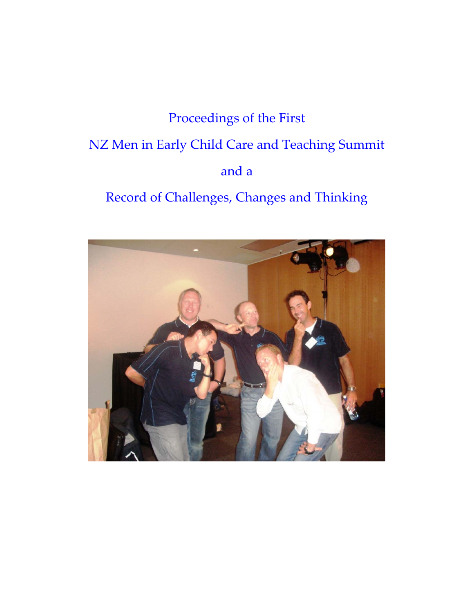## Proceedings of the First NZ Men in Early Child Care and Teaching Summit and a

Record of Challenges, Changes and Thinking

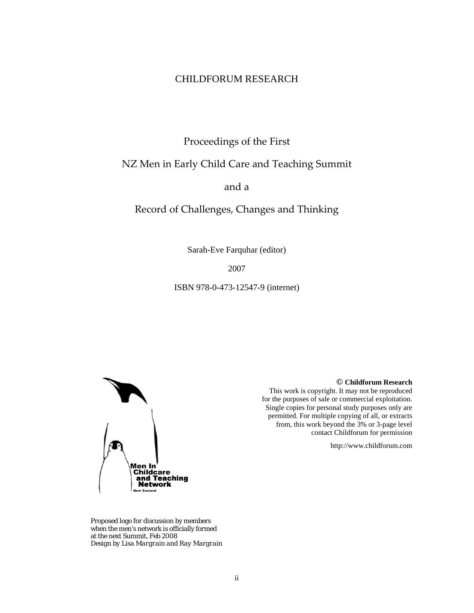### CHILDFORUM RESEARCH

Proceedings of the First

## NZ Men in Early Child Care and Teaching Summit

and a

Record of Challenges, Changes and Thinking

Sarah-Eve Farquhar (editor)

2007

ISBN 978-0-473-12547-9 (internet)



Proposed logo for discussion by members when the men's network is officially formed at the next Summit, Feb 2008 *Design by Lisa Margrain and Ray Margrain* **© Childforum Research** 

This work is copyright. It may not be reproduced for the purposes of sale or commercial exploitation. Single copies for personal study purposes only are permitted. For multiple copying of all, or extracts from, this work beyond the 3% or 3-page level contact Childforum for permission

http://www.childforum.com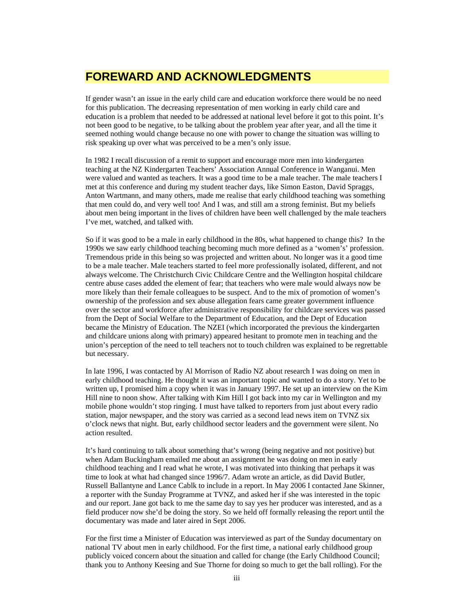## **FOREWARD AND ACKNOWLEDGMENTS**

If gender wasn't an issue in the early child care and education workforce there would be no need for this publication. The decreasing representation of men working in early child care and education is a problem that needed to be addressed at national level before it got to this point. It's not been good to be negative, to be talking about the problem year after year, and all the time it seemed nothing would change because no one with power to change the situation was willing to risk speaking up over what was perceived to be a men's only issue.

In 1982 I recall discussion of a remit to support and encourage more men into kindergarten teaching at the NZ Kindergarten Teachers' Association Annual Conference in Wanganui. Men were valued and wanted as teachers. It was a good time to be a male teacher. The male teachers I met at this conference and during my student teacher days, like Simon Easton, David Spraggs, Anton Wartmann, and many others, made me realise that early childhood teaching was something that men could do, and very well too! And I was, and still am a strong feminist. But my beliefs about men being important in the lives of children have been well challenged by the male teachers I've met, watched, and talked with.

So if it was good to be a male in early childhood in the 80s, what happened to change this? In the 1990s we saw early childhood teaching becoming much more defined as a 'women's' profession. Tremendous pride in this being so was projected and written about. No longer was it a good time to be a male teacher. Male teachers started to feel more professionally isolated, different, and not always welcome. The Christchurch Civic Childcare Centre and the Wellington hospital childcare centre abuse cases added the element of fear; that teachers who were male would always now be more likely than their female colleagues to be suspect. And to the mix of promotion of women's ownership of the profession and sex abuse allegation fears came greater government influence over the sector and workforce after administrative responsibility for childcare services was passed from the Dept of Social Welfare to the Department of Education, and the Dept of Education became the Ministry of Education. The NZEI (which incorporated the previous the kindergarten and childcare unions along with primary) appeared hesitant to promote men in teaching and the union's perception of the need to tell teachers not to touch children was explained to be regrettable but necessary.

In late 1996, I was contacted by Al Morrison of Radio NZ about research I was doing on men in early childhood teaching. He thought it was an important topic and wanted to do a story. Yet to be written up, I promised him a copy when it was in January 1997. He set up an interview on the Kim Hill nine to noon show. After talking with Kim Hill I got back into my car in Wellington and my mobile phone wouldn't stop ringing. I must have talked to reporters from just about every radio station, major newspaper, and the story was carried as a second lead news item on TVNZ six o'clock news that night. But, early childhood sector leaders and the government were silent. No action resulted.

It's hard continuing to talk about something that's wrong (being negative and not positive) but when Adam Buckingham emailed me about an assignment he was doing on men in early childhood teaching and I read what he wrote, I was motivated into thinking that perhaps it was time to look at what had changed since 1996/7. Adam wrote an article, as did David Butler, Russell Ballantyne and Lance Cablk to include in a report. In May 2006 I contacted Jane Skinner, a reporter with the Sunday Programme at TVNZ, and asked her if she was interested in the topic and our report. Jane got back to me the same day to say yes her producer was interested, and as a field producer now she'd be doing the story. So we held off formally releasing the report until the documentary was made and later aired in Sept 2006.

For the first time a Minister of Education was interviewed as part of the Sunday documentary on national TV about men in early childhood. For the first time, a national early childhood group publicly voiced concern about the situation and called for change (the Early Childhood Council; thank you to Anthony Keesing and Sue Thorne for doing so much to get the ball rolling). For the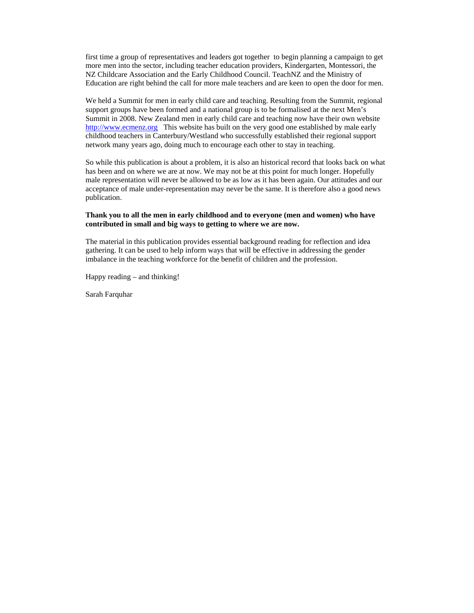first time a group of representatives and leaders got together to begin planning a campaign to get more men into the sector, including teacher education providers, Kindergarten, Montessori, the NZ Childcare Association and the Early Childhood Council. TeachNZ and the Ministry of Education are right behind the call for more male teachers and are keen to open the door for men.

We held a Summit for men in early child care and teaching. Resulting from the Summit, regional support groups have been formed and a national group is to be formalised at the next Men's Summit in 2008. New Zealand men in early child care and teaching now have their own website http://www.ecmenz.org This website has built on the very good one established by male early childhood teachers in Canterbury/Westland who successfully established their regional support network many years ago, doing much to encourage each other to stay in teaching.

So while this publication is about a problem, it is also an historical record that looks back on what has been and on where we are at now. We may not be at this point for much longer. Hopefully male representation will never be allowed to be as low as it has been again. Our attitudes and our acceptance of male under-representation may never be the same. It is therefore also a good news publication.

#### **Thank you to all the men in early childhood and to everyone (men and women) who have contributed in small and big ways to getting to where we are now.**

The material in this publication provides essential background reading for reflection and idea gathering. It can be used to help inform ways that will be effective in addressing the gender imbalance in the teaching workforce for the benefit of children and the profession.

Happy reading – and thinking!

Sarah Farquhar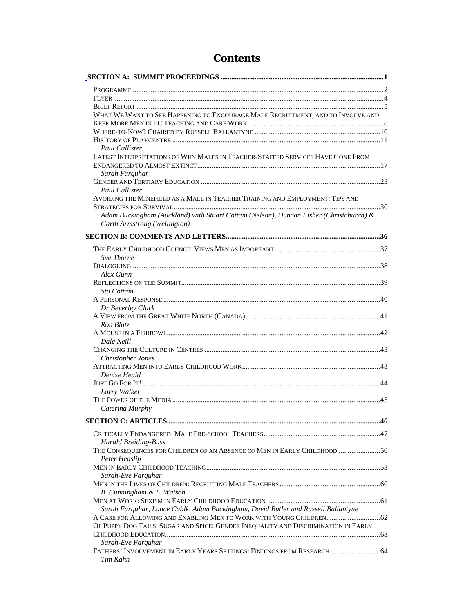## **Contents**

| WHAT WE WANT TO SEE HAPPENING TO ENCOURAGE MALE RECRUITMENT, AND TO INVOLVE AND        |  |
|----------------------------------------------------------------------------------------|--|
|                                                                                        |  |
|                                                                                        |  |
|                                                                                        |  |
| Paul Callister                                                                         |  |
| LATEST INTERPRETATIONS OF WHY MALES IN TEACHER-STAFFED SERVICES HAVE GONE FROM         |  |
|                                                                                        |  |
| Sarah Farquhar                                                                         |  |
|                                                                                        |  |
| Paul Callister                                                                         |  |
| AVOIDING THE MINEFIELD AS A MALE IN TEACHER TRAINING AND EMPLOYMENT: TIPS AND          |  |
|                                                                                        |  |
| Adam Buckingham (Auckland) with Stuart Cottam (Nelson), Duncan Fisher (Christchurch) & |  |
| Garth Armstrong (Wellington)                                                           |  |
|                                                                                        |  |
|                                                                                        |  |
| <b>Sue Thorne</b>                                                                      |  |
|                                                                                        |  |
| Alex Gunn                                                                              |  |
|                                                                                        |  |
| Stu Cottam                                                                             |  |
|                                                                                        |  |
| Dr Beverley Clark                                                                      |  |
|                                                                                        |  |
| Ron Blatz                                                                              |  |
|                                                                                        |  |
| Dale Neill                                                                             |  |
|                                                                                        |  |
| <b>Christopher Jones</b>                                                               |  |
|                                                                                        |  |
| Denise Heald                                                                           |  |
|                                                                                        |  |
| Larry Walker                                                                           |  |
|                                                                                        |  |
| Caterina Murphy                                                                        |  |
|                                                                                        |  |
|                                                                                        |  |
| <b>Harald Breiding-Buss</b>                                                            |  |
| THE CONSEQUENCES FOR CHILDREN OF AN ABSENCE OF MEN IN EARLY CHILDHOOD 50               |  |
| Peter Heaslip                                                                          |  |
|                                                                                        |  |
| Sarah-Eve Farquhar                                                                     |  |
|                                                                                        |  |
| B. Cunningham & L. Watson                                                              |  |
|                                                                                        |  |
| Sarah Farquhar, Lance Cablk, Adam Buckingham, David Butler and Russell Ballantyne      |  |
|                                                                                        |  |
| OF PUPPY DOG TAILS, SUGAR AND SPICE: GENDER INEQUALITY AND DISCRIMINATION IN EARLY     |  |
|                                                                                        |  |
| Sarah-Eve Farquhar                                                                     |  |
| FATHERS' INVOLVEMENT IN EARLY YEARS SETTINGS: FINDINGS FROM RESEARCH 64                |  |
| Tim Kahn                                                                               |  |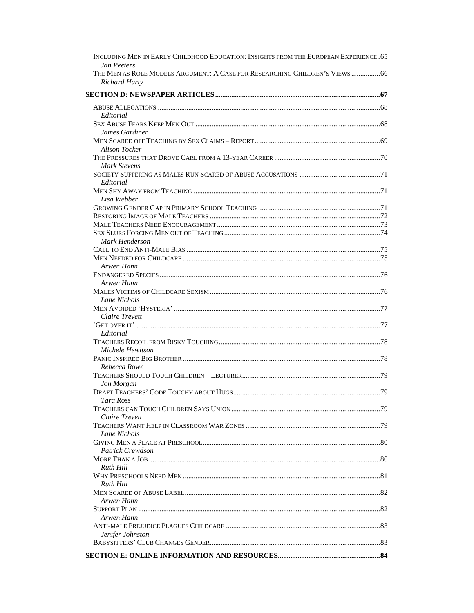| INCLUDING MEN IN EARLY CHILDHOOD EDUCATION: INSIGHTS FROM THE EUROPEAN EXPERIENCE .65 |  |
|---------------------------------------------------------------------------------------|--|
| <b>Jan Peeters</b>                                                                    |  |
| THE MEN AS ROLE MODELS ARGUMENT: A CASE FOR RESEARCHING CHILDREN'S VIEWS  66          |  |
| <b>Richard Harty</b>                                                                  |  |
|                                                                                       |  |
|                                                                                       |  |
| Editorial                                                                             |  |
|                                                                                       |  |
| James Gardiner                                                                        |  |
|                                                                                       |  |
| <b>Alison Tocker</b>                                                                  |  |
|                                                                                       |  |
| Mark Stevens                                                                          |  |
|                                                                                       |  |
| Editorial                                                                             |  |
| Lisa Webber                                                                           |  |
|                                                                                       |  |
|                                                                                       |  |
|                                                                                       |  |
|                                                                                       |  |
| Mark Henderson                                                                        |  |
|                                                                                       |  |
|                                                                                       |  |
| Arwen Hann                                                                            |  |
|                                                                                       |  |
| Arwen Hann                                                                            |  |
|                                                                                       |  |
| Lane Nichols                                                                          |  |
|                                                                                       |  |
| <b>Claire Trevett</b>                                                                 |  |
|                                                                                       |  |
| Editorial                                                                             |  |
|                                                                                       |  |
| Michele Hewitson                                                                      |  |
|                                                                                       |  |
| Rebecca Rowe                                                                          |  |
| Jon Morgan                                                                            |  |
|                                                                                       |  |
| Tara Ross                                                                             |  |
|                                                                                       |  |
| Claire Trevett                                                                        |  |
|                                                                                       |  |
| Lane Nichols                                                                          |  |
|                                                                                       |  |
| Patrick Crewdson                                                                      |  |
|                                                                                       |  |
| Ruth Hill                                                                             |  |
|                                                                                       |  |
| Ruth Hill                                                                             |  |
|                                                                                       |  |
| Arwen Hann                                                                            |  |
|                                                                                       |  |
| Arwen Hann                                                                            |  |
|                                                                                       |  |
| Jenifer Johnston                                                                      |  |
|                                                                                       |  |
|                                                                                       |  |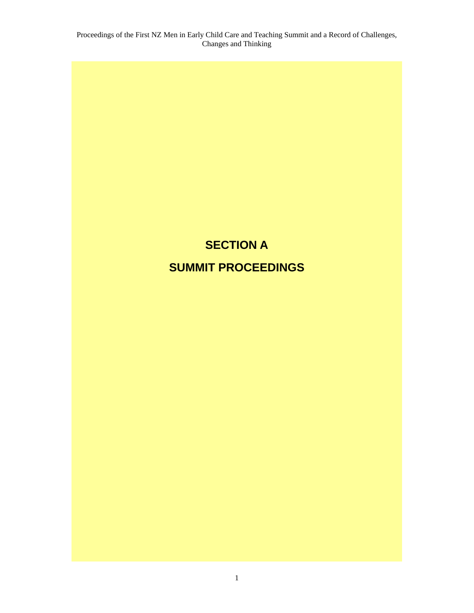## **SECTION A SUMMIT PROCEEDINGS**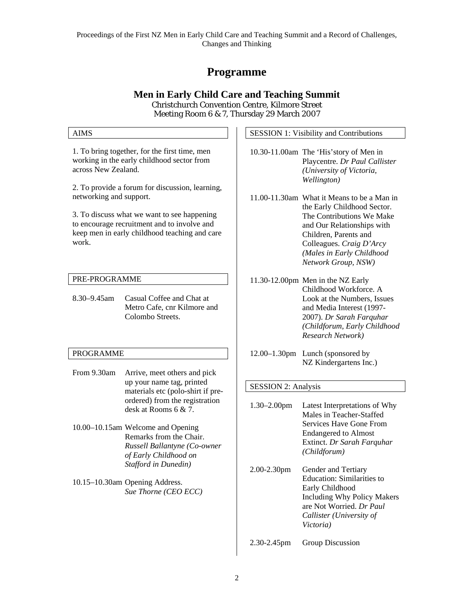## **Programme**

#### **Men in Early Child Care and Teaching Summit**  Christchurch Convention Centre, Kilmore Street

Meeting Room 6 & 7, Thursday 29 March 2007

| <b>AIMS</b>                                                                                                                                                                                                                                                                                                                                              |                                                                                                                       |  | <b>SESSION 1: Visibility and Contributions</b> |                                                                                                                                                                                                                                                                                                                                               |  |
|----------------------------------------------------------------------------------------------------------------------------------------------------------------------------------------------------------------------------------------------------------------------------------------------------------------------------------------------------------|-----------------------------------------------------------------------------------------------------------------------|--|------------------------------------------------|-----------------------------------------------------------------------------------------------------------------------------------------------------------------------------------------------------------------------------------------------------------------------------------------------------------------------------------------------|--|
| 1. To bring together, for the first time, men<br>working in the early childhood sector from<br>across New Zealand.<br>2. To provide a forum for discussion, learning,<br>networking and support.<br>3. To discuss what we want to see happening<br>to encourage recruitment and to involve and<br>keep men in early childhood teaching and care<br>work. |                                                                                                                       |  |                                                | 10.30-11.00am The 'His' story of Men in<br>Playcentre. Dr Paul Callister<br>(University of Victoria,<br>Wellington)<br>11.00-11.30am What it Means to be a Man in<br>the Early Childhood Sector.<br>The Contributions We Make<br>and Our Relationships with<br>Children, Parents and<br>Colleagues. Craig D'Arcy<br>(Males in Early Childhood |  |
|                                                                                                                                                                                                                                                                                                                                                          |                                                                                                                       |  |                                                | Network Group, NSW)                                                                                                                                                                                                                                                                                                                           |  |
| PRE-PROGRAMME<br>8.30-9.45am                                                                                                                                                                                                                                                                                                                             | Casual Coffee and Chat at                                                                                             |  |                                                | 11.30-12.00pm Men in the NZ Early<br>Childhood Workforce. A<br>Look at the Numbers, Issues                                                                                                                                                                                                                                                    |  |
|                                                                                                                                                                                                                                                                                                                                                          | Metro Cafe, cnr Kilmore and<br>Colombo Streets.                                                                       |  |                                                | and Media Interest (1997-<br>2007). Dr Sarah Farquhar<br>(Childforum, Early Childhood<br>Research Network)                                                                                                                                                                                                                                    |  |
| <b>PROGRAMME</b>                                                                                                                                                                                                                                                                                                                                         |                                                                                                                       |  |                                                | 12.00-1.30pm Lunch (sponsored by                                                                                                                                                                                                                                                                                                              |  |
| From 9.30am                                                                                                                                                                                                                                                                                                                                              | Arrive, meet others and pick                                                                                          |  |                                                | NZ Kindergartens Inc.)                                                                                                                                                                                                                                                                                                                        |  |
|                                                                                                                                                                                                                                                                                                                                                          | up your name tag, printed<br>materials etc (polo-shirt if pre-                                                        |  | <b>SESSION 2: Analysis</b>                     |                                                                                                                                                                                                                                                                                                                                               |  |
|                                                                                                                                                                                                                                                                                                                                                          | ordered) from the registration<br>desk at Rooms 6 & 7.                                                                |  | $1.30 - 2.00$ pm                               | Latest Interpretations of Why<br>Males in Teacher-Staffed                                                                                                                                                                                                                                                                                     |  |
|                                                                                                                                                                                                                                                                                                                                                          | 10.00–10.15am Welcome and Opening<br>Remarks from the Chair.<br>Russell Ballantyne (Co-owner<br>of Early Childhood on |  |                                                | <b>Services Have Gone From</b><br><b>Endangered to Almost</b><br>Extinct. Dr Sarah Farquhar<br>(Childforum)                                                                                                                                                                                                                                   |  |
|                                                                                                                                                                                                                                                                                                                                                          | Stafford in Dunedin)<br>10.15-10.30am Opening Address.<br>Sue Thorne (CEO ECC)                                        |  | 2.00-2.30pm                                    | Gender and Tertiary<br><b>Education: Similarities to</b><br>Early Childhood<br><b>Including Why Policy Makers</b><br>are Not Worried. Dr Paul                                                                                                                                                                                                 |  |

2.30-2.45pm Group Discussion

*Victoria)* 

*Callister (University of*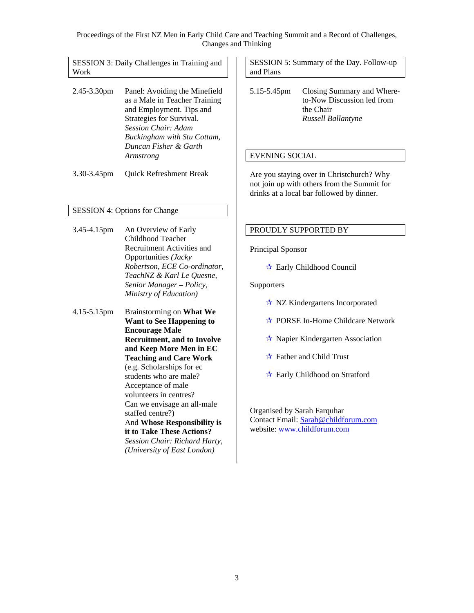SESSION 3: Daily Challenges in Training and Work

- 2.45-3.30pm Panel: Avoiding the Minefield as a Male in Teacher Training and Employment. Tips and Strategies for Survival. *Session Chair: Adam Buckingham with Stu Cottam, Duncan Fisher & Garth Armstrong*
- 3.30-3.45pm Quick Refreshment Break

#### SESSION 4: Options for Change

- 3.45-4.15pm An Overview of Early Childhood Teacher Recruitment Activities and Opportunities *(Jacky Robertson, ECE Co-ordinator, TeachNZ & Karl Le Quesne, Senior Manager – Policy, Ministry of Education)*
- 4.15-5.15pm Brainstorming on **What We Want to See Happening to Encourage Male Recruitment, and to Involve and Keep More Men in EC Teaching and Care Work** (e.g. Scholarships for ec students who are male? Acceptance of male volunteers in centres? Can we envisage an all-male staffed centre?) And **Whose Responsibility is it to Take These Actions?** *Session Chair: Richard Harty, (University of East London)*

SESSION 5: Summary of the Day. Follow-up and Plans

5.15-5.45pm Closing Summary and Whereto-Now Discussion led from the Chair *Russell Ballantyne* 

#### EVENING SOCIAL

Are you staying over in Christchurch? Why not join up with others from the Summit for drinks at a local bar followed by dinner.

#### PROUDLY SUPPORTED BY

Principal Sponsor

Early Childhood Council

#### **Supporters**

- $\star$  NZ Kindergartens Incorporated
- $\star$  PORSE In-Home Childcare Network
- $\star$  Napier Kindergarten Association
- $\star$  Father and Child Trust
- Early Childhood on Stratford

Organised by Sarah Farquhar Contact Email: Sarah@childforum.com website: www.childforum.com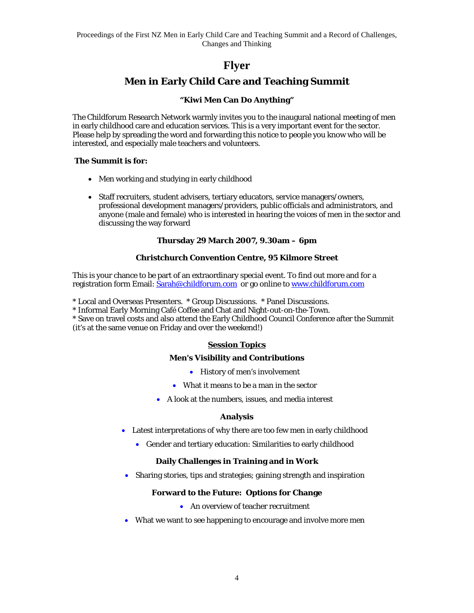## **Flyer**

## **Men in Early Child Care and Teaching Summit**

#### **"Kiwi Men Can Do Anything"**

The Childforum Research Network warmly invites you to the inaugural national meeting of men in early childhood care and education services. This is a very important event for the sector. Please help by spreading the word and forwarding this notice to people you know who will be interested, and especially male teachers and volunteers.

#### **The Summit is for:**

- Men working and studying in early childhood
- Staff recruiters, student advisers, tertiary educators, service managers/owners, professional development managers/providers, public officials and administrators, and anyone (male and female) who is interested in hearing the voices of men in the sector and discussing the way forward

#### **Thursday 29 March 2007, 9.30am – 6pm**

#### **Christchurch Convention Centre, 95 Kilmore Street**

This is your chance to be part of an extraordinary special event. To find out more and for a registration form Email: Sarah@childforum.com or go online to www.childforum.com

\* Local and Overseas Presenters. \* Group Discussions. \* Panel Discussions.

\* Informal Early Morning Café Coffee and Chat and Night-out-on-the-Town.

\* Save on travel costs and also attend the Early Childhood Council Conference after the Summit (it's at the same venue on Friday and over the weekend!)

#### **Session Topics**

#### **Men's Visibility and Contributions**

- History of men's involvement
- What it means to be a man in the sector
- A look at the numbers, issues, and media interest

#### **Analysis**

- Latest interpretations of why there are too few men in early childhood
	- Gender and tertiary education: Similarities to early childhood

#### **Daily Challenges in Training and in Work**

• Sharing stories, tips and strategies; gaining strength and inspiration

#### **Forward to the Future: Options for Change**

- An overview of teacher recruitment
- What we want to see happening to encourage and involve more men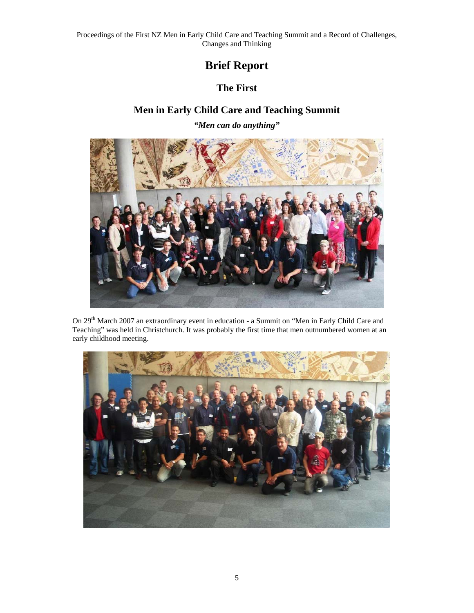## **Brief Report**

## **The First**

## **Men in Early Child Care and Teaching Summit**

*"Men can do anything"* 



On 29th March 2007 an extraordinary event in education - a Summit on "Men in Early Child Care and Teaching" was held in Christchurch. It was probably the first time that men outnumbered women at an early childhood meeting.

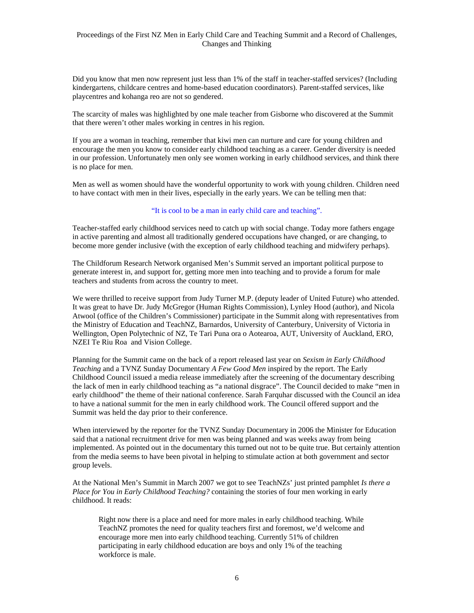Did you know that men now represent just less than 1% of the staff in teacher-staffed services? (Including kindergartens, childcare centres and home-based education coordinators). Parent-staffed services, like playcentres and kohanga reo are not so gendered.

The scarcity of males was highlighted by one male teacher from Gisborne who discovered at the Summit that there weren't other males working in centres in his region.

If you are a woman in teaching, remember that kiwi men can nurture and care for young children and encourage the men you know to consider early childhood teaching as a career. Gender diversity is needed in our profession. Unfortunately men only see women working in early childhood services, and think there is no place for men.

Men as well as women should have the wonderful opportunity to work with young children. Children need to have contact with men in their lives, especially in the early years. We can be telling men that:

#### "It is cool to be a man in early child care and teaching".

Teacher-staffed early childhood services need to catch up with social change. Today more fathers engage in active parenting and almost all traditionally gendered occupations have changed, or are changing, to become more gender inclusive (with the exception of early childhood teaching and midwifery perhaps).

The Childforum Research Network organised Men's Summit served an important political purpose to generate interest in, and support for, getting more men into teaching and to provide a forum for male teachers and students from across the country to meet.

We were thrilled to receive support from Judy Turner M.P. (deputy leader of United Future) who attended. It was great to have Dr. Judy McGregor (Human Rights Commission), Lynley Hood (author), and Nicola Atwool (office of the Children's Commissioner) participate in the Summit along with representatives from the Ministry of Education and TeachNZ, Barnardos, University of Canterbury, University of Victoria in Wellington, Open Polytechnic of NZ, Te Tari Puna ora o Aotearoa, AUT, University of Auckland, ERO, NZEI Te Riu Roa and Vision College.

Planning for the Summit came on the back of a report released last year on *Sexism in Early Childhood Teaching* and a TVNZ Sunday Documentary *A Few Good Men* inspired by the report. The Early Childhood Council issued a media release immediately after the screening of the documentary describing the lack of men in early childhood teaching as "a national disgrace". The Council decided to make "men in early childhood" the theme of their national conference. Sarah Farquhar discussed with the Council an idea to have a national summit for the men in early childhood work. The Council offered support and the Summit was held the day prior to their conference.

When interviewed by the reporter for the TVNZ Sunday Documentary in 2006 the Minister for Education said that a national recruitment drive for men was being planned and was weeks away from being implemented. As pointed out in the documentary this turned out not to be quite true. But certainly attention from the media seems to have been pivotal in helping to stimulate action at both government and sector group levels.

At the National Men's Summit in March 2007 we got to see TeachNZs' just printed pamphlet *Is there a Place for You in Early Childhood Teaching?* containing the stories of four men working in early childhood. It reads:

Right now there is a place and need for more males in early childhood teaching. While TeachNZ promotes the need for quality teachers first and foremost, we'd welcome and encourage more men into early childhood teaching. Currently 51% of children participating in early childhood education are boys and only 1% of the teaching workforce is male.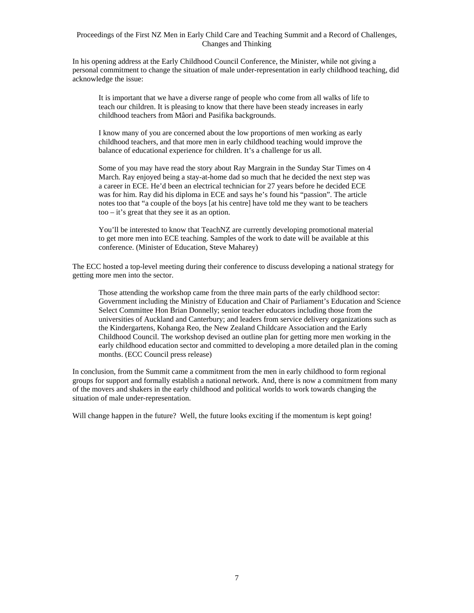In his opening address at the Early Childhood Council Conference, the Minister, while not giving a personal commitment to change the situation of male under-representation in early childhood teaching, did acknowledge the issue:

It is important that we have a diverse range of people who come from all walks of life to teach our children. It is pleasing to know that there have been steady increases in early childhood teachers from Mâori and Pasifika backgrounds.

I know many of you are concerned about the low proportions of men working as early childhood teachers, and that more men in early childhood teaching would improve the balance of educational experience for children. It's a challenge for us all.

Some of you may have read the story about Ray Margrain in the Sunday Star Times on 4 March. Ray enjoyed being a stay-at-home dad so much that he decided the next step was a career in ECE. He'd been an electrical technician for 27 years before he decided ECE was for him. Ray did his diploma in ECE and says he's found his "passion". The article notes too that "a couple of the boys [at his centre] have told me they want to be teachers too – it's great that they see it as an option.

You'll be interested to know that TeachNZ are currently developing promotional material to get more men into ECE teaching. Samples of the work to date will be available at this conference. (Minister of Education, Steve Maharey)

The ECC hosted a top-level meeting during their conference to discuss developing a national strategy for getting more men into the sector.

Those attending the workshop came from the three main parts of the early childhood sector: Government including the Ministry of Education and Chair of Parliament's Education and Science Select Committee Hon Brian Donnelly; senior teacher educators including those from the universities of Auckland and Canterbury; and leaders from service delivery organizations such as the Kindergartens, Kohanga Reo, the New Zealand Childcare Association and the Early Childhood Council. The workshop devised an outline plan for getting more men working in the early childhood education sector and committed to developing a more detailed plan in the coming months. (ECC Council press release)

In conclusion, from the Summit came a commitment from the men in early childhood to form regional groups for support and formally establish a national network. And, there is now a commitment from many of the movers and shakers in the early childhood and political worlds to work towards changing the situation of male under-representation.

Will change happen in the future? Well, the future looks exciting if the momentum is kept going!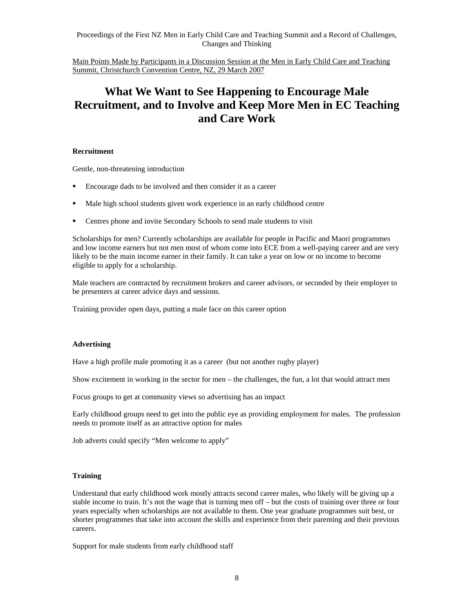Main Points Made by Participants in a Discussion Session at the Men in Early Child Care and Teaching Summit, Christchurch Convention Centre, NZ, 29 March 2007

## **What We Want to See Happening to Encourage Male Recruitment, and to Involve and Keep More Men in EC Teaching and Care Work**

#### **Recruitment**

Gentle, non-threatening introduction

- Encourage dads to be involved and then consider it as a career
- Male high school students given work experience in an early childhood centre
- Centres phone and invite Secondary Schools to send male students to visit

Scholarships for men? Currently scholarships are available for people in Pacific and Maori programmes and low income earners but not men most of whom come into ECE from a well-paying career and are very likely to be the main income earner in their family. It can take a year on low or no income to become eligible to apply for a scholarship.

Male teachers are contracted by recruitment brokers and career advisors, or seconded by their employer to be presenters at career advice days and sessions.

Training provider open days, putting a male face on this career option

#### **Advertising**

Have a high profile male promoting it as a career (but not another rugby player)

Show excitement in working in the sector for men – the challenges, the fun, a lot that would attract men

Focus groups to get at community views so advertising has an impact

Early childhood groups need to get into the public eye as providing employment for males. The profession needs to promote itself as an attractive option for males

Job adverts could specify "Men welcome to apply"

#### **Training**

Understand that early childhood work mostly attracts second career males, who likely will be giving up a stable income to train. It's not the wage that is turning men off – but the costs of training over three or four years especially when scholarships are not available to them. One year graduate programmes suit best, or shorter programmes that take into account the skills and experience from their parenting and their previous careers.

Support for male students from early childhood staff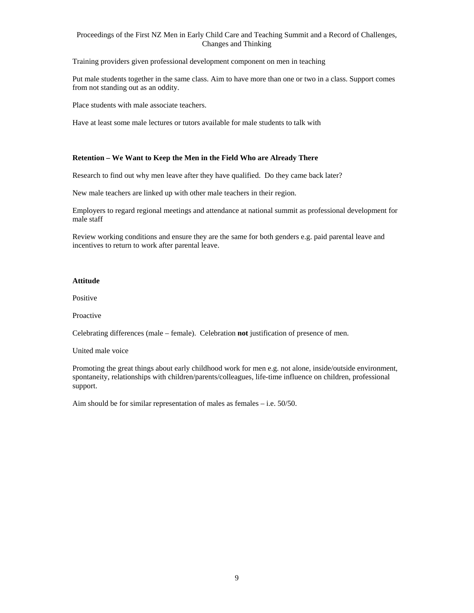Training providers given professional development component on men in teaching

Put male students together in the same class. Aim to have more than one or two in a class. Support comes from not standing out as an oddity.

Place students with male associate teachers.

Have at least some male lectures or tutors available for male students to talk with

#### **Retention – We Want to Keep the Men in the Field Who are Already There**

Research to find out why men leave after they have qualified. Do they came back later?

New male teachers are linked up with other male teachers in their region.

Employers to regard regional meetings and attendance at national summit as professional development for male staff

Review working conditions and ensure they are the same for both genders e.g. paid parental leave and incentives to return to work after parental leave.

#### **Attitude**

Positive

Proactive

Celebrating differences (male – female). Celebration **not** justification of presence of men.

United male voice

Promoting the great things about early childhood work for men e.g. not alone, inside/outside environment, spontaneity, relationships with children/parents/colleagues, life-time influence on children, professional support.

Aim should be for similar representation of males as females – i.e. 50/50.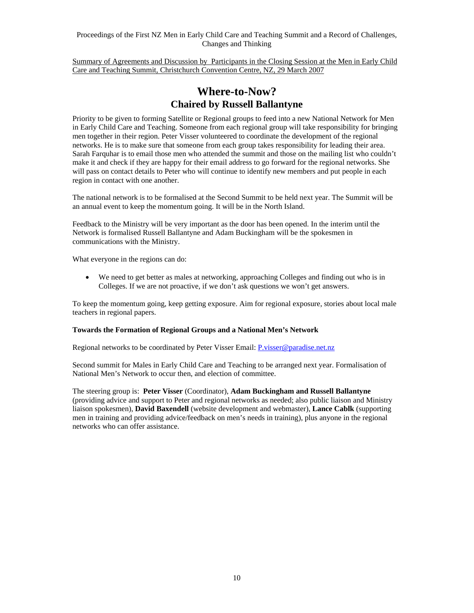Summary of Agreements and Discussion by Participants in the Closing Session at the Men in Early Child Care and Teaching Summit, Christchurch Convention Centre, NZ, 29 March 2007

## **Where-to-Now? Chaired by Russell Ballantyne**

Priority to be given to forming Satellite or Regional groups to feed into a new National Network for Men in Early Child Care and Teaching. Someone from each regional group will take responsibility for bringing men together in their region. Peter Visser volunteered to coordinate the development of the regional networks. He is to make sure that someone from each group takes responsibility for leading their area. Sarah Farquhar is to email those men who attended the summit and those on the mailing list who couldn't make it and check if they are happy for their email address to go forward for the regional networks. She will pass on contact details to Peter who will continue to identify new members and put people in each region in contact with one another.

The national network is to be formalised at the Second Summit to be held next year. The Summit will be an annual event to keep the momentum going. It will be in the North Island.

Feedback to the Ministry will be very important as the door has been opened. In the interim until the Network is formalised Russell Ballantyne and Adam Buckingham will be the spokesmen in communications with the Ministry.

What everyone in the regions can do:

• We need to get better as males at networking, approaching Colleges and finding out who is in Colleges. If we are not proactive, if we don't ask questions we won't get answers.

To keep the momentum going, keep getting exposure. Aim for regional exposure, stories about local male teachers in regional papers.

#### **Towards the Formation of Regional Groups and a National Men's Network**

Regional networks to be coordinated by Peter Visser Email: P.visser@paradise.net.nz

Second summit for Males in Early Child Care and Teaching to be arranged next year. Formalisation of National Men's Network to occur then, and election of committee.

The steering group is: **Peter Visser** (Coordinator), **Adam Buckingham and Russell Ballantyne** (providing advice and support to Peter and regional networks as needed; also public liaison and Ministry liaison spokesmen), **David Baxendell** (website development and webmaster), **Lance Cablk** (supporting men in training and providing advice/feedback on men's needs in training), plus anyone in the regional networks who can offer assistance.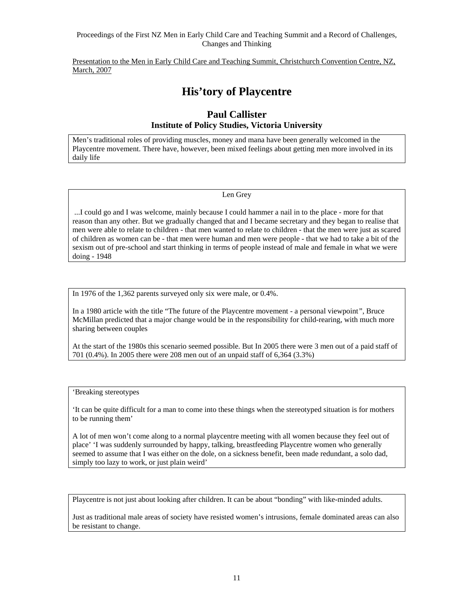Presentation to the Men in Early Child Care and Teaching Summit, Christchurch Convention Centre, NZ, March, 2007

## **His'tory of Playcentre**

#### **Paul Callister Institute of Policy Studies, Victoria University**

Men's traditional roles of providing muscles, money and mana have been generally welcomed in the Playcentre movement. There have, however, been mixed feelings about getting men more involved in its daily life

#### Len Grey

 ...I could go and I was welcome, mainly because I could hammer a nail in to the place - more for that reason than any other. But we gradually changed that and I became secretary and they began to realise that men were able to relate to children - that men wanted to relate to children - that the men were just as scared of children as women can be - that men were human and men were people - that we had to take a bit of the sexism out of pre-school and start thinking in terms of people instead of male and female in what we were doing - 1948

In 1976 of the 1,362 parents surveyed only six were male, or 0.4%.

In a 1980 article with the title "The future of the Playcentre movement - a personal viewpoint*"*, Bruce McMillan predicted that a major change would be in the responsibility for child-rearing, with much more sharing between couples

At the start of the 1980s this scenario seemed possible. But In 2005 there were 3 men out of a paid staff of 701 (0.4%). In 2005 there were 208 men out of an unpaid staff of 6,364 (3.3%)

'Breaking stereotypes

'It can be quite difficult for a man to come into these things when the stereotyped situation is for mothers to be running them'

A lot of men won't come along to a normal playcentre meeting with all women because they feel out of place' 'I was suddenly surrounded by happy, talking, breastfeeding Playcentre women who generally seemed to assume that I was either on the dole, on a sickness benefit, been made redundant, a solo dad, simply too lazy to work, or just plain weird'

Playcentre is not just about looking after children. It can be about "bonding" with like-minded adults.

Just as traditional male areas of society have resisted women's intrusions, female dominated areas can also be resistant to change.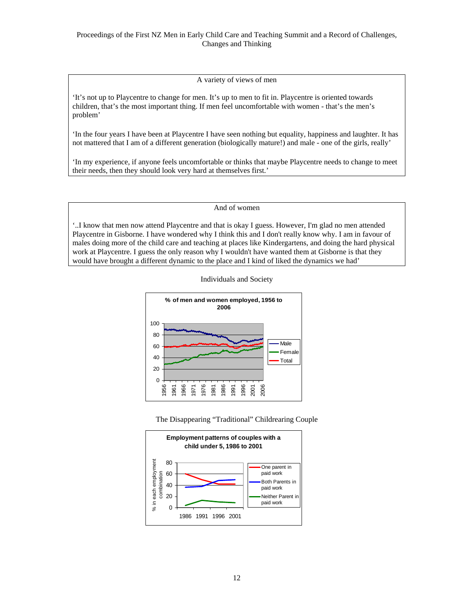A variety of views of men

'It's not up to Playcentre to change for men. It's up to men to fit in. Playcentre is oriented towards children, that's the most important thing. If men feel uncomfortable with women - that's the men's problem'

'In the four years I have been at Playcentre I have seen nothing but equality, happiness and laughter. It has not mattered that I am of a different generation (biologically mature!) and male - one of the girls, really'

'In my experience, if anyone feels uncomfortable or thinks that maybe Playcentre needs to change to meet their needs, then they should look very hard at themselves first.'

And of women

'..I know that men now attend Playcentre and that is okay I guess. However, I'm glad no men attended Playcentre in Gisborne. I have wondered why I think this and I don't really know why. I am in favour of males doing more of the child care and teaching at places like Kindergartens, and doing the hard physical work at Playcentre. I guess the only reason why I wouldn't have wanted them at Gisborne is that they would have brought a different dynamic to the place and I kind of liked the dynamics we had'







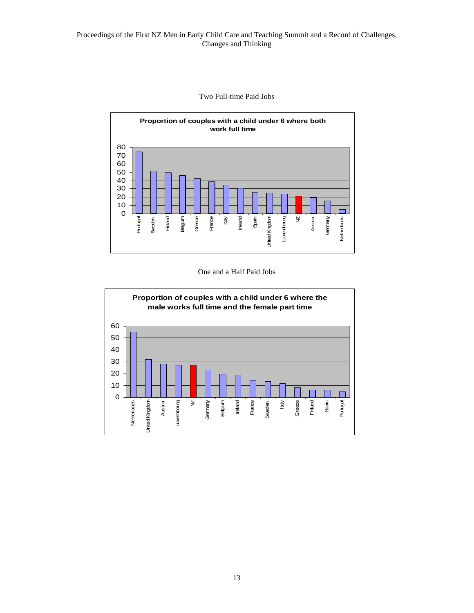



#### One and a Half Paid Jobs

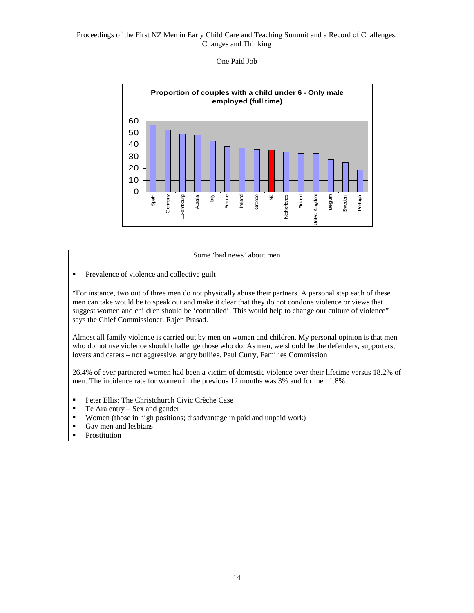#### One Paid Job



#### Some 'bad news' about men

**Prevalence of violence and collective guilt** 

"For instance, two out of three men do not physically abuse their partners. A personal step each of these men can take would be to speak out and make it clear that they do not condone violence or views that suggest women and children should be 'controlled'. This would help to change our culture of violence" says the Chief Commissioner, Rajen Prasad.

Almost all family violence is carried out by men on women and children. My personal opinion is that men who do not use violence should challenge those who do. As men, we should be the defenders, supporters, lovers and carers – not aggressive, angry bullies. Paul Curry, Families Commission

26.4% of ever partnered women had been a victim of domestic violence over their lifetime versus 18.2% of men. The incidence rate for women in the previous 12 months was 3% and for men 1.8%.

- **Peter Ellis: The Christchurch Civic Crèche Case**
- $\blacksquare$  Te Ara entry Sex and gender
- Women (those in high positions; disadvantage in paid and unpaid work)
- Gay men and lesbians
- **Prostitution**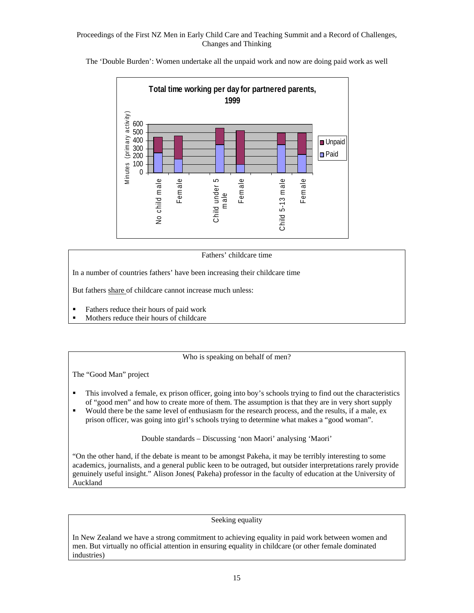**Total time working per day for partnered parents, 1999** M inutes (prim ary ac tiv ity ) Minutes (primary activity 600 500 400 **Unpaid** 300 ■Paid 200 100  $\Omega$ Female Child 5-13 male Female No child male Child under 5 Female No child m ale Child under 5 Child 5-13 m ale male

The 'Double Burden': Women undertake all the unpaid work and now are doing paid work as well

#### Fathers' childcare time

In a number of countries fathers' have been increasing their childcare time

But fathers share of childcare cannot increase much unless:

- **Fathers reduce their hours of paid work**
- Mothers reduce their hours of childcare

Who is speaking on behalf of men?

The "Good Man" project

- This involved a female, ex prison officer, going into boy's schools trying to find out the characteristics of "good men" and how to create more of them. The assumption is that they are in very short supply
- Would there be the same level of enthusiasm for the research process, and the results, if a male, ex prison officer, was going into girl's schools trying to determine what makes a "good woman".

Double standards – Discussing 'non Maori' analysing 'Maori'

"On the other hand, if the debate is meant to be amongst Pakeha, it may be terribly interesting to some academics, journalists, and a general public keen to be outraged, but outsider interpretations rarely provide genuinely useful insight." Alison Jones( Pakeha) professor in the faculty of education at the University of Auckland

#### Seeking equality

In New Zealand we have a strong commitment to achieving equality in paid work between women and men. But virtually no official attention in ensuring equality in childcare (or other female dominated industries)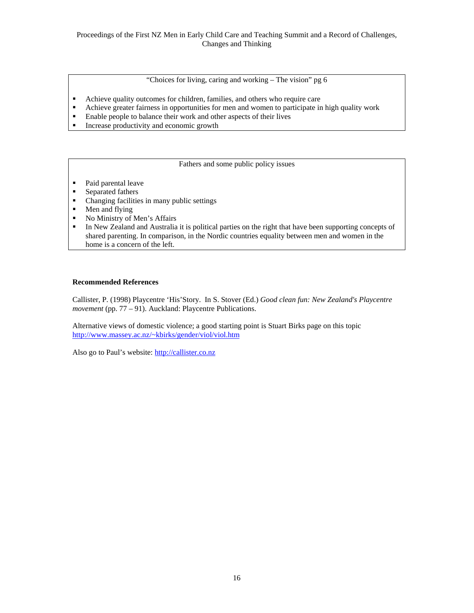"Choices for living, caring and working – The vision" pg 6

- Achieve quality outcomes for children, families, and others who require care
- Achieve greater fairness in opportunities for men and women to participate in high quality work
- Enable people to balance their work and other aspects of their lives
- Increase productivity and economic growth

Fathers and some public policy issues

- Paid parental leave
- Separated fathers
- Changing facilities in many public settings<br>• Men and flying
- Men and flying
- No Ministry of Men's Affairs
- In New Zealand and Australia it is political parties on the right that have been supporting concepts of shared parenting. In comparison, in the Nordic countries equality between men and women in the home is a concern of the left.

#### **Recommended References**

Callister, P. (1998) Playcentre 'His'Story. In S. Stover (Ed.) *Good clean fun: New Zealand's Playcentre movement* (pp. 77 – 91). Auckland: Playcentre Publications.

Alternative views of domestic violence; a good starting point is Stuart Birks page on this topic http://www.massey.ac.nz/~kbirks/gender/viol/viol.htm

Also go to Paul's website: http://callister.co.nz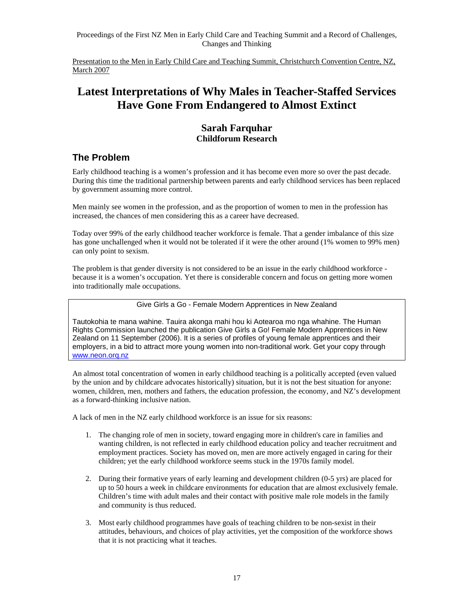Presentation to the Men in Early Child Care and Teaching Summit, Christchurch Convention Centre, NZ, March 2007

## **Latest Interpretations of Why Males in Teacher-Staffed Services Have Gone From Endangered to Almost Extinct**

#### **Sarah Farquhar Childforum Research**

## **The Problem**

Early childhood teaching is a women's profession and it has become even more so over the past decade. During this time the traditional partnership between parents and early childhood services has been replaced by government assuming more control.

Men mainly see women in the profession, and as the proportion of women to men in the profession has increased, the chances of men considering this as a career have decreased.

Today over 99% of the early childhood teacher workforce is female. That a gender imbalance of this size has gone unchallenged when it would not be tolerated if it were the other around (1% women to 99% men) can only point to sexism.

The problem is that gender diversity is not considered to be an issue in the early childhood workforce because it is a women's occupation. Yet there is considerable concern and focus on getting more women into traditionally male occupations.

Give Girls a Go - Female Modern Apprentices in New Zealand

Tautokohia te mana wahine. Tauira akonga mahi hou ki Aotearoa mo nga whahine. The Human Rights Commission launched the publication Give Girls a Go! Female Modern Apprentices in New Zealand on 11 September (2006). It is a series of profiles of young female apprentices and their employers, in a bid to attract more young women into non-traditional work. Get your copy through www.neon.orq.nz

An almost total concentration of women in early childhood teaching is a politically accepted (even valued by the union and by childcare advocates historically) situation, but it is not the best situation for anyone: women, children, men, mothers and fathers, the education profession, the economy, and NZ's development as a forward-thinking inclusive nation.

A lack of men in the NZ early childhood workforce is an issue for six reasons:

- 1. The changing role of men in society, toward engaging more in children's care in families and wanting children, is not reflected in early childhood education policy and teacher recruitment and employment practices. Society has moved on, men are more actively engaged in caring for their children; yet the early childhood workforce seems stuck in the 1970s family model.
- 2. During their formative years of early learning and development children (0-5 yrs) are placed for up to 50 hours a week in childcare environments for education that are almost exclusively female. Children's time with adult males and their contact with positive male role models in the family and community is thus reduced.
- 3. Most early childhood programmes have goals of teaching children to be non-sexist in their attitudes, behaviours, and choices of play activities, yet the composition of the workforce shows that it is not practicing what it teaches.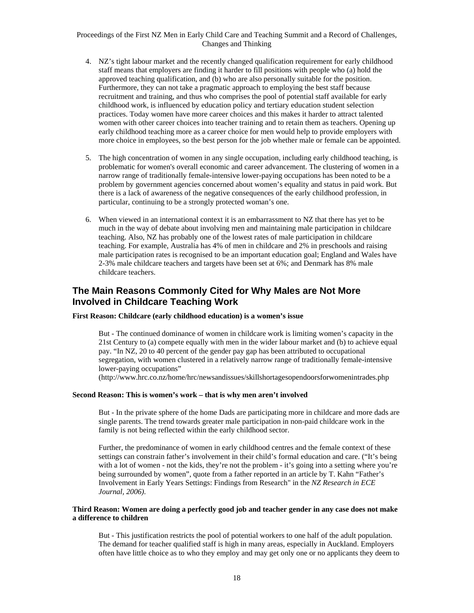- 4. NZ's tight labour market and the recently changed qualification requirement for early childhood staff means that employers are finding it harder to fill positions with people who (a) hold the approved teaching qualification, and (b) who are also personally suitable for the position. Furthermore, they can not take a pragmatic approach to employing the best staff because recruitment and training, and thus who comprises the pool of potential staff available for early childhood work, is influenced by education policy and tertiary education student selection practices. Today women have more career choices and this makes it harder to attract talented women with other career choices into teacher training and to retain them as teachers. Opening up early childhood teaching more as a career choice for men would help to provide employers with more choice in employees, so the best person for the job whether male or female can be appointed.
- 5. The high concentration of women in any single occupation, including early childhood teaching, is problematic for women's overall economic and career advancement. The clustering of women in a narrow range of traditionally female-intensive lower-paying occupations has been noted to be a problem by government agencies concerned about women's equality and status in paid work. But there is a lack of awareness of the negative consequences of the early childhood profession, in particular, continuing to be a strongly protected woman's one.
- 6. When viewed in an international context it is an embarrassment to NZ that there has yet to be much in the way of debate about involving men and maintaining male participation in childcare teaching. Also, NZ has probably one of the lowest rates of male participation in childcare teaching. For example, Australia has 4% of men in childcare and 2% in preschools and raising male participation rates is recognised to be an important education goal; England and Wales have 2-3% male childcare teachers and targets have been set at 6%; and Denmark has 8% male childcare teachers.

## **The Main Reasons Commonly Cited for Why Males are Not More Involved in Childcare Teaching Work**

#### **First Reason: Childcare (early childhood education) is a women's issue**

But - The continued dominance of women in childcare work is limiting women's capacity in the 21st Century to (a) compete equally with men in the wider labour market and (b) to achieve equal pay. "In NZ, 20 to 40 percent of the gender pay gap has been attributed to occupational segregation, with women clustered in a relatively narrow range of traditionally female-intensive lower-paying occupations"

(http://www.hrc.co.nz/home/hrc/newsandissues/skillshortagesopendoorsforwomenintrades.php

#### **Second Reason: This is women's work – that is why men aren't involved**

But - In the private sphere of the home Dads are participating more in childcare and more dads are single parents. The trend towards greater male participation in non-paid childcare work in the family is not being reflected within the early childhood sector.

Further, the predominance of women in early childhood centres and the female context of these settings can constrain father's involvement in their child's formal education and care. ("It's being with a lot of women - not the kids, they're not the problem - it's going into a setting where you're being surrounded by women", quote from a father reported in an article by T. Kahn "Father's Involvement in Early Years Settings: Findings from Research" in the *NZ Research in ECE Journal, 2006)*.

#### **Third Reason: Women are doing a perfectly good job and teacher gender in any case does not make a difference to children**

But - This justification restricts the pool of potential workers to one half of the adult population. The demand for teacher qualified staff is high in many areas, especially in Auckland. Employers often have little choice as to who they employ and may get only one or no applicants they deem to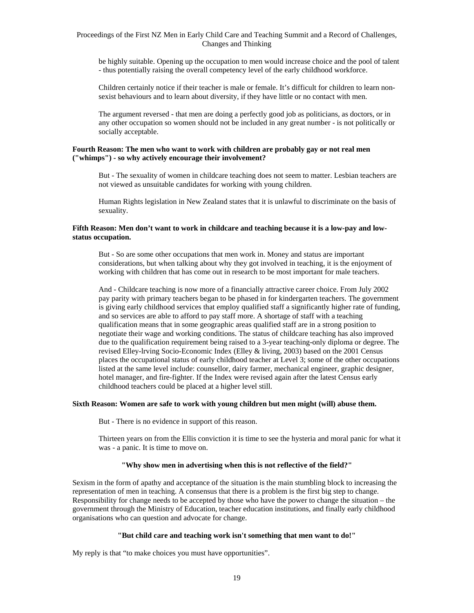be highly suitable. Opening up the occupation to men would increase choice and the pool of talent - thus potentially raising the overall competency level of the early childhood workforce.

Children certainly notice if their teacher is male or female. It's difficult for children to learn nonsexist behaviours and to learn about diversity, if they have little or no contact with men.

The argument reversed - that men are doing a perfectly good job as politicians, as doctors, or in any other occupation so women should not be included in any great number - is not politically or socially acceptable.

#### **Fourth Reason: The men who want to work with children are probably gay or not real men ("whimps") - so why actively encourage their involvement?**

But - The sexuality of women in childcare teaching does not seem to matter. Lesbian teachers are not viewed as unsuitable candidates for working with young children.

Human Rights legislation in New Zealand states that it is unlawful to discriminate on the basis of sexuality.

#### **Fifth Reason: Men don't want to work in childcare and teaching because it is a low-pay and lowstatus occupation.**

But - So are some other occupations that men work in. Money and status are important considerations, but when talking about why they got involved in teaching, it is the enjoyment of working with children that has come out in research to be most important for male teachers.

And - Childcare teaching is now more of a financially attractive career choice. From July 2002 pay parity with primary teachers began to be phased in for kindergarten teachers. The government is giving early childhood services that employ qualified staff a significantly higher rate of funding, and so services are able to afford to pay staff more. A shortage of staff with a teaching qualification means that in some geographic areas qualified staff are in a strong position to negotiate their wage and working conditions. The status of childcare teaching has also improved due to the qualification requirement being raised to a 3-year teaching-only diploma or degree. The revised Elley-lrving Socio-Economic Index (Elley & living, 2003) based on the 2001 Census places the occupational status of early childhood teacher at Level 3; some of the other occupations listed at the same level include: counsellor, dairy farmer, mechanical engineer, graphic designer, hotel manager, and fire-fighter. If the Index were revised again after the latest Census early childhood teachers could be placed at a higher level still.

#### **Sixth Reason: Women are safe to work with young children but men might (will) abuse them.**

But - There is no evidence in support of this reason.

Thirteen years on from the Ellis conviction it is time to see the hysteria and moral panic for what it was - a panic. It is time to move on.

#### **"Why show men in advertising when this is not reflective of the field?"**

Sexism in the form of apathy and acceptance of the situation is the main stumbling block to increasing the representation of men in teaching. A consensus that there is a problem is the first big step to change. Responsibility for change needs to be accepted by those who have the power to change the situation – the government through the Ministry of Education, teacher education institutions, and finally early childhood organisations who can question and advocate for change.

#### **"But child care and teaching work isn't something that men want to do!"**

My reply is that "to make choices you must have opportunities".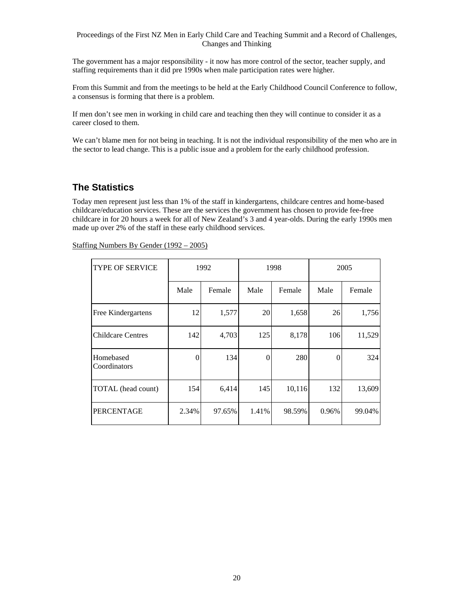The government has a major responsibility - it now has more control of the sector, teacher supply, and staffing requirements than it did pre 1990s when male participation rates were higher.

From this Summit and from the meetings to be held at the Early Childhood Council Conference to follow, a consensus is forming that there is a problem.

If men don't see men in working in child care and teaching then they will continue to consider it as a career closed to them.

We can't blame men for not being in teaching. It is not the individual responsibility of the men who are in the sector to lead change. This is a public issue and a problem for the early childhood profession.

## **The Statistics**

Today men represent just less than 1% of the staff in kindergartens, childcare centres and home-based childcare/education services. These are the services the government has chosen to provide fee-free childcare in for 20 hours a week for all of New Zealand's 3 and 4 year-olds. During the early 1990s men made up over 2% of the staff in these early childhood services.

| <b>TYPE OF SERVICE</b>    |       | 1992   | 1998  |        |       |        | 2005 |  |
|---------------------------|-------|--------|-------|--------|-------|--------|------|--|
|                           | Male  | Female | Male  | Female | Male  | Female |      |  |
| Free Kindergartens        | 12    | 1,577  | 20    | 1,658  | 26    | 1,756  |      |  |
| <b>Childcare Centres</b>  | 142   | 4,703  | 125   | 8,178  | 106   | 11,529 |      |  |
| Homebased<br>Coordinators | 0     | 134    | 0     | 280    | 0     | 324    |      |  |
| TOTAL (head count)        | 154   | 6,414  | 145   | 10,116 | 132   | 13,609 |      |  |
| <b>PERCENTAGE</b>         | 2.34% | 97.65% | 1.41% | 98.59% | 0.96% | 99.04% |      |  |

Staffing Numbers By Gender (1992 – 2005)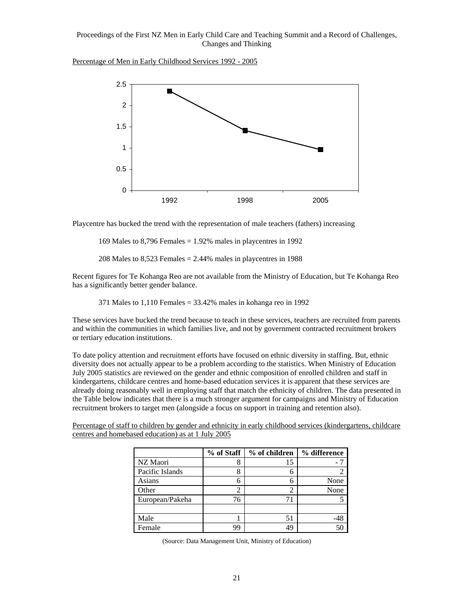Percentage of Men in Early Childhood Services 1992 - 2005



Playcentre has bucked the trend with the representation of male teachers (fathers) increasing

169 Males to  $8,796$  Females = 1.92% males in playcentres in 1992

208 Males to  $8,523$  Females = 2.44% males in playcentres in 1988

Recent figures for Te Kohanga Reo are not available from the Ministry of Education, but Te Kohanga Reo has a significantly better gender balance.

371 Males to 1,110 Females = 33.42% males in kohanga reo in 1992

These services have bucked the trend because to teach in these services, teachers are recruited from parents and within the communities in which families live, and not by government contracted recruitment brokers or tertiary education institutions.

To date policy attention and recruitment efforts have focused on ethnic diversity in staffing. But, ethnic diversity does not actually appear to be a problem according to the statistics. When Ministry of Education July 2005 statistics are reviewed on the gender and ethnic composition of enrolled children and staff in kindergartens, childcare centres and home-based education services it is apparent that these services are already doing reasonably well in employing staff that match the ethnicity of children. The data presented in the Table below indicates that there is a much stronger argument for campaigns and Ministry of Education recruitment brokers to target men (alongside a focus on support in training and retention also).

Percentage of staff to children by gender and ethnicity in early childhood services (kindergartens, childcare centres and homebased education) as at 1 July 2005

|                 | % of Staff | % of children | % difference |
|-----------------|------------|---------------|--------------|
| NZ Maori        | Ω          | 15            |              |
| Pacific Islands | 8          | 6             |              |
| Asians          |            |               | None         |
| Other           |            |               | None         |
| European/Pakeha | 76         |               |              |
|                 |            |               |              |
| Male            |            | 51            |              |
| Female          | 99         | 49            |              |

(Source: Data Management Unit, Ministry of Education)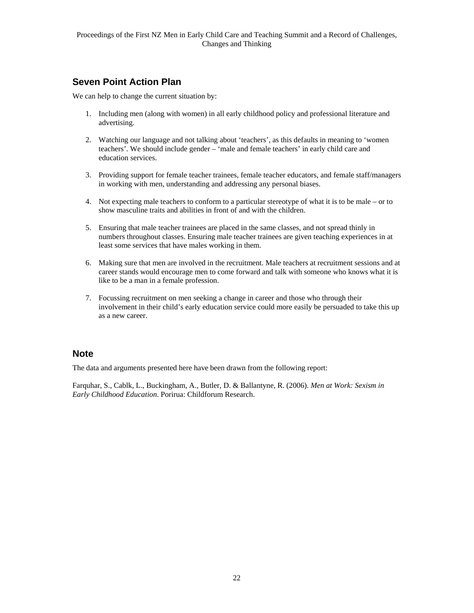## **Seven Point Action Plan**

We can help to change the current situation by:

- 1. Including men (along with women) in all early childhood policy and professional literature and advertising.
- 2. Watching our language and not talking about 'teachers', as this defaults in meaning to 'women teachers'. We should include gender – 'male and female teachers' in early child care and education services.
- 3. Providing support for female teacher trainees, female teacher educators, and female staff/managers in working with men, understanding and addressing any personal biases.
- 4. Not expecting male teachers to conform to a particular stereotype of what it is to be male or to show masculine traits and abilities in front of and with the children.
- 5. Ensuring that male teacher trainees are placed in the same classes, and not spread thinly in numbers throughout classes. Ensuring male teacher trainees are given teaching experiences in at least some services that have males working in them.
- 6. Making sure that men are involved in the recruitment. Male teachers at recruitment sessions and at career stands would encourage men to come forward and talk with someone who knows what it is like to be a man in a female profession.
- 7. Focussing recruitment on men seeking a change in career and those who through their involvement in their child's early education service could more easily be persuaded to take this up as a new career.

#### **Note**

The data and arguments presented here have been drawn from the following report:

Farquhar, S., Cablk, L., Buckingham, A., Butler, D. & Ballantyne, R. (2006). *Men at Work: Sexism in Early Childhood Education*. Porirua: Childforum Research.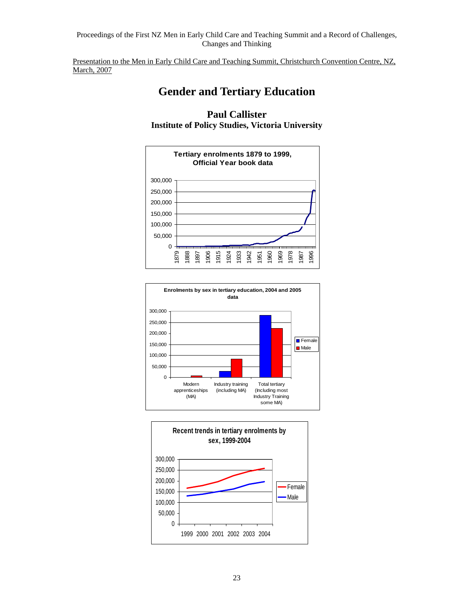Presentation to the Men in Early Child Care and Teaching Summit, Christchurch Convention Centre, NZ, March, 2007

## **Gender and Tertiary Education**







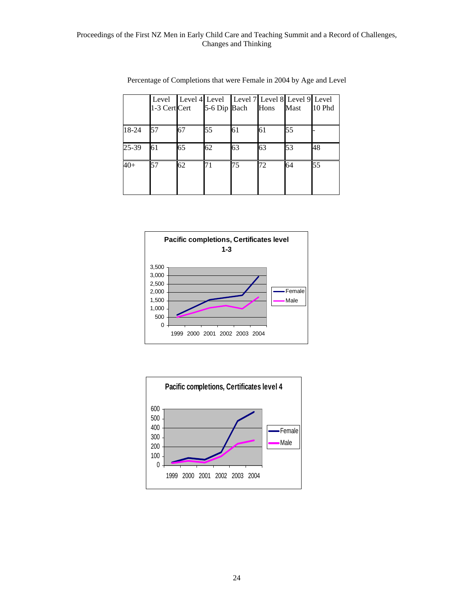|       | 1-3 Cert Cert |    | 5-6 Dip Bach | Level   Level 4 Level   Level 7 Level 8 Level 9 Level | Hons | Mast | 10 Phd |
|-------|---------------|----|--------------|-------------------------------------------------------|------|------|--------|
| 18-24 | 57            | 67 | 55           | 61                                                    | 61   | 55   |        |
| 25-39 | 61            | 65 | 62           | 63                                                    | 63   | 53   | 48     |
| $40+$ | 57            | 62 | 71           | 75                                                    | 72   | 64   | 55     |

| Percentage of Completions that were Female in 2004 by Age and Level |  |  |  |
|---------------------------------------------------------------------|--|--|--|
|                                                                     |  |  |  |



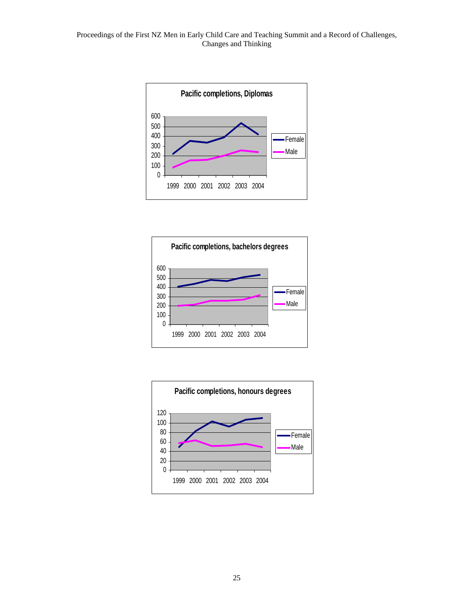



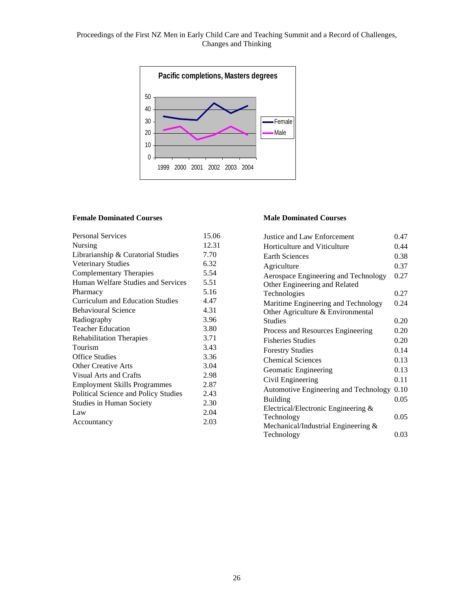# Changes and Thinking

Proceedings of the First NZ Men in Early Child Care and Teaching Summit and a Record of Challenges,



#### **Female Dominated Courses**

| <b>Personal Services</b>                | 15.06 |
|-----------------------------------------|-------|
| Nursing                                 | 12.31 |
| Librarianship & Curatorial Studies      | 7.70  |
| <b>Veterinary Studies</b>               | 6.32  |
| <b>Complementary Therapies</b>          | 5.54  |
| Human Welfare Studies and Services      | 5.51  |
| Pharmacy                                | 5.16  |
| <b>Curriculum and Education Studies</b> | 4.47  |
| <b>Behavioural Science</b>              | 4.31  |
| Radiography                             | 3.96  |
| <b>Teacher Education</b>                | 3.80  |
| <b>Rehabilitation Therapies</b>         | 3.71  |
| Tourism                                 | 3.43  |
| <b>Office Studies</b>                   | 3.36  |
| <b>Other Creative Arts</b>              | 3.04  |
| Visual Arts and Crafts                  | 2.98  |
| <b>Employment Skills Programmes</b>     | 2.87  |
| Political Science and Policy Studies    | 2.43  |
| <b>Studies in Human Society</b>         | 2.30  |
| Law                                     | 2.04  |
| Accountancy                             | 2.03  |
|                                         |       |

#### **Male Dominated Courses**

| Justice and Law Enforcement            | 0.47 |
|----------------------------------------|------|
| Horticulture and Viticulture           | 0.44 |
| <b>Earth Sciences</b>                  | 0.38 |
| Agriculture                            | 0.37 |
| Aerospace Engineering and Technology   | 0.27 |
| Other Engineering and Related          |      |
| Technologies                           | 0.27 |
| Maritime Engineering and Technology    | 0.24 |
| Other Agriculture & Environmental      |      |
| <b>Studies</b>                         | 0.20 |
| Process and Resources Engineering      | 0.20 |
| <b>Fisheries Studies</b>               | 0.20 |
| <b>Forestry Studies</b>                | 0.14 |
| <b>Chemical Sciences</b>               | 0.13 |
| Geomatic Engineering                   | 0.13 |
| Civil Engineering                      | 0.11 |
| Automotive Engineering and Technology  | 0.10 |
| <b>Building</b>                        | 0.05 |
| Electrical/Electronic Engineering &    |      |
| Technology                             | 0.05 |
| Mechanical/Industrial Engineering $\&$ |      |
| Technology                             | 0.03 |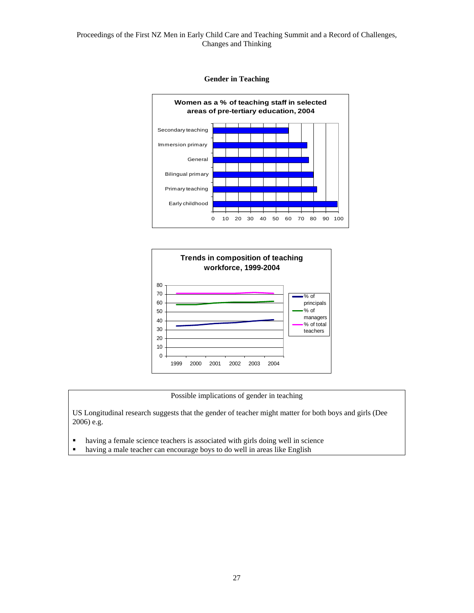





Possible implications of gender in teaching

US Longitudinal research suggests that the gender of teacher might matter for both boys and girls (Dee 2006) e.g.

- having a female science teachers is associated with girls doing well in science
- having a male teacher can encourage boys to do well in areas like English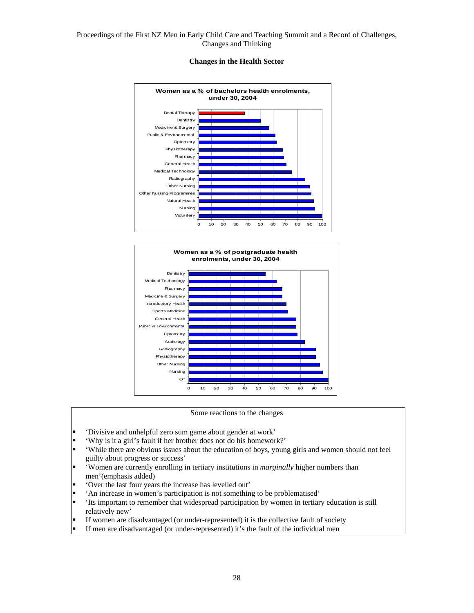#### **Changes in the Health Sector**





Some reactions to the changes

- 'Divisive and unhelpful zero sum game about gender at work'
- 'Why is it a girl's fault if her brother does not do his homework?'
- 'While there are obvious issues about the education of boys, young girls and women should not feel guilty about progress or success'
- 'Women are currently enrolling in tertiary institutions in *marginally* higher numbers than men'(emphasis added)
- 'Over the last four years the increase has levelled out'
- 'An increase in women's participation is not something to be problematised'<br>• 'Its important to remember that widespread participation by women in tertiar
- 'Its important to remember that widespread participation by women in tertiary education is still relatively new'
- If women are disadvantaged (or under-represented) it is the collective fault of society
- If men are disadvantaged (or under-represented) it's the fault of the individual men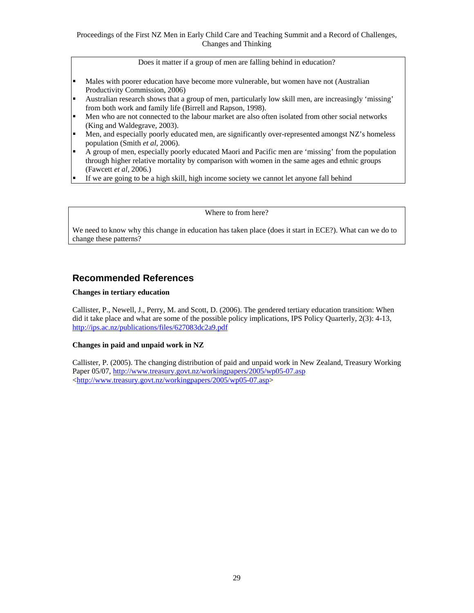Does it matter if a group of men are falling behind in education?

- Males with poorer education have become more vulnerable, but women have not (Australian Productivity Commission, 2006)
- Australian research shows that a group of men, particularly low skill men, are increasingly 'missing' from both work and family life (Birrell and Rapson, 1998).
- Men who are not connected to the labour market are also often isolated from other social networks (King and Waldegrave, 2003).
- Men, and especially poorly educated men, are significantly over-represented amongst NZ's homeless population (Smith *et al*, 2006).
- A group of men, especially poorly educated Maori and Pacific men are 'missing' from the population through higher relative mortality by comparison with women in the same ages and ethnic groups (Fawcett *et al*, 2006.)
- If we are going to be a high skill, high income society we cannot let anyone fall behind

Where to from here?

We need to know why this change in education has taken place (does it start in ECE?). What can we do to change these patterns?

### **Recommended References**

#### **Changes in tertiary education**

Callister, P., Newell, J., Perry, M. and Scott, D. (2006). The gendered tertiary education transition: When did it take place and what are some of the possible policy implications, IPS Policy Quarterly, 2(3): 4-13, http://ips.ac.nz/publications/files/627083dc2a9.pdf

#### **Changes in paid and unpaid work in NZ**

Callister, P. (2005). The changing distribution of paid and unpaid work in New Zealand, Treasury Working Paper 05/07, http://www.treasury.govt.nz/workingpapers/2005/wp05-07.asp <http://www.treasury.govt.nz/workingpapers/2005/wp05-07.asp>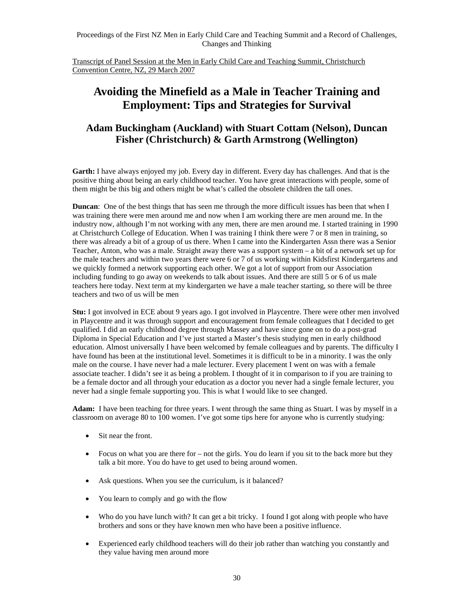Transcript of Panel Session at the Men in Early Child Care and Teaching Summit, Christchurch Convention Centre, NZ, 29 March 2007

## **Avoiding the Minefield as a Male in Teacher Training and Employment: Tips and Strategies for Survival**

## **Adam Buckingham (Auckland) with Stuart Cottam (Nelson), Duncan Fisher (Christchurch) & Garth Armstrong (Wellington)**

**Garth:** I have always enjoyed my job. Every day in different. Every day has challenges. And that is the positive thing about being an early childhood teacher. You have great interactions with people, some of them might be this big and others might be what's called the obsolete children the tall ones.

**Duncan**: One of the best things that has seen me through the more difficult issues has been that when I was training there were men around me and now when I am working there are men around me. In the industry now, although I'm not working with any men, there are men around me. I started training in 1990 at Christchurch College of Education. When I was training I think there were 7 or 8 men in training, so there was already a bit of a group of us there. When I came into the Kindergarten Assn there was a Senior Teacher, Anton, who was a male. Straight away there was a support system – a bit of a network set up for the male teachers and within two years there were 6 or 7 of us working within Kidsfirst Kindergartens and we quickly formed a network supporting each other. We got a lot of support from our Association including funding to go away on weekends to talk about issues. And there are still 5 or 6 of us male teachers here today. Next term at my kindergarten we have a male teacher starting, so there will be three teachers and two of us will be men

**Stu:** I got involved in ECE about 9 years ago. I got involved in Playcentre. There were other men involved in Playcentre and it was through support and encouragement from female colleagues that I decided to get qualified. I did an early childhood degree through Massey and have since gone on to do a post-grad Diploma in Special Education and I've just started a Master's thesis studying men in early childhood education. Almost universally I have been welcomed by female colleagues and by parents. The difficulty I have found has been at the institutional level. Sometimes it is difficult to be in a minority. I was the only male on the course. I have never had a male lecturer. Every placement I went on was with a female associate teacher. I didn't see it as being a problem. I thought of it in comparison to if you are training to be a female doctor and all through your education as a doctor you never had a single female lecturer, you never had a single female supporting you. This is what I would like to see changed.

**Adam:** I have been teaching for three years. I went through the same thing as Stuart. I was by myself in a classroom on average 80 to 100 women. I've got some tips here for anyone who is currently studying:

- Sit near the front.
- Focus on what you are there for not the girls. You do learn if you sit to the back more but they talk a bit more. You do have to get used to being around women.
- Ask questions. When you see the curriculum, is it balanced?
- You learn to comply and go with the flow
- Who do you have lunch with? It can get a bit tricky. I found I got along with people who have brothers and sons or they have known men who have been a positive influence.
- Experienced early childhood teachers will do their job rather than watching you constantly and they value having men around more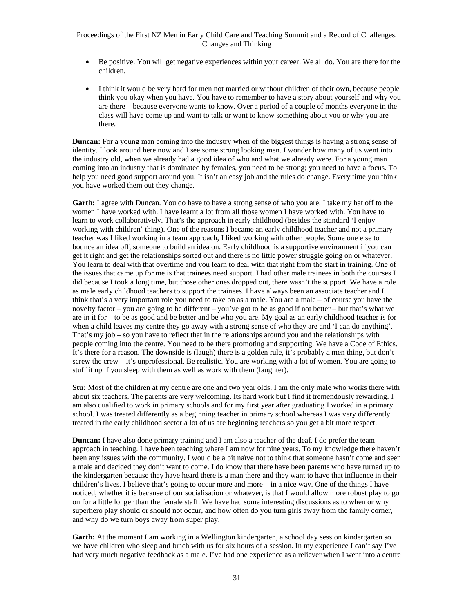- Be positive. You will get negative experiences within your career. We all do. You are there for the children.
- I think it would be very hard for men not married or without children of their own, because people think you okay when you have. You have to remember to have a story about yourself and why you are there – because everyone wants to know. Over a period of a couple of months everyone in the class will have come up and want to talk or want to know something about you or why you are there.

**Duncan:** For a young man coming into the industry when of the biggest things is having a strong sense of identity. I look around here now and I see some strong looking men. I wonder how many of us went into the industry old, when we already had a good idea of who and what we already were. For a young man coming into an industry that is dominated by females, you need to be strong; you need to have a focus. To help you need good support around you. It isn't an easy job and the rules do change. Every time you think you have worked them out they change.

**Garth:** I agree with Duncan. You do have to have a strong sense of who you are. I take my hat off to the women I have worked with. I have learnt a lot from all those women I have worked with. You have to learn to work collaboratively. That's the approach in early childhood (besides the standard 'I enjoy working with children' thing). One of the reasons I became an early childhood teacher and not a primary teacher was I liked working in a team approach, I liked working with other people. Some one else to bounce an idea off, someone to build an idea on. Early childhood is a supportive environment if you can get it right and get the relationships sorted out and there is no little power struggle going on or whatever. You learn to deal with that overtime and you learn to deal with that right from the start in training. One of the issues that came up for me is that trainees need support. I had other male trainees in both the courses I did because I took a long time, but those other ones dropped out, there wasn't the support. We have a role as male early childhood teachers to support the trainees. I have always been an associate teacher and I think that's a very important role you need to take on as a male. You are a male – of course you have the novelty factor – you are going to be different – you've got to be as good if not better – but that's what we are in it for – to be as good and be better and be who you are. My goal as an early childhood teacher is for when a child leaves my centre they go away with a strong sense of who they are and 'I can do anything'. That's my job – so you have to reflect that in the relationships around you and the relationships with people coming into the centre. You need to be there promoting and supporting. We have a Code of Ethics. It's there for a reason. The downside is (laugh) there is a golden rule, it's probably a men thing, but don't screw the crew – it's unprofessional. Be realistic. You are working with a lot of women. You are going to stuff it up if you sleep with them as well as work with them (laughter).

**Stu:** Most of the children at my centre are one and two year olds. I am the only male who works there with about six teachers. The parents are very welcoming. Its hard work but I find it tremendously rewarding. I am also qualified to work in primary schools and for my first year after graduating I worked in a primary school. I was treated differently as a beginning teacher in primary school whereas I was very differently treated in the early childhood sector a lot of us are beginning teachers so you get a bit more respect.

**Duncan:** I have also done primary training and I am also a teacher of the deaf. I do prefer the team approach in teaching. I have been teaching where I am now for nine years. To my knowledge there haven't been any issues with the community. I would be a bit naïve not to think that someone hasn't come and seen a male and decided they don't want to come. I do know that there have been parents who have turned up to the kindergarten because they have heard there is a man there and they want to have that influence in their children's lives. I believe that's going to occur more and more – in a nice way. One of the things I have noticed, whether it is because of our socialisation or whatever, is that I would allow more robust play to go on for a little longer than the female staff. We have had some interesting discussions as to when or why superhero play should or should not occur, and how often do you turn girls away from the family corner, and why do we turn boys away from super play.

Garth: At the moment I am working in a Wellington kindergarten, a school day session kindergarten so we have children who sleep and lunch with us for six hours of a session. In my experience I can't say I've had very much negative feedback as a male. I've had one experience as a reliever when I went into a centre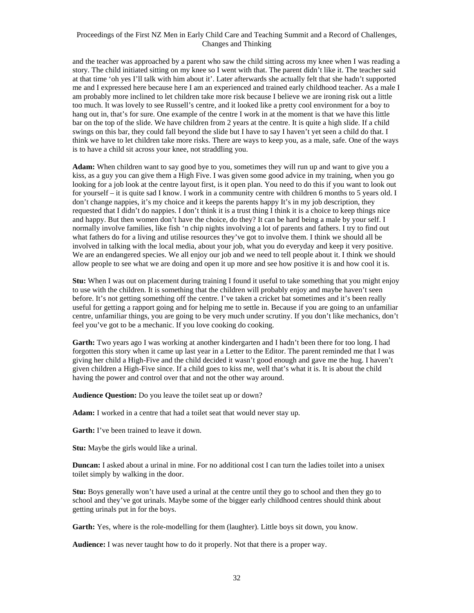and the teacher was approached by a parent who saw the child sitting across my knee when I was reading a story. The child initiated sitting on my knee so I went with that. The parent didn't like it. The teacher said at that time 'oh yes I'll talk with him about it'. Later afterwards she actually felt that she hadn't supported me and I expressed here because here I am an experienced and trained early childhood teacher. As a male I am probably more inclined to let children take more risk because I believe we are ironing risk out a little too much. It was lovely to see Russell's centre, and it looked like a pretty cool environment for a boy to hang out in, that's for sure. One example of the centre I work in at the moment is that we have this little bar on the top of the slide. We have children from 2 years at the centre. It is quite a high slide. If a child swings on this bar, they could fall beyond the slide but I have to say I haven't yet seen a child do that. I think we have to let children take more risks. There are ways to keep you, as a male, safe. One of the ways is to have a child sit across your knee, not straddling you.

**Adam:** When children want to say good bye to you, sometimes they will run up and want to give you a kiss, as a guy you can give them a High Five. I was given some good advice in my training, when you go looking for a job look at the centre layout first, is it open plan. You need to do this if you want to look out for yourself – it is quite sad I know. I work in a community centre with children 6 months to 5 years old. I don't change nappies, it's my choice and it keeps the parents happy It's in my job description, they requested that I didn't do nappies. I don't think it is a trust thing I think it is a choice to keep things nice and happy. But then women don't have the choice, do they? It can be hard being a male by your self. I normally involve families, like fish 'n chip nights involving a lot of parents and fathers. I try to find out what fathers do for a living and utilise resources they've got to involve them. I think we should all be involved in talking with the local media, about your job, what you do everyday and keep it very positive. We are an endangered species. We all enjoy our job and we need to tell people about it. I think we should allow people to see what we are doing and open it up more and see how positive it is and how cool it is.

**Stu:** When I was out on placement during training I found it useful to take something that you might enjoy to use with the children. It is something that the children will probably enjoy and maybe haven't seen before. It's not getting something off the centre. I've taken a cricket bat sometimes and it's been really useful for getting a rapport going and for helping me to settle in. Because if you are going to an unfamiliar centre, unfamiliar things, you are going to be very much under scrutiny. If you don't like mechanics, don't feel you've got to be a mechanic. If you love cooking do cooking.

Garth: Two years ago I was working at another kindergarten and I hadn't been there for too long. I had forgotten this story when it came up last year in a Letter to the Editor. The parent reminded me that I was giving her child a High-Five and the child decided it wasn't good enough and gave me the hug. I haven't given children a High-Five since. If a child goes to kiss me, well that's what it is. It is about the child having the power and control over that and not the other way around.

**Audience Question:** Do you leave the toilet seat up or down?

**Adam:** I worked in a centre that had a toilet seat that would never stay up.

**Garth:** I've been trained to leave it down.

**Stu:** Maybe the girls would like a urinal.

**Duncan:** I asked about a urinal in mine. For no additional cost I can turn the ladies toilet into a unisex toilet simply by walking in the door.

**Stu:** Boys generally won't have used a urinal at the centre until they go to school and then they go to school and they've got urinals. Maybe some of the bigger early childhood centres should think about getting urinals put in for the boys.

**Garth:** Yes, where is the role-modelling for them (laughter). Little boys sit down, you know.

**Audience:** I was never taught how to do it properly. Not that there is a proper way.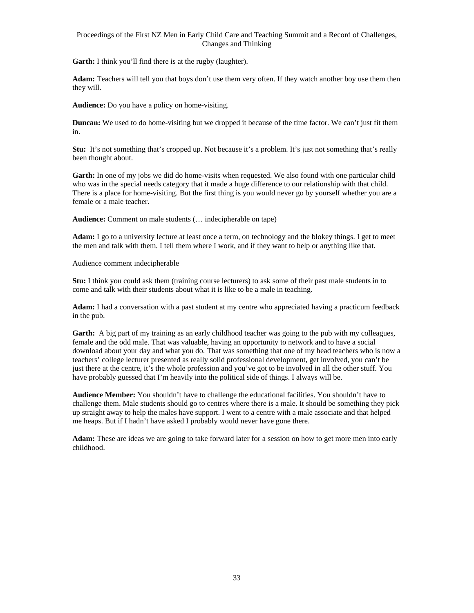**Garth:** I think you'll find there is at the rugby (laughter).

**Adam:** Teachers will tell you that boys don't use them very often. If they watch another boy use them then they will.

**Audience:** Do you have a policy on home-visiting.

**Duncan:** We used to do home-visiting but we dropped it because of the time factor. We can't just fit them in.

**Stu:** It's not something that's cropped up. Not because it's a problem. It's just not something that's really been thought about.

Garth: In one of my jobs we did do home-visits when requested. We also found with one particular child who was in the special needs category that it made a huge difference to our relationship with that child. There is a place for home-visiting. But the first thing is you would never go by yourself whether you are a female or a male teacher.

**Audience:** Comment on male students (… indecipherable on tape)

**Adam:** I go to a university lecture at least once a term, on technology and the blokey things. I get to meet the men and talk with them. I tell them where I work, and if they want to help or anything like that.

Audience comment indecipherable

**Stu:** I think you could ask them (training course lecturers) to ask some of their past male students in to come and talk with their students about what it is like to be a male in teaching.

**Adam:** I had a conversation with a past student at my centre who appreciated having a practicum feedback in the pub.

Garth: A big part of my training as an early childhood teacher was going to the pub with my colleagues, female and the odd male. That was valuable, having an opportunity to network and to have a social download about your day and what you do. That was something that one of my head teachers who is now a teachers' college lecturer presented as really solid professional development, get involved, you can't be just there at the centre, it's the whole profession and you've got to be involved in all the other stuff. You have probably guessed that I'm heavily into the political side of things. I always will be.

**Audience Member:** You shouldn't have to challenge the educational facilities. You shouldn't have to challenge them. Male students should go to centres where there is a male. It should be something they pick up straight away to help the males have support. I went to a centre with a male associate and that helped me heaps. But if I hadn't have asked I probably would never have gone there.

**Adam:** These are ideas we are going to take forward later for a session on how to get more men into early childhood.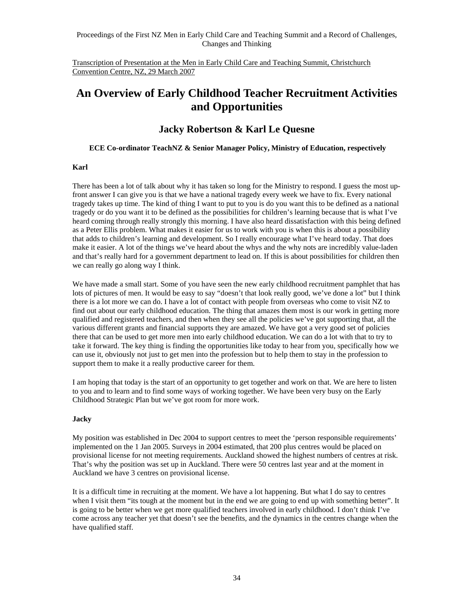Transcription of Presentation at the Men in Early Child Care and Teaching Summit, Christchurch Convention Centre, NZ, 29 March 2007

# **An Overview of Early Childhood Teacher Recruitment Activities and Opportunities**

### **Jacky Robertson & Karl Le Quesne**

#### **ECE Co-ordinator TeachNZ & Senior Manager Policy, Ministry of Education, respectively**

#### **Karl**

There has been a lot of talk about why it has taken so long for the Ministry to respond. I guess the most upfront answer I can give you is that we have a national tragedy every week we have to fix. Every national tragedy takes up time. The kind of thing I want to put to you is do you want this to be defined as a national tragedy or do you want it to be defined as the possibilities for children's learning because that is what I've heard coming through really strongly this morning. I have also heard dissatisfaction with this being defined as a Peter Ellis problem. What makes it easier for us to work with you is when this is about a possibility that adds to children's learning and development. So I really encourage what I've heard today. That does make it easier. A lot of the things we've heard about the whys and the why nots are incredibly value-laden and that's really hard for a government department to lead on. If this is about possibilities for children then we can really go along way I think.

We have made a small start. Some of you have seen the new early childhood recruitment pamphlet that has lots of pictures of men. It would be easy to say "doesn't that look really good, we've done a lot" but I think there is a lot more we can do. I have a lot of contact with people from overseas who come to visit NZ to find out about our early childhood education. The thing that amazes them most is our work in getting more qualified and registered teachers, and then when they see all the policies we've got supporting that, all the various different grants and financial supports they are amazed. We have got a very good set of policies there that can be used to get more men into early childhood education. We can do a lot with that to try to take it forward. The key thing is finding the opportunities like today to hear from you, specifically how we can use it, obviously not just to get men into the profession but to help them to stay in the profession to support them to make it a really productive career for them.

I am hoping that today is the start of an opportunity to get together and work on that. We are here to listen to you and to learn and to find some ways of working together. We have been very busy on the Early Childhood Strategic Plan but we've got room for more work.

### **Jacky**

My position was established in Dec 2004 to support centres to meet the 'person responsible requirements' implemented on the 1 Jan 2005. Surveys in 2004 estimated, that 200 plus centres would be placed on provisional license for not meeting requirements. Auckland showed the highest numbers of centres at risk. That's why the position was set up in Auckland. There were 50 centres last year and at the moment in Auckland we have 3 centres on provisional license.

It is a difficult time in recruiting at the moment. We have a lot happening. But what I do say to centres when I visit them "its tough at the moment but in the end we are going to end up with something better". It is going to be better when we get more qualified teachers involved in early childhood. I don't think I've come across any teacher yet that doesn't see the benefits, and the dynamics in the centres change when the have qualified staff.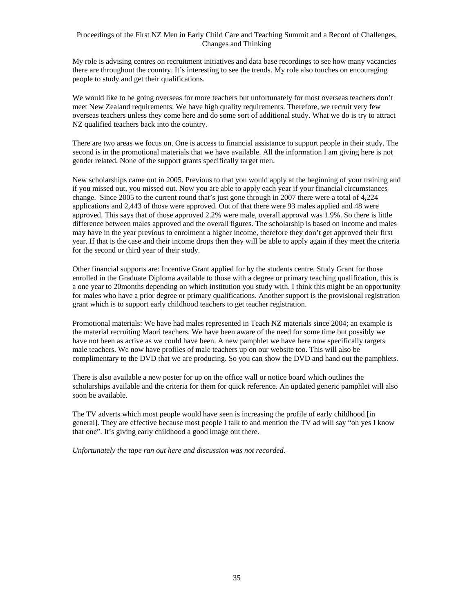My role is advising centres on recruitment initiatives and data base recordings to see how many vacancies there are throughout the country. It's interesting to see the trends. My role also touches on encouraging people to study and get their qualifications.

We would like to be going overseas for more teachers but unfortunately for most overseas teachers don't meet New Zealand requirements. We have high quality requirements. Therefore, we recruit very few overseas teachers unless they come here and do some sort of additional study. What we do is try to attract NZ qualified teachers back into the country.

There are two areas we focus on. One is access to financial assistance to support people in their study. The second is in the promotional materials that we have available. All the information I am giving here is not gender related. None of the support grants specifically target men.

New scholarships came out in 2005. Previous to that you would apply at the beginning of your training and if you missed out, you missed out. Now you are able to apply each year if your financial circumstances change. Since 2005 to the current round that's just gone through in 2007 there were a total of 4,224 applications and 2,443 of those were approved. Out of that there were 93 males applied and 48 were approved. This says that of those approved 2.2% were male, overall approval was 1.9%. So there is little difference between males approved and the overall figures. The scholarship is based on income and males may have in the year previous to enrolment a higher income, therefore they don't get approved their first year. If that is the case and their income drops then they will be able to apply again if they meet the criteria for the second or third year of their study.

Other financial supports are: Incentive Grant applied for by the students centre. Study Grant for those enrolled in the Graduate Diploma available to those with a degree or primary teaching qualification, this is a one year to 20months depending on which institution you study with. I think this might be an opportunity for males who have a prior degree or primary qualifications. Another support is the provisional registration grant which is to support early childhood teachers to get teacher registration.

Promotional materials: We have had males represented in Teach NZ materials since 2004; an example is the material recruiting Maori teachers. We have been aware of the need for some time but possibly we have not been as active as we could have been. A new pamphlet we have here now specifically targets male teachers. We now have profiles of male teachers up on our website too. This will also be complimentary to the DVD that we are producing. So you can show the DVD and hand out the pamphlets.

There is also available a new poster for up on the office wall or notice board which outlines the scholarships available and the criteria for them for quick reference. An updated generic pamphlet will also soon be available.

The TV adverts which most people would have seen is increasing the profile of early childhood [in general]. They are effective because most people I talk to and mention the TV ad will say "oh yes I know that one". It's giving early childhood a good image out there.

*Unfortunately the tape ran out here and discussion was not recorded.*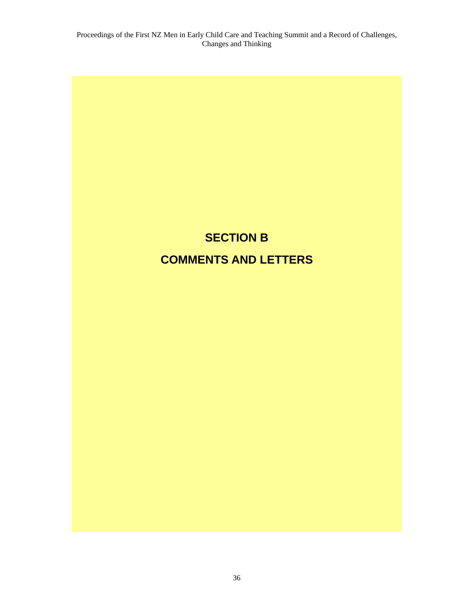# **SECTION B COMMENTS AND LETTERS**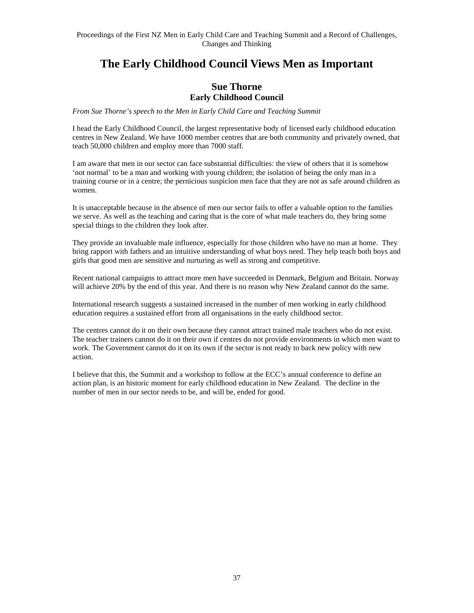# **The Early Childhood Council Views Men as Important**

### **Sue Thorne Early Childhood Council**

*From Sue Thorne's speech to the Men in Early Child Care and Teaching Summit* 

I head the Early Childhood Council, the largest representative body of licensed early childhood education centres in New Zealand. We have 1000 member centres that are both community and privately owned, that teach 50,000 children and employ more than 7000 staff.

I am aware that men in our sector can face substantial difficulties: the view of others that it is somehow 'not normal' to be a man and working with young children; the isolation of being the only man in a training course or in a centre; the pernicious suspicion men face that they are not as safe around children as women.

It is unacceptable because in the absence of men our sector fails to offer a valuable option to the families we serve. As well as the teaching and caring that is the core of what male teachers do, they bring some special things to the children they look after.

They provide an invaluable male influence, especially for those children who have no man at home. They bring rapport with fathers and an intuitive understanding of what boys need. They help teach both boys and girls that good men are sensitive and nurturing as well as strong and competitive.

Recent national campaigns to attract more men have succeeded in Denmark, Belgium and Britain. Norway will achieve 20% by the end of this year. And there is no reason why New Zealand cannot do the same.

International research suggests a sustained increased in the number of men working in early childhood education requires a sustained effort from all organisations in the early childhood sector.

The centres cannot do it on their own because they cannot attract trained male teachers who do not exist. The teacher trainers cannot do it on their own if centres do not provide environments in which men want to work. The Government cannot do it on its own if the sector is not ready to back new policy with new action.

I believe that this, the Summit and a workshop to follow at the ECC's annual conference to define an action plan, is an historic moment for early childhood education in New Zealand. The decline in the number of men in our sector needs to be, and will be, ended for good.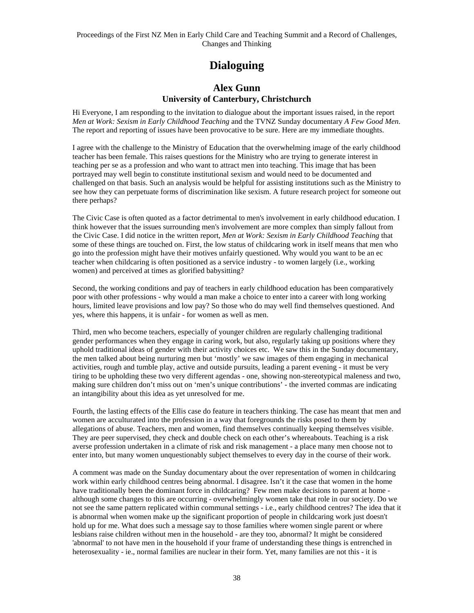# **Dialoguing**

### **Alex Gunn University of Canterbury, Christchurch**

Hi Everyone, I am responding to the invitation to dialogue about the important issues raised, in the report *Men at Work: Sexism in Early Childhood Teaching* and the TVNZ Sunday documentary *A Few Good Men*. The report and reporting of issues have been provocative to be sure. Here are my immediate thoughts.

I agree with the challenge to the Ministry of Education that the overwhelming image of the early childhood teacher has been female. This raises questions for the Ministry who are trying to generate interest in teaching per se as a profession and who want to attract men into teaching. This image that has been portrayed may well begin to constitute institutional sexism and would need to be documented and challenged on that basis. Such an analysis would be helpful for assisting institutions such as the Ministry to see how they can perpetuate forms of discrimination like sexism. A future research project for someone out there perhaps?

The Civic Case is often quoted as a factor detrimental to men's involvement in early childhood education. I think however that the issues surrounding men's involvement are more complex than simply fallout from the Civic Case. I did notice in the written report, *Men at Work: Sexism in Early Childhood Teaching* that some of these things are touched on. First, the low status of childcaring work in itself means that men who go into the profession might have their motives unfairly questioned. Why would you want to be an ec teacher when childcaring is often positioned as a service industry - to women largely (i.e., working women) and perceived at times as glorified babysitting?

Second, the working conditions and pay of teachers in early childhood education has been comparatively poor with other professions - why would a man make a choice to enter into a career with long working hours, limited leave provisions and low pay? So those who do may well find themselves questioned. And yes, where this happens, it is unfair - for women as well as men.

Third, men who become teachers, especially of younger children are regularly challenging traditional gender performances when they engage in caring work, but also, regularly taking up positions where they uphold traditional ideas of gender with their activity choices etc. We saw this in the Sunday documentary, the men talked about being nurturing men but 'mostly' we saw images of them engaging in mechanical activities, rough and tumble play, active and outside pursuits, leading a parent evening - it must be very tiring to be upholding these two very different agendas - one, showing non-stereotypical maleness and two, making sure children don't miss out on 'men's unique contributions' - the inverted commas are indicating an intangibility about this idea as yet unresolved for me.

Fourth, the lasting effects of the Ellis case do feature in teachers thinking. The case has meant that men and women are acculturated into the profession in a way that foregrounds the risks posed to them by allegations of abuse. Teachers, men and women, find themselves continually keeping themselves visible. They are peer supervised, they check and double check on each other's whereabouts. Teaching is a risk averse profession undertaken in a climate of risk and risk management - a place many men choose not to enter into, but many women unquestionably subject themselves to every day in the course of their work.

A comment was made on the Sunday documentary about the over representation of women in childcaring work within early childhood centres being abnormal. I disagree. Isn't it the case that women in the home have traditionally been the dominant force in childcaring? Few men make decisions to parent at home although some changes to this are occurring - overwhelmingly women take that role in our society. Do we not see the same pattern replicated within communal settings - i.e., early childhood centres? The idea that it is abnormal when women make up the significant proportion of people in childcaring work just doesn't hold up for me. What does such a message say to those families where women single parent or where lesbians raise children without men in the household - are they too, abnormal? It might be considered 'abnormal' to not have men in the household if your frame of understanding these things is entrenched in heterosexuality - ie., normal families are nuclear in their form. Yet, many families are not this - it is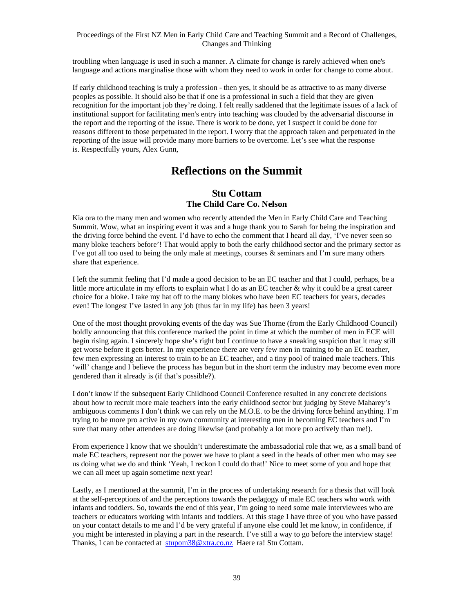troubling when language is used in such a manner. A climate for change is rarely achieved when one's language and actions marginalise those with whom they need to work in order for change to come about.

If early childhood teaching is truly a profession - then yes, it should be as attractive to as many diverse peoples as possible. It should also be that if one is a professional in such a field that they are given recognition for the important job they're doing. I felt really saddened that the legitimate issues of a lack of institutional support for facilitating men's entry into teaching was clouded by the adversarial discourse in the report and the reporting of the issue. There is work to be done, yet I suspect it could be done for reasons different to those perpetuated in the report. I worry that the approach taken and perpetuated in the reporting of the issue will provide many more barriers to be overcome. Let's see what the response is. Respectfully yours, Alex Gunn,

# **Reflections on the Summit**

### **Stu Cottam The Child Care Co. Nelson**

Kia ora to the many men and women who recently attended the Men in Early Child Care and Teaching Summit. Wow, what an inspiring event it was and a huge thank you to Sarah for being the inspiration and the driving force behind the event. I'd have to echo the comment that I heard all day, 'I've never seen so many bloke teachers before'! That would apply to both the early childhood sector and the primary sector as I've got all too used to being the only male at meetings, courses & seminars and I'm sure many others share that experience.

I left the summit feeling that I'd made a good decision to be an EC teacher and that I could, perhaps, be a little more articulate in my efforts to explain what I do as an EC teacher & why it could be a great career choice for a bloke. I take my hat off to the many blokes who have been EC teachers for years, decades even! The longest I've lasted in any job (thus far in my life) has been 3 years!

One of the most thought provoking events of the day was Sue Thorne (from the Early Childhood Council) boldly announcing that this conference marked the point in time at which the number of men in ECE will begin rising again. I sincerely hope she's right but I continue to have a sneaking suspicion that it may still get worse before it gets better. In my experience there are very few men in training to be an EC teacher, few men expressing an interest to train to be an EC teacher, and a tiny pool of trained male teachers. This 'will' change and I believe the process has begun but in the short term the industry may become even more gendered than it already is (if that's possible?).

I don't know if the subsequent Early Childhood Council Conference resulted in any concrete decisions about how to recruit more male teachers into the early childhood sector but judging by Steve Maharey's ambiguous comments I don't think we can rely on the M.O.E. to be the driving force behind anything. I'm trying to be more pro active in my own community at interesting men in becoming EC teachers and I'm sure that many other attendees are doing likewise (and probably a lot more pro actively than me!).

From experience I know that we shouldn't underestimate the ambassadorial role that we, as a small band of male EC teachers, represent nor the power we have to plant a seed in the heads of other men who may see us doing what we do and think 'Yeah, I reckon I could do that!' Nice to meet some of you and hope that we can all meet up again sometime next year!

Lastly, as I mentioned at the summit, I'm in the process of undertaking research for a thesis that will look at the self-perceptions of and the perceptions towards the pedagogy of male EC teachers who work with infants and toddlers. So, towards the end of this year, I'm going to need some male interviewees who are teachers or educators working with infants and toddlers. At this stage I have three of you who have passed on your contact details to me and I'd be very grateful if anyone else could let me know, in confidence, if you might be interested in playing a part in the research. I've still a way to go before the interview stage! Thanks, I can be contacted at stupom38@xtra.co.nz Haere ra! Stu Cottam.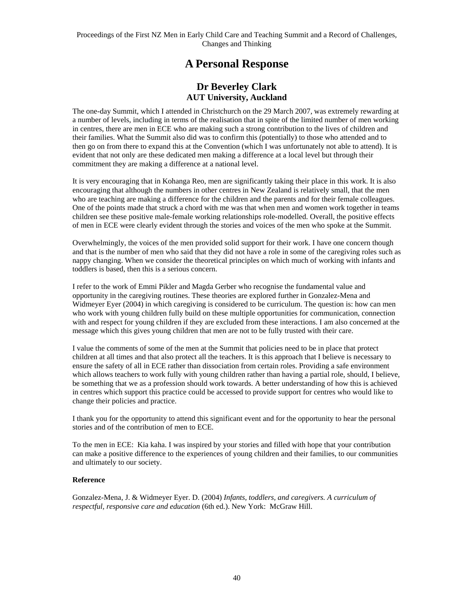# **A Personal Response**

### **Dr Beverley Clark AUT University, Auckland**

The one-day Summit, which I attended in Christchurch on the 29 March 2007, was extremely rewarding at a number of levels, including in terms of the realisation that in spite of the limited number of men working in centres, there are men in ECE who are making such a strong contribution to the lives of children and their families. What the Summit also did was to confirm this (potentially) to those who attended and to then go on from there to expand this at the Convention (which I was unfortunately not able to attend). It is evident that not only are these dedicated men making a difference at a local level but through their commitment they are making a difference at a national level.

It is very encouraging that in Kohanga Reo, men are significantly taking their place in this work. It is also encouraging that although the numbers in other centres in New Zealand is relatively small, that the men who are teaching are making a difference for the children and the parents and for their female colleagues. One of the points made that struck a chord with me was that when men and women work together in teams children see these positive male-female working relationships role-modelled. Overall, the positive effects of men in ECE were clearly evident through the stories and voices of the men who spoke at the Summit.

Overwhelmingly, the voices of the men provided solid support for their work. I have one concern though and that is the number of men who said that they did not have a role in some of the caregiving roles such as nappy changing. When we consider the theoretical principles on which much of working with infants and toddlers is based, then this is a serious concern.

I refer to the work of Emmi Pikler and Magda Gerber who recognise the fundamental value and opportunity in the caregiving routines. These theories are explored further in Gonzalez-Mena and Widmeyer Eyer (2004) in which caregiving is considered to be curriculum. The question is: how can men who work with young children fully build on these multiple opportunities for communication, connection with and respect for young children if they are excluded from these interactions. I am also concerned at the message which this gives young children that men are not to be fully trusted with their care.

I value the comments of some of the men at the Summit that policies need to be in place that protect children at all times and that also protect all the teachers. It is this approach that I believe is necessary to ensure the safety of all in ECE rather than dissociation from certain roles. Providing a safe environment which allows teachers to work fully with young children rather than having a partial role, should, I believe, be something that we as a profession should work towards. A better understanding of how this is achieved in centres which support this practice could be accessed to provide support for centres who would like to change their policies and practice.

I thank you for the opportunity to attend this significant event and for the opportunity to hear the personal stories and of the contribution of men to ECE.

To the men in ECE: Kia kaha. I was inspired by your stories and filled with hope that your contribution can make a positive difference to the experiences of young children and their families, to our communities and ultimately to our society.

### **Reference**

Gonzalez-Mena, J. & Widmeyer Eyer. D. (2004) *Infants, toddlers, and caregivers. A curriculum of respectful, responsive care and education* (6th ed.). New York: McGraw Hill.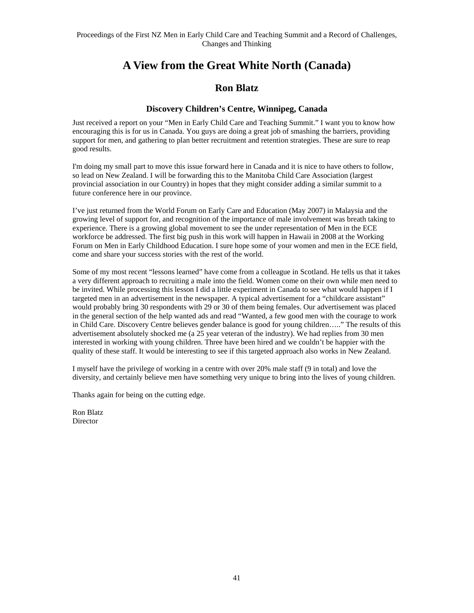# **A View from the Great White North (Canada)**

### **Ron Blatz**

### **Discovery Children's Centre, Winnipeg, Canada**

Just received a report on your "Men in Early Child Care and Teaching Summit." I want you to know how encouraging this is for us in Canada. You guys are doing a great job of smashing the barriers, providing support for men, and gathering to plan better recruitment and retention strategies. These are sure to reap good results.

I'm doing my small part to move this issue forward here in Canada and it is nice to have others to follow, so lead on New Zealand. I will be forwarding this to the Manitoba Child Care Association (largest provincial association in our Country) in hopes that they might consider adding a similar summit to a future conference here in our province.

I've just returned from the World Forum on Early Care and Education (May 2007) in Malaysia and the growing level of support for, and recognition of the importance of male involvement was breath taking to experience. There is a growing global movement to see the under representation of Men in the ECE workforce be addressed. The first big push in this work will happen in Hawaii in 2008 at the Working Forum on Men in Early Childhood Education. I sure hope some of your women and men in the ECE field, come and share your success stories with the rest of the world.

Some of my most recent "lessons learned" have come from a colleague in Scotland. He tells us that it takes a very different approach to recruiting a male into the field. Women come on their own while men need to be invited. While processing this lesson I did a little experiment in Canada to see what would happen if I targeted men in an advertisement in the newspaper. A typical advertisement for a "childcare assistant" would probably bring 30 respondents with 29 or 30 of them being females. Our advertisement was placed in the general section of the help wanted ads and read "Wanted, a few good men with the courage to work in Child Care. Discovery Centre believes gender balance is good for young children….." The results of this advertisement absolutely shocked me (a 25 year veteran of the industry). We had replies from 30 men interested in working with young children. Three have been hired and we couldn't be happier with the quality of these staff. It would be interesting to see if this targeted approach also works in New Zealand.

I myself have the privilege of working in a centre with over 20% male staff (9 in total) and love the diversity, and certainly believe men have something very unique to bring into the lives of young children.

Thanks again for being on the cutting edge.

Ron Blatz Director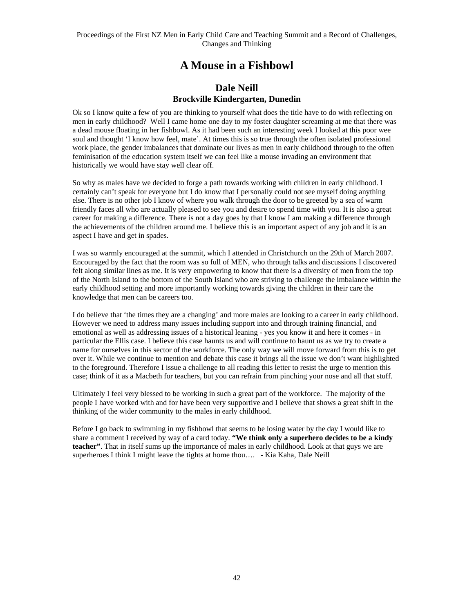# **A Mouse in a Fishbowl**

### **Dale Neill Brockville Kindergarten, Dunedin**

Ok so I know quite a few of you are thinking to yourself what does the title have to do with reflecting on men in early childhood? Well I came home one day to my foster daughter screaming at me that there was a dead mouse floating in her fishbowl. As it had been such an interesting week I looked at this poor wee soul and thought 'I know how feel, mate'. At times this is so true through the often isolated professional work place, the gender imbalances that dominate our lives as men in early childhood through to the often feminisation of the education system itself we can feel like a mouse invading an environment that historically we would have stay well clear off.

So why as males have we decided to forge a path towards working with children in early childhood. I certainly can't speak for everyone but I do know that I personally could not see myself doing anything else. There is no other job I know of where you walk through the door to be greeted by a sea of warm friendly faces all who are actually pleased to see you and desire to spend time with you. It is also a great career for making a difference. There is not a day goes by that I know I am making a difference through the achievements of the children around me. I believe this is an important aspect of any job and it is an aspect I have and get in spades.

I was so warmly encouraged at the summit, which I attended in Christchurch on the 29th of March 2007. Encouraged by the fact that the room was so full of MEN, who through talks and discussions I discovered felt along similar lines as me. It is very empowering to know that there is a diversity of men from the top of the North Island to the bottom of the South Island who are striving to challenge the imbalance within the early childhood setting and more importantly working towards giving the children in their care the knowledge that men can be careers too.

I do believe that 'the times they are a changing' and more males are looking to a career in early childhood. However we need to address many issues including support into and through training financial, and emotional as well as addressing issues of a historical leaning - yes you know it and here it comes - in particular the Ellis case. I believe this case haunts us and will continue to haunt us as we try to create a name for ourselves in this sector of the workforce. The only way we will move forward from this is to get over it. While we continue to mention and debate this case it brings all the issue we don't want highlighted to the foreground. Therefore I issue a challenge to all reading this letter to resist the urge to mention this case; think of it as a Macbeth for teachers, but you can refrain from pinching your nose and all that stuff.

Ultimately I feel very blessed to be working in such a great part of the workforce. The majority of the people I have worked with and for have been very supportive and I believe that shows a great shift in the thinking of the wider community to the males in early childhood.

Before I go back to swimming in my fishbowl that seems to be losing water by the day I would like to share a comment I received by way of a card today. **"We think only a superhero decides to be a kindy teacher"**. That in itself sums up the importance of males in early childhood. Look at that guys we are superheroes I think I might leave the tights at home thou…. - Kia Kaha, Dale Neill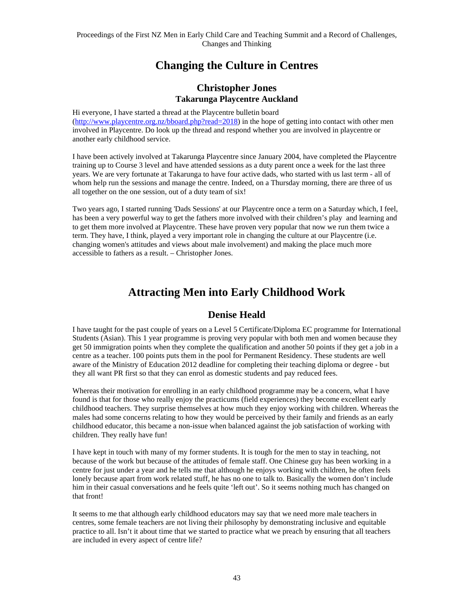# **Changing the Culture in Centres**

### **Christopher Jones Takarunga Playcentre Auckland**

Hi everyone, I have started a thread at the Playcentre bulletin board (http://www.playcentre.org.nz/bboard.php?read=2018) in the hope of getting into contact with other men involved in Playcentre. Do look up the thread and respond whether you are involved in playcentre or another early childhood service.

I have been actively involved at Takarunga Playcentre since January 2004, have completed the Playcentre training up to Course 3 level and have attended sessions as a duty parent once a week for the last three years. We are very fortunate at Takarunga to have four active dads, who started with us last term - all of whom help run the sessions and manage the centre. Indeed, on a Thursday morning, there are three of us all together on the one session, out of a duty team of six!

Two years ago, I started running 'Dads Sessions' at our Playcentre once a term on a Saturday which, I feel, has been a very powerful way to get the fathers more involved with their children's play and learning and to get them more involved at Playcentre. These have proven very popular that now we run them twice a term. They have, I think, played a very important role in changing the culture at our Playcentre (i.e. changing women's attitudes and views about male involvement) and making the place much more accessible to fathers as a result. – Christopher Jones.

# **Attracting Men into Early Childhood Work**

## **Denise Heald**

I have taught for the past couple of years on a Level 5 Certificate/Diploma EC programme for International Students (Asian). This 1 year programme is proving very popular with both men and women because they get 50 immigration points when they complete the qualification and another 50 points if they get a job in a centre as a teacher. 100 points puts them in the pool for Permanent Residency. These students are well aware of the Ministry of Education 2012 deadline for completing their teaching diploma or degree - but they all want PR first so that they can enrol as domestic students and pay reduced fees.

Whereas their motivation for enrolling in an early childhood programme may be a concern, what I have found is that for those who really enjoy the practicums (field experiences) they become excellent early childhood teachers. They surprise themselves at how much they enjoy working with children. Whereas the males had some concerns relating to how they would be perceived by their family and friends as an early childhood educator, this became a non-issue when balanced against the job satisfaction of working with children. They really have fun!

I have kept in touch with many of my former students. It is tough for the men to stay in teaching, not because of the work but because of the attitudes of female staff. One Chinese guy has been working in a centre for just under a year and he tells me that although he enjoys working with children, he often feels lonely because apart from work related stuff, he has no one to talk to. Basically the women don't include him in their casual conversations and he feels quite 'left out'. So it seems nothing much has changed on that front!

It seems to me that although early childhood educators may say that we need more male teachers in centres, some female teachers are not living their philosophy by demonstrating inclusive and equitable practice to all. Isn't it about time that we started to practice what we preach by ensuring that all teachers are included in every aspect of centre life?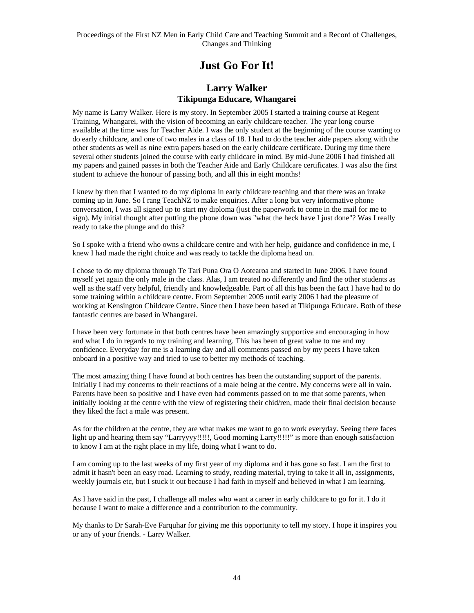# **Just Go For It!**

### **Larry Walker Tikipunga Educare, Whangarei**

My name is Larry Walker. Here is my story. In September 2005 I started a training course at Regent Training, Whangarei, with the vision of becoming an early childcare teacher. The year long course available at the time was for Teacher Aide. I was the only student at the beginning of the course wanting to do early childcare, and one of two males in a class of 18. I had to do the teacher aide papers along with the other students as well as nine extra papers based on the early childcare certificate. During my time there several other students joined the course with early childcare in mind. By mid-June 2006 I had finished all my papers and gained passes in both the Teacher Aide and Early Childcare certificates. I was also the first student to achieve the honour of passing both, and all this in eight months!

I knew by then that I wanted to do my diploma in early childcare teaching and that there was an intake coming up in June. So I rang TeachNZ to make enquiries. After a long but very informative phone conversation, I was all signed up to start my diploma (just the paperwork to come in the mail for me to sign). My initial thought after putting the phone down was "what the heck have I just done"? Was I really ready to take the plunge and do this?

So I spoke with a friend who owns a childcare centre and with her help, guidance and confidence in me, I knew I had made the right choice and was ready to tackle the diploma head on.

I chose to do my diploma through Te Tari Puna Ora O Aotearoa and started in June 2006. I have found myself yet again the only male in the class. Alas, I am treated no differently and find the other students as well as the staff very helpful, friendly and knowledgeable. Part of all this has been the fact I have had to do some training within a childcare centre. From September 2005 until early 2006 I had the pleasure of working at Kensington Childcare Centre. Since then I have been based at Tikipunga Educare. Both of these fantastic centres are based in Whangarei.

I have been very fortunate in that both centres have been amazingly supportive and encouraging in how and what I do in regards to my training and learning. This has been of great value to me and my confidence. Everyday for me is a learning day and all comments passed on by my peers I have taken onboard in a positive way and tried to use to better my methods of teaching.

The most amazing thing I have found at both centres has been the outstanding support of the parents. Initially I had my concerns to their reactions of a male being at the centre. My concerns were all in vain. Parents have been so positive and I have even had comments passed on to me that some parents, when initially looking at the centre with the view of registering their chid/ren, made their final decision because they liked the fact a male was present.

As for the children at the centre, they are what makes me want to go to work everyday. Seeing there faces light up and hearing them say "Larryyyy!!!!!, Good morning Larry!!!!!" is more than enough satisfaction to know I am at the right place in my life, doing what I want to do.

I am coming up to the last weeks of my first year of my diploma and it has gone so fast. I am the first to admit it hasn't been an easy road. Learning to study, reading material, trying to take it all in, assignments, weekly journals etc, but I stuck it out because I had faith in myself and believed in what I am learning.

As I have said in the past, I challenge all males who want a career in early childcare to go for it. I do it because I want to make a difference and a contribution to the community.

My thanks to Dr Sarah-Eve Farquhar for giving me this opportunity to tell my story. I hope it inspires you or any of your friends. - Larry Walker.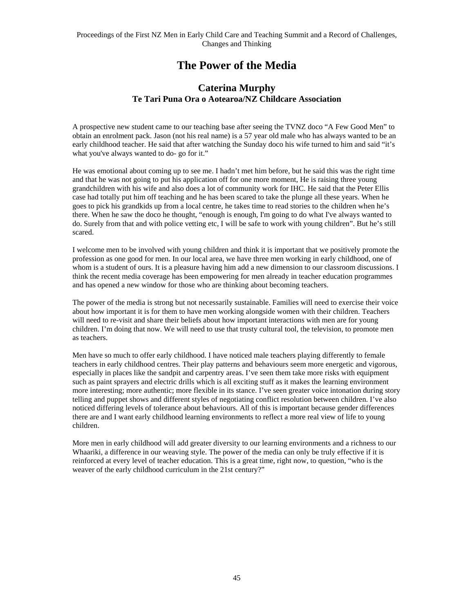# **The Power of the Media**

### **Caterina Murphy Te Tari Puna Ora o Aotearoa/NZ Childcare Association**

A prospective new student came to our teaching base after seeing the TVNZ doco "A Few Good Men" to obtain an enrolment pack. Jason (not his real name) is a 57 year old male who has always wanted to be an early childhood teacher. He said that after watching the Sunday doco his wife turned to him and said "it's what you've always wanted to do- go for it."

He was emotional about coming up to see me. I hadn't met him before, but he said this was the right time and that he was not going to put his application off for one more moment, He is raising three young grandchildren with his wife and also does a lot of community work for IHC. He said that the Peter Ellis case had totally put him off teaching and he has been scared to take the plunge all these years. When he goes to pick his grandkids up from a local centre, he takes time to read stories to the children when he's there. When he saw the doco he thought, "enough is enough, I'm going to do what I've always wanted to do. Surely from that and with police vetting etc, I will be safe to work with young children". But he's still scared.

I welcome men to be involved with young children and think it is important that we positively promote the profession as one good for men. In our local area, we have three men working in early childhood, one of whom is a student of ours. It is a pleasure having him add a new dimension to our classroom discussions. I think the recent media coverage has been empowering for men already in teacher education programmes and has opened a new window for those who are thinking about becoming teachers.

The power of the media is strong but not necessarily sustainable. Families will need to exercise their voice about how important it is for them to have men working alongside women with their children. Teachers will need to re-visit and share their beliefs about how important interactions with men are for young children. I'm doing that now. We will need to use that trusty cultural tool, the television, to promote men as teachers.

Men have so much to offer early childhood. I have noticed male teachers playing differently to female teachers in early childhood centres. Their play patterns and behaviours seem more energetic and vigorous, especially in places like the sandpit and carpentry areas. I've seen them take more risks with equipment such as paint sprayers and electric drills which is all exciting stuff as it makes the learning environment more interesting; more authentic; more flexible in its stance. I've seen greater voice intonation during story telling and puppet shows and different styles of negotiating conflict resolution between children. I've also noticed differing levels of tolerance about behaviours. All of this is important because gender differences there are and I want early childhood learning environments to reflect a more real view of life to young children.

More men in early childhood will add greater diversity to our learning environments and a richness to our Whaariki, a difference in our weaving style. The power of the media can only be truly effective if it is reinforced at every level of teacher education. This is a great time, right now, to question, "who is the weaver of the early childhood curriculum in the 21st century?"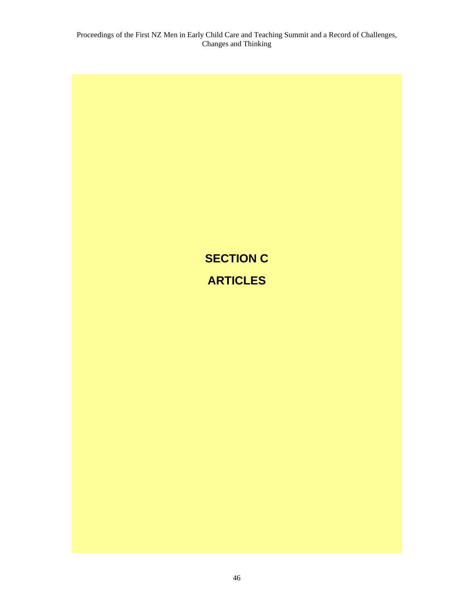# **SECTION C ARTICLES**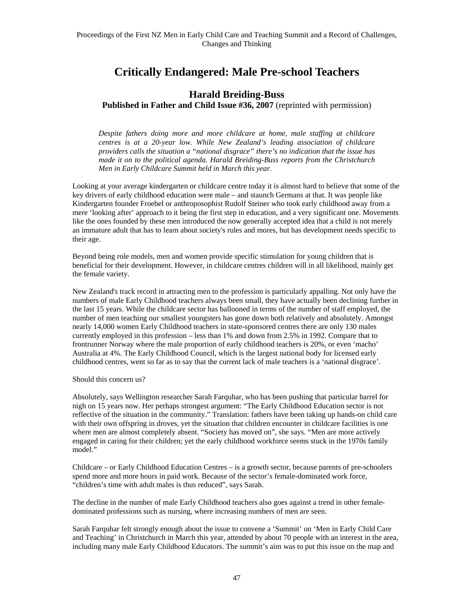# **Critically Endangered: Male Pre-school Teachers**

### **Harald Breiding-Buss**

**Published in Father and Child Issue #36, 2007** (reprinted with permission)

*Despite fathers doing more and more childcare at home, male staffing at childcare centres is at a 20-year low. While New Zealand's leading association of childcare providers calls the situation a "national disgrace" there's no indication that the issue has made it on to the political agenda. Harald Breiding-Buss reports from the Christchurch Men in Early Childcare Summit held in March this year.* 

Looking at your average kindergarten or childcare centre today it is almost hard to believe that some of the key drivers of early childhood education were male – and staunch Germans at that. It was people like Kindergarten founder Froebel or anthroposophist Rudolf Steiner who took early childhood away from a mere 'looking after' approach to it being the first step in education, and a very significant one. Movements like the ones founded by these men introduced the now generally accepted idea that a child is not merely an immature adult that has to learn about society's rules and mores, but has development needs specific to their age.

Beyond being role models, men and women provide specific stimulation for young children that is beneficial for their development. However, in childcare centres children will in all likelihood, mainly get the female variety.

New Zealand's track record in attracting men to the profession is particularly appalling. Not only have the numbers of male Early Childhood teachers always been small, they have actually been declining further in the last 15 years. While the childcare sector has ballooned in terms of the number of staff employed, the number of men teaching our smallest youngsters has gone down both relatively and absolutely. Amongst nearly 14,000 women Early Childhood teachers in state-sponsored centres there are only 130 males currently employed in this profession – less than 1% and down from 2.5% in 1992. Compare that to frontrunner Norway where the male proportion of early childhood teachers is 20%, or even 'macho' Australia at 4%. The Early Childhood Council, which is the largest national body for licensed early childhood centres, went so far as to say that the current lack of male teachers is a 'national disgrace'.

Should this concern us?

Absolutely, says Wellington researcher Sarah Farquhar, who has been pushing that particular barrel for nigh on 15 years now. Her perhaps strongest argument: "The Early Childhood Education sector is not reflective of the situation in the community." Translation: fathers have been taking up hands-on child care with their own offspring in droves, yet the situation that children encounter in childcare facilities is one where men are almost completely absent. "Society has moved on", she says. "Men are more actively engaged in caring for their children; yet the early childhood workforce seems stuck in the 1970s family model."

Childcare – or Early Childhood Education Centres – is a growth sector, because parents of pre-schoolers spend more and more hours in paid work. Because of the sector's female-dominated work force, "children's time with adult males is thus reduced", says Sarah.

The decline in the number of male Early Childhood teachers also goes against a trend in other femaledominated professions such as nursing, where increasing numbers of men are seen.

Sarah Farquhar felt strongly enough about the issue to convene a 'Summit' on 'Men in Early Child Care and Teaching' in Christchurch in March this year, attended by about 70 people with an interest in the area, including many male Early Childhood Educators. The summit's aim was to put this issue on the map and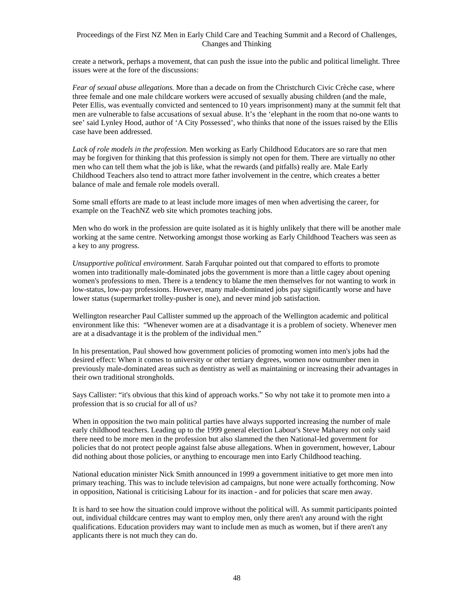create a network, perhaps a movement, that can push the issue into the public and political limelight. Three issues were at the fore of the discussions:

*Fear of sexual abuse allegations.* More than a decade on from the Christchurch Civic Crèche case, where three female and one male childcare workers were accused of sexually abusing children (and the male, Peter Ellis, was eventually convicted and sentenced to 10 years imprisonment) many at the summit felt that men are vulnerable to false accusations of sexual abuse. It's the 'elephant in the room that no-one wants to see' said Lynley Hood, author of 'A City Possessed', who thinks that none of the issues raised by the Ellis case have been addressed.

*Lack of role models in the profession.* Men working as Early Childhood Educators are so rare that men may be forgiven for thinking that this profession is simply not open for them. There are virtually no other men who can tell them what the job is like, what the rewards (and pitfalls) really are. Male Early Childhood Teachers also tend to attract more father involvement in the centre, which creates a better balance of male and female role models overall.

Some small efforts are made to at least include more images of men when advertising the career, for example on the TeachNZ web site which promotes teaching jobs.

Men who do work in the profession are quite isolated as it is highly unlikely that there will be another male working at the same centre. Networking amongst those working as Early Childhood Teachers was seen as a key to any progress.

*Unsupportive political environment.* Sarah Farquhar pointed out that compared to efforts to promote women into traditionally male-dominated jobs the government is more than a little cagey about opening women's professions to men. There is a tendency to blame the men themselves for not wanting to work in low-status, low-pay professions. However, many male-dominated jobs pay significantly worse and have lower status (supermarket trolley-pusher is one), and never mind job satisfaction.

Wellington researcher Paul Callister summed up the approach of the Wellington academic and political environment like this: "Whenever women are at a disadvantage it is a problem of society. Whenever men are at a disadvantage it is the problem of the individual men."

In his presentation, Paul showed how government policies of promoting women into men's jobs had the desired effect: When it comes to university or other tertiary degrees, women now outnumber men in previously male-dominated areas such as dentistry as well as maintaining or increasing their advantages in their own traditional strongholds.

Says Callister: "it's obvious that this kind of approach works." So why not take it to promote men into a profession that is so crucial for all of us?

When in opposition the two main political parties have always supported increasing the number of male early childhood teachers. Leading up to the 1999 general election Labour's Steve Maharey not only said there need to be more men in the profession but also slammed the then National-led government for policies that do not protect people against false abuse allegations. When in government, however, Labour did nothing about those policies, or anything to encourage men into Early Childhood teaching.

National education minister Nick Smith announced in 1999 a government initiative to get more men into primary teaching. This was to include television ad campaigns, but none were actually forthcoming. Now in opposition, National is criticising Labour for its inaction - and for policies that scare men away.

It is hard to see how the situation could improve without the political will. As summit participants pointed out, individual childcare centres may want to employ men, only there aren't any around with the right qualifications. Education providers may want to include men as much as women, but if there aren't any applicants there is not much they can do.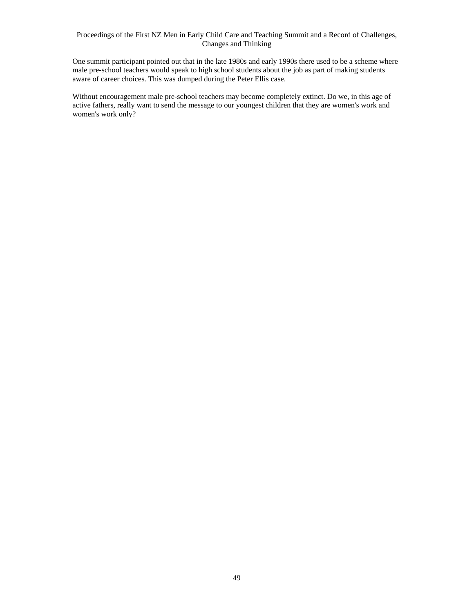One summit participant pointed out that in the late 1980s and early 1990s there used to be a scheme where male pre-school teachers would speak to high school students about the job as part of making students aware of career choices. This was dumped during the Peter Ellis case.

Without encouragement male pre-school teachers may become completely extinct. Do we, in this age of active fathers, really want to send the message to our youngest children that they are women's work and women's work only?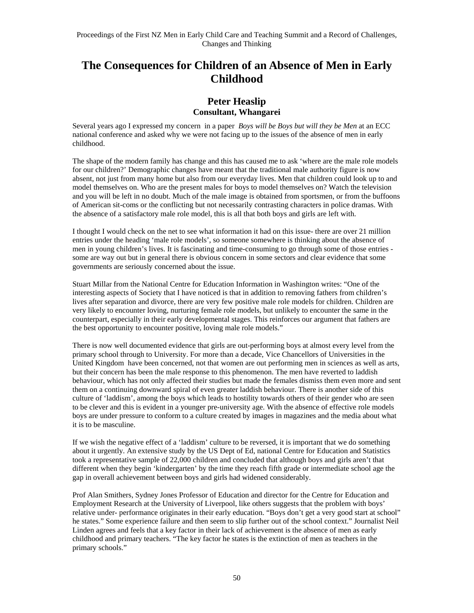# **The Consequences for Children of an Absence of Men in Early Childhood**

### **Peter Heaslip Consultant, Whangarei**

Several years ago I expressed my concern in a paper *Boys will be Boys but will they be Men* at an ECC national conference and asked why we were not facing up to the issues of the absence of men in early childhood.

The shape of the modern family has change and this has caused me to ask 'where are the male role models for our children?' Demographic changes have meant that the traditional male authority figure is now absent, not just from many home but also from our everyday lives. Men that children could look up to and model themselves on. Who are the present males for boys to model themselves on? Watch the television and you will be left in no doubt. Much of the male image is obtained from sportsmen, or from the buffoons of American sit-coms or the conflicting but not necessarily contrasting characters in police dramas. With the absence of a satisfactory male role model, this is all that both boys and girls are left with.

I thought I would check on the net to see what information it had on this issue- there are over 21 million entries under the heading 'male role models', so someone somewhere is thinking about the absence of men in young children's lives. It is fascinating and time-consuming to go through some of those entries some are way out but in general there is obvious concern in some sectors and clear evidence that some governments are seriously concerned about the issue.

Stuart Millar from the National Centre for Education Information in Washington writes: "One of the interesting aspects of Society that I have noticed is that in addition to removing fathers from children's lives after separation and divorce, there are very few positive male role models for children. Children are very likely to encounter loving, nurturing female role models, but unlikely to encounter the same in the counterpart, especially in their early developmental stages. This reinforces our argument that fathers are the best opportunity to encounter positive, loving male role models."

There is now well documented evidence that girls are out-performing boys at almost every level from the primary school through to University. For more than a decade, Vice Chancellors of Universities in the United Kingdom have been concerned, not that women are out performing men in sciences as well as arts, but their concern has been the male response to this phenomenon. The men have reverted to laddish behaviour, which has not only affected their studies but made the females dismiss them even more and sent them on a continuing downward spiral of even greater laddish behaviour. There is another side of this culture of 'laddism', among the boys which leads to hostility towards others of their gender who are seen to be clever and this is evident in a younger pre-university age. With the absence of effective role models boys are under pressure to conform to a culture created by images in magazines and the media about what it is to be masculine.

If we wish the negative effect of a 'laddism' culture to be reversed, it is important that we do something about it urgently. An extensive study by the US Dept of Ed, national Centre for Education and Statistics took a representative sample of 22,000 children and concluded that although boys and girls aren't that different when they begin 'kindergarten' by the time they reach fifth grade or intermediate school age the gap in overall achievement between boys and girls had widened considerably.

Prof Alan Smithers, Sydney Jones Professor of Education and director for the Centre for Education and Employment Research at the University of Liverpool, like others suggests that the problem with boys' relative under- performance originates in their early education. "Boys don't get a very good start at school" he states." Some experience failure and then seem to slip further out of the school context." Journalist Neil Linden agrees and feels that a key factor in their lack of achievement is the absence of men as early childhood and primary teachers. "The key factor he states is the extinction of men as teachers in the primary schools."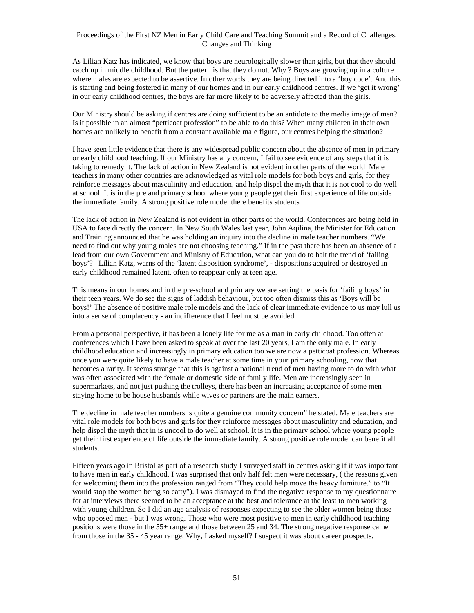As Lilian Katz has indicated, we know that boys are neurologically slower than girls, but that they should catch up in middle childhood. But the pattern is that they do not. Why ? Boys are growing up in a culture where males are expected to be assertive. In other words they are being directed into a 'boy code'. And this is starting and being fostered in many of our homes and in our early childhood centres. If we 'get it wrong' in our early childhood centres, the boys are far more likely to be adversely affected than the girls.

Our Ministry should be asking if centres are doing sufficient to be an antidote to the media image of men? Is it possible in an almost "petticoat profession" to be able to do this? When many children in their own homes are unlikely to benefit from a constant available male figure, our centres helping the situation?

I have seen little evidence that there is any widespread public concern about the absence of men in primary or early childhood teaching. If our Ministry has any concern, I fail to see evidence of any steps that it is taking to remedy it. The lack of action in New Zealand is not evident in other parts of the world Male teachers in many other countries are acknowledged as vital role models for both boys and girls, for they reinforce messages about masculinity and education, and help dispel the myth that it is not cool to do well at school. It is in the pre and primary school where young people get their first experience of life outside the immediate family. A strong positive role model there benefits students

The lack of action in New Zealand is not evident in other parts of the world. Conferences are being held in USA to face directly the concern. In New South Wales last year, John Aqilina, the Minister for Education and Training announced that he was holding an inquiry into the decline in male teacher numbers. "We need to find out why young males are not choosing teaching." If in the past there has been an absence of a lead from our own Government and Ministry of Education, what can you do to halt the trend of 'failing boys'? Lilian Katz, warns of the 'latent disposition syndrome', - dispositions acquired or destroyed in early childhood remained latent, often to reappear only at teen age.

This means in our homes and in the pre-school and primary we are setting the basis for 'failing boys' in their teen years. We do see the signs of laddish behaviour, but too often dismiss this as 'Boys will be boys!' The absence of positive male role models and the lack of clear immediate evidence to us may lull us into a sense of complacency - an indifference that I feel must be avoided.

From a personal perspective, it has been a lonely life for me as a man in early childhood. Too often at conferences which I have been asked to speak at over the last 20 years, I am the only male. In early childhood education and increasingly in primary education too we are now a petticoat profession. Whereas once you were quite likely to have a male teacher at some time in your primary schooling, now that becomes a rarity. It seems strange that this is against a national trend of men having more to do with what was often associated with the female or domestic side of family life. Men are increasingly seen in supermarkets, and not just pushing the trolleys, there has been an increasing acceptance of some men staying home to be house husbands while wives or partners are the main earners.

The decline in male teacher numbers is quite a genuine community concern" he stated. Male teachers are vital role models for both boys and girls for they reinforce messages about masculinity and education, and help dispel the myth that in is uncool to do well at school. It is in the primary school where young people get their first experience of life outside the immediate family. A strong positive role model can benefit all students.

Fifteen years ago in Bristol as part of a research study I surveyed staff in centres asking if it was important to have men in early childhood. I was surprised that only half felt men were necessary, ( the reasons given for welcoming them into the profession ranged from "They could help move the heavy furniture." to "It would stop the women being so catty"). I was dismayed to find the negative response to my questionnaire for at interviews there seemed to be an acceptance at the best and tolerance at the least to men working with young children. So I did an age analysis of responses expecting to see the older women being those who opposed men - but I was wrong. Those who were most positive to men in early childhood teaching positions were those in the 55+ range and those between 25 and 34. The strong negative response came from those in the 35 - 45 year range. Why, I asked myself? I suspect it was about career prospects.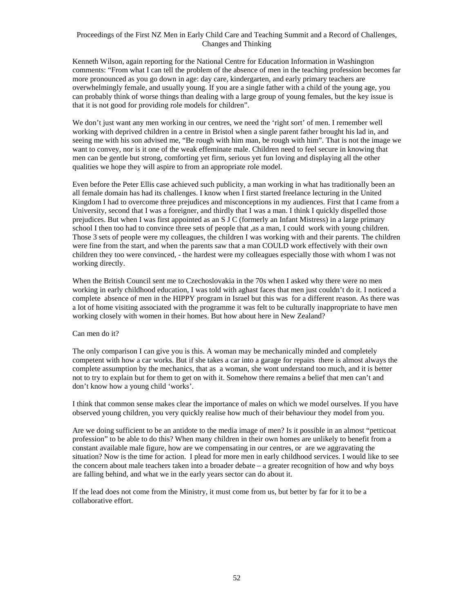Kenneth Wilson, again reporting for the National Centre for Education Information in Washington comments: "From what I can tell the problem of the absence of men in the teaching profession becomes far more pronounced as you go down in age: day care, kindergarten, and early primary teachers are overwhelmingly female, and usually young. If you are a single father with a child of the young age, you can probably think of worse things than dealing with a large group of young females, but the key issue is that it is not good for providing role models for children".

We don't just want any men working in our centres, we need the 'right sort' of men. I remember well working with deprived children in a centre in Bristol when a single parent father brought his lad in, and seeing me with his son advised me, "Be rough with him man, be rough with him". That is not the image we want to convey, nor is it one of the weak effeminate male. Children need to feel secure in knowing that men can be gentle but strong, comforting yet firm, serious yet fun loving and displaying all the other qualities we hope they will aspire to from an appropriate role model.

Even before the Peter Ellis case achieved such publicity, a man working in what has traditionally been an all female domain has had its challenges. I know when I first started freelance lecturing in the United Kingdom I had to overcome three prejudices and misconceptions in my audiences. First that I came from a University, second that I was a foreigner, and thirdly that I was a man. I think I quickly dispelled those prejudices. But when I was first appointed as an S J C (formerly an Infant Mistress) in a large primary school I then too had to convince three sets of people that ,as a man, I could work with young children. Those 3 sets of people were my colleagues, the children I was working with and their parents. The children were fine from the start, and when the parents saw that a man COULD work effectively with their own children they too were convinced, - the hardest were my colleagues especially those with whom I was not working directly.

When the British Council sent me to Czechoslovakia in the 70s when I asked why there were no men working in early childhood education, I was told with aghast faces that men just couldn't do it. I noticed a complete absence of men in the HIPPY program in Israel but this was for a different reason. As there was a lot of home visiting associated with the programme it was felt to be culturally inappropriate to have men working closely with women in their homes. But how about here in New Zealand?

#### Can men do it?

The only comparison I can give you is this. A woman may be mechanically minded and completely competent with how a car works. But if she takes a car into a garage for repairs there is almost always the complete assumption by the mechanics, that as a woman, she wont understand too much, and it is better not to try to explain but for them to get on with it. Somehow there remains a belief that men can't and don't know how a young child 'works'.

I think that common sense makes clear the importance of males on which we model ourselves. If you have observed young children, you very quickly realise how much of their behaviour they model from you.

Are we doing sufficient to be an antidote to the media image of men? Is it possible in an almost "petticoat profession" to be able to do this? When many children in their own homes are unlikely to benefit from a constant available male figure, how are we compensating in our centres, or are we aggravating the situation? Now is the time for action. I plead for more men in early childhood services. I would like to see the concern about male teachers taken into a broader debate – a greater recognition of how and why boys are falling behind, and what we in the early years sector can do about it.

If the lead does not come from the Ministry, it must come from us, but better by far for it to be a collaborative effort.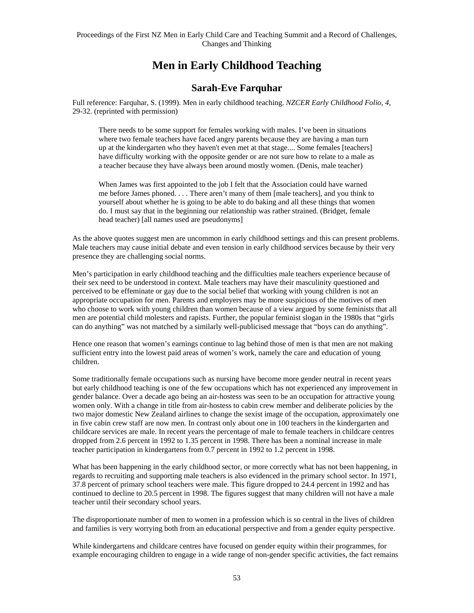# **Men in Early Childhood Teaching**

### **Sarah-Eve Farquhar**

Full reference: Farquhar, S. (1999). Men in early childhood teaching. *NZCER Early Childhood Folio, 4,*  29-32. (reprinted with permission)

There needs to be some support for females working with males. I've been in situations where two female teachers have faced angry parents because they are having a man turn up at the kindergarten who they haven't even met at that stage.... Some females [teachers] have difficulty working with the opposite gender or are not sure how to relate to a male as a teacher because they have always been around mostly women. (Denis, male teacher)

When James was first appointed to the job I felt that the Association could have warned me before James phoned. . . . There aren't many of them [male teachers], and you think to yourself about whether he is going to be able to do baking and all these things that women do. I must say that in the beginning our relationship was rather strained. (Bridget, female head teacher) [all names used are pseudonyms]

As the above quotes suggest men are uncommon in early childhood settings and this can present problems. Male teachers may cause initial debate and even tension in early childhood services because by their very presence they are challenging social norms.

Men's participation in early childhood teaching and the difficulties male teachers experience because of their sex need to be understood in context. Male teachers may have their masculinity questioned and perceived to be effeminate or gay due to the social belief that working with young children is not an appropriate occupation for men. Parents and employers may be more suspicious of the motives of men who choose to work with young children than women because of a view argued by some feminists that all men are potential child molesters and rapists. Further, the popular feminist slogan in the 1980s that "girls can do anything" was not matched by a similarly well-publicised message that "boys can do anything".

Hence one reason that women's earnings continue to lag behind those of men is that men are not making sufficient entry into the lowest paid areas of women's work, namely the care and education of young children.

Some traditionally female occupations such as nursing have become more gender neutral in recent years but early childhood teaching is one of the few occupations which has not experienced any improvement in gender balance. Over a decade ago being an air-hostess was seen to be an occupation for attractive young women only. With a change in title from air-hostess to cabin crew member and deliberate policies by the two major domestic New Zealand airlines to change the sexist image of the occupation, approximately one in five cabin crew staff are now men. In contrast only about one in 100 teachers in the kindergarten and childcare services are male. In recent years the percentage of male to female teachers in childcare centres dropped from 2.6 percent in 1992 to 1.35 percent in 1998. There has been a nominal increase in male teacher participation in kindergartens from 0.7 percent in 1992 to 1.2 percent in 1998.

What has been happening in the early childhood sector, or more correctly what has not been happening, in regards to recruiting and supporting male teachers is also evidenced in the primary school sector. In 1971, 37.8 percent of primary school teachers were male. This figure dropped to 24.4 percent in 1992 and has continued to decline to 20.5 percent in 1998. The figures suggest that many children will not have a male teacher until their secondary school years.

The disproportionate number of men to women in a profession which is so central in the lives of children and families is very worrying both from an educational perspective and from a gender equity perspective.

While kindergartens and childcare centres have focused on gender equity within their programmes, for example encouraging children to engage in a wide range of non-gender specific activities, the fact remains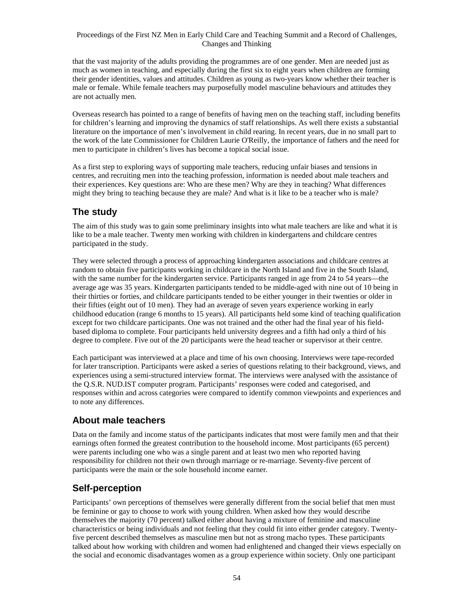that the vast majority of the adults providing the programmes are of one gender. Men are needed just as much as women in teaching, and especially during the first six to eight years when children are forming their gender identities, values and attitudes. Children as young as two-years know whether their teacher is male or female. While female teachers may purposefully model masculine behaviours and attitudes they are not actually men.

Overseas research has pointed to a range of benefits of having men on the teaching staff, including benefits for children's learning and improving the dynamics of staff relationships. As well there exists a substantial literature on the importance of men's involvement in child rearing. In recent years, due in no small part to the work of the late Commissioner for Children Laurie O'Reilly, the importance of fathers and the need for men to participate in children's lives has become a topical social issue.

As a first step to exploring ways of supporting male teachers, reducing unfair biases and tensions in centres, and recruiting men into the teaching profession, information is needed about male teachers and their experiences. Key questions are: Who are these men? Why are they in teaching? What differences might they bring to teaching because they are male? And what is it like to be a teacher who is male?

## **The study**

The aim of this study was to gain some preliminary insights into what male teachers are like and what it is like to be a male teacher. Twenty men working with children in kindergartens and childcare centres participated in the study.

They were selected through a process of approaching kindergarten associations and childcare centres at random to obtain five participants working in childcare in the North Island and five in the South Island, with the same number for the kindergarten service. Participants ranged in age from 24 to 54 years—the average age was 35 years. Kindergarten participants tended to be middle-aged with nine out of 10 being in their thirties or forties, and childcare participants tended to be either younger in their twenties or older in their fifties (eight out of 10 men). They had an average of seven years experience working in early childhood education (range 6 months to 15 years). All participants held some kind of teaching qualification except for two childcare participants. One was not trained and the other had the final year of his fieldbased diploma to complete. Four participants held university degrees and a fifth had only a third of his degree to complete. Five out of the 20 participants were the head teacher or supervisor at their centre.

Each participant was interviewed at a place and time of his own choosing. Interviews were tape-recorded for later transcription. Participants were asked a series of questions relating to their background, views, and experiences using a semi-structured interview format. The interviews were analysed with the assistance of the Q.S.R. NUD.IST computer program. Participants' responses were coded and categorised, and responses within and across categories were compared to identify common viewpoints and experiences and to note any differences.

### **About male teachers**

Data on the family and income status of the participants indicates that most were family men and that their earnings often formed the greatest contribution to the household income. Most participants (65 percent) were parents including one who was a single parent and at least two men who reported having responsibility for children not their own through marriage or re-marriage. Seventy-five percent of participants were the main or the sole household income earner.

## **Self-perception**

Participants' own perceptions of themselves were generally different from the social belief that men must be feminine or gay to choose to work with young children. When asked how they would describe themselves the majority (70 percent) talked either about having a mixture of feminine and masculine characteristics or being individuals and not feeling that they could fit into either gender category. Twentyfive percent described themselves as masculine men but not as strong macho types. These participants talked about how working with children and women had enlightened and changed their views especially on the social and economic disadvantages women as a group experience within society. Only one participant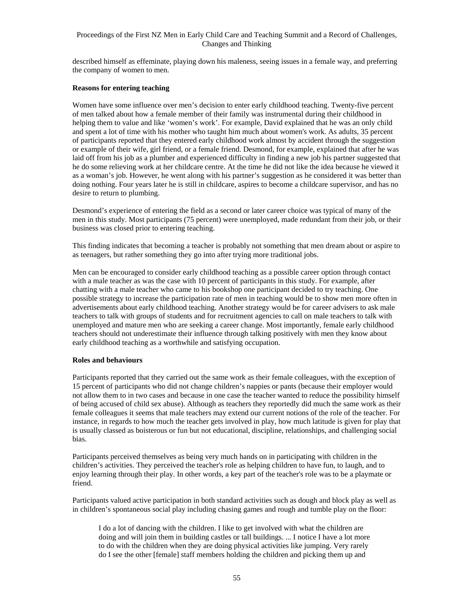described himself as effeminate, playing down his maleness, seeing issues in a female way, and preferring the company of women to men.

#### **Reasons for entering teaching**

Women have some influence over men's decision to enter early childhood teaching. Twenty-five percent of men talked about how a female member of their family was instrumental during their childhood in helping them to value and like 'women's work'. For example, David explained that he was an only child and spent a lot of time with his mother who taught him much about women's work. As adults, 35 percent of participants reported that they entered early childhood work almost by accident through the suggestion or example of their wife, girl friend, or a female friend. Desmond, for example, explained that after he was laid off from his job as a plumber and experienced difficulty in finding a new job his partner suggested that he do some relieving work at her childcare centre. At the time he did not like the idea because he viewed it as a woman's job. However, he went along with his partner's suggestion as he considered it was better than doing nothing. Four years later he is still in childcare, aspires to become a childcare supervisor, and has no desire to return to plumbing.

Desmond's experience of entering the field as a second or later career choice was typical of many of the men in this study. Most participants (75 percent) were unemployed, made redundant from their job, or their business was closed prior to entering teaching.

This finding indicates that becoming a teacher is probably not something that men dream about or aspire to as teenagers, but rather something they go into after trying more traditional jobs.

Men can be encouraged to consider early childhood teaching as a possible career option through contact with a male teacher as was the case with 10 percent of participants in this study. For example, after chatting with a male teacher who came to his bookshop one participant decided to try teaching. One possible strategy to increase the participation rate of men in teaching would be to show men more often in advertisements about early childhood teaching. Another strategy would be for career advisers to ask male teachers to talk with groups of students and for recruitment agencies to call on male teachers to talk with unemployed and mature men who are seeking a career change. Most importantly, female early childhood teachers should not underestimate their influence through talking positively with men they know about early childhood teaching as a worthwhile and satisfying occupation.

#### **Roles and behaviours**

Participants reported that they carried out the same work as their female colleagues, with the exception of 15 percent of participants who did not change children's nappies or pants (because their employer would not allow them to in two cases and because in one case the teacher wanted to reduce the possibility himself of being accused of child sex abuse). Although as teachers they reportedly did much the same work as their female colleagues it seems that male teachers may extend our current notions of the role of the teacher. For instance, in regards to how much the teacher gets involved in play, how much latitude is given for play that is usually classed as boisterous or fun but not educational, discipline, relationships, and challenging social bias.

Participants perceived themselves as being very much hands on in participating with children in the children's activities. They perceived the teacher's role as helping children to have fun, to laugh, and to enjoy learning through their play. In other words, a key part of the teacher's role was to be a playmate or friend.

Participants valued active participation in both standard activities such as dough and block play as well as in children's spontaneous social play including chasing games and rough and tumble play on the floor:

I do a lot of dancing with the children. I like to get involved with what the children are doing and will join them in building castles or tall buildings. ... I notice I have a lot more to do with the children when they are doing physical activities like jumping. Very rarely do I see the other [female] staff members holding the children and picking them up and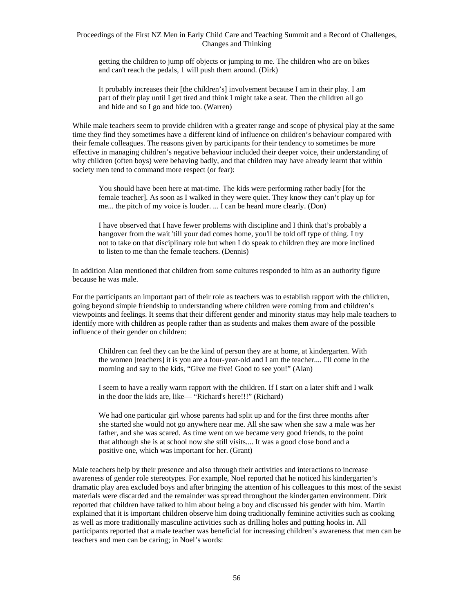getting the children to jump off objects or jumping to me. The children who are on bikes and can't reach the pedals, 1 will push them around. (Dirk)

It probably increases their [the children's] involvement because I am in their play. I am part of their play until I get tired and think I might take a seat. Then the children all go and hide and so I go and hide too. (Warren)

While male teachers seem to provide children with a greater range and scope of physical play at the same time they find they sometimes have a different kind of influence on children's behaviour compared with their female colleagues. The reasons given by participants for their tendency to sometimes be more effective in managing children's negative behaviour included their deeper voice, their understanding of why children (often boys) were behaving badly, and that children may have already learnt that within society men tend to command more respect (or fear):

You should have been here at mat-time. The kids were performing rather badly [for the female teacher]. As soon as I walked in they were quiet. They know they can't play up for me... the pitch of my voice is louder. ... I can be heard more clearly. (Don)

I have observed that I have fewer problems with discipline and I think that's probably a hangover from the wait 'till your dad comes home, you'll be told off type of thing. I try not to take on that disciplinary role but when I do speak to children they are more inclined to listen to me than the female teachers. (Dennis)

In addition Alan mentioned that children from some cultures responded to him as an authority figure because he was male.

For the participants an important part of their role as teachers was to establish rapport with the children, going beyond simple friendship to understanding where children were coming from and children's viewpoints and feelings. It seems that their different gender and minority status may help male teachers to identify more with children as people rather than as students and makes them aware of the possible influence of their gender on children:

Children can feel they can be the kind of person they are at home, at kindergarten. With the women [teachers] it is you are a four-year-old and I am the teacher.... I'll come in the morning and say to the kids, "Give me five! Good to see you!" (Alan)

I seem to have a really warm rapport with the children. If I start on a later shift and I walk in the door the kids are, like— "Richard's here!!!" (Richard)

We had one particular girl whose parents had split up and for the first three months after she started she would not go anywhere near me. All she saw when she saw a male was her father, and she was scared. As time went on we became very good friends, to the point that although she is at school now she still visits.... It was a good close bond and a positive one, which was important for her. (Grant)

Male teachers help by their presence and also through their activities and interactions to increase awareness of gender role stereotypes. For example, Noel reported that he noticed his kindergarten's dramatic play area excluded boys and after bringing the attention of his colleagues to this most of the sexist materials were discarded and the remainder was spread throughout the kindergarten environment. Dirk reported that children have talked to him about being a boy and discussed his gender with him. Martin explained that it is important children observe him doing traditionally feminine activities such as cooking as well as more traditionally masculine activities such as drilling holes and putting hooks in. All participants reported that a male teacher was beneficial for increasing children's awareness that men can be teachers and men can be caring; in Noel's words: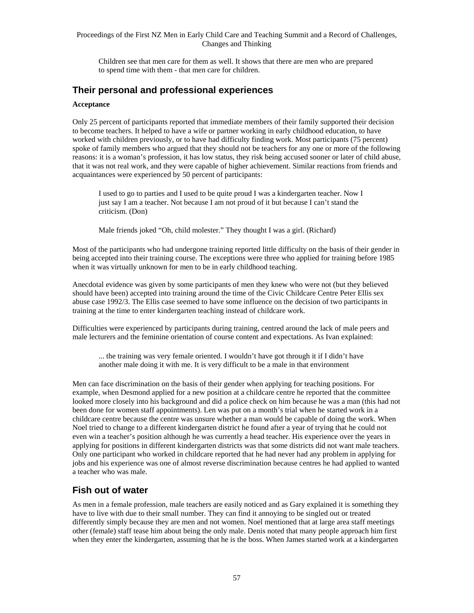Children see that men care for them as well. It shows that there are men who are prepared to spend time with them - that men care for children.

### **Their personal and professional experiences**

#### **Acceptance**

Only 25 percent of participants reported that immediate members of their family supported their decision to become teachers. It helped to have a wife or partner working in early childhood education, to have worked with children previously, or to have had difficulty finding work. Most participants (75 percent) spoke of family members who argued that they should not be teachers for any one or more of the following reasons: it is a woman's profession, it has low status, they risk being accused sooner or later of child abuse, that it was not real work, and they were capable of higher achievement. Similar reactions from friends and acquaintances were experienced by 50 percent of participants:

I used to go to parties and I used to be quite proud I was a kindergarten teacher. Now I just say I am a teacher. Not because I am not proud of it but because I can't stand the criticism. (Don)

Male friends joked "Oh, child molester." They thought I was a girl. (Richard)

Most of the participants who had undergone training reported little difficulty on the basis of their gender in being accepted into their training course. The exceptions were three who applied for training before 1985 when it was virtually unknown for men to be in early childhood teaching.

Anecdotal evidence was given by some participants of men they knew who were not (but they believed should have been) accepted into training around the time of the Civic Childcare Centre Peter Ellis sex abuse case 1992/3. The Ellis case seemed to have some influence on the decision of two participants in training at the time to enter kindergarten teaching instead of childcare work.

Difficulties were experienced by participants during training, centred around the lack of male peers and male lecturers and the feminine orientation of course content and expectations. As Ivan explained:

... the training was very female oriented. I wouldn't have got through it if I didn't have another male doing it with me. It is very difficult to be a male in that environment

Men can face discrimination on the basis of their gender when applying for teaching positions. For example, when Desmond applied for a new position at a childcare centre he reported that the committee looked more closely into his background and did a police check on him because he was a man (this had not been done for women staff appointments). Len was put on a month's trial when he started work in a childcare centre because the centre was unsure whether a man would be capable of doing the work. When Noel tried to change to a different kindergarten district he found after a year of trying that he could not even win a teacher's position although he was currently a head teacher. His experience over the years in applying for positions in different kindergarten districts was that some districts did not want male teachers. Only one participant who worked in childcare reported that he had never had any problem in applying for jobs and his experience was one of almost reverse discrimination because centres he had applied to wanted a teacher who was male.

### **Fish out of water**

As men in a female profession, male teachers are easily noticed and as Gary explained it is something they have to live with due to their small number. They can find it annoying to be singled out or treated differently simply because they are men and not women. Noel mentioned that at large area staff meetings other (female) staff tease him about being the only male. Denis noted that many people approach him first when they enter the kindergarten, assuming that he is the boss. When James started work at a kindergarten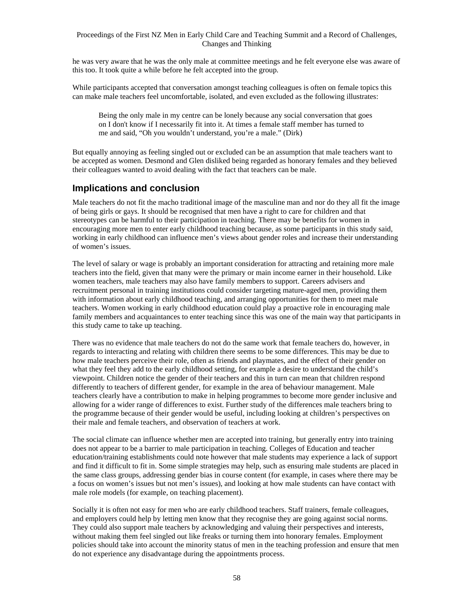he was very aware that he was the only male at committee meetings and he felt everyone else was aware of this too. It took quite a while before he felt accepted into the group.

While participants accepted that conversation amongst teaching colleagues is often on female topics this can make male teachers feel uncomfortable, isolated, and even excluded as the following illustrates:

Being the only male in my centre can be lonely because any social conversation that goes on I don't know if I necessarily fit into it. At times a female staff member has turned to me and said, "Oh you wouldn't understand, you're a male." (Dirk)

But equally annoying as feeling singled out or excluded can be an assumption that male teachers want to be accepted as women. Desmond and Glen disliked being regarded as honorary females and they believed their colleagues wanted to avoid dealing with the fact that teachers can be male.

### **Implications and conclusion**

Male teachers do not fit the macho traditional image of the masculine man and nor do they all fit the image of being girls or gays. It should be recognised that men have a right to care for children and that stereotypes can be harmful to their participation in teaching. There may be benefits for women in encouraging more men to enter early childhood teaching because, as some participants in this study said, working in early childhood can influence men's views about gender roles and increase their understanding of women's issues.

The level of salary or wage is probably an important consideration for attracting and retaining more male teachers into the field, given that many were the primary or main income earner in their household. Like women teachers, male teachers may also have family members to support. Careers advisers and recruitment personal in training institutions could consider targeting mature-aged men, providing them with information about early childhood teaching, and arranging opportunities for them to meet male teachers. Women working in early childhood education could play a proactive role in encouraging male family members and acquaintances to enter teaching since this was one of the main way that participants in this study came to take up teaching.

There was no evidence that male teachers do not do the same work that female teachers do, however, in regards to interacting and relating with children there seems to be some differences. This may be due to how male teachers perceive their role, often as friends and playmates, and the effect of their gender on what they feel they add to the early childhood setting, for example a desire to understand the child's viewpoint. Children notice the gender of their teachers and this in turn can mean that children respond differently to teachers of different gender, for example in the area of behaviour management. Male teachers clearly have a contribution to make in helping programmes to become more gender inclusive and allowing for a wider range of differences to exist. Further study of the differences male teachers bring to the programme because of their gender would be useful, including looking at children's perspectives on their male and female teachers, and observation of teachers at work.

The social climate can influence whether men are accepted into training, but generally entry into training does not appear to be a barrier to male participation in teaching. Colleges of Education and teacher education/training establishments could note however that male students may experience a lack of support and find it difficult to fit in. Some simple strategies may help, such as ensuring male students are placed in the same class groups, addressing gender bias in course content (for example, in cases where there may be a focus on women's issues but not men's issues), and looking at how male students can have contact with male role models (for example, on teaching placement).

Socially it is often not easy for men who are early childhood teachers. Staff trainers, female colleagues, and employers could help by letting men know that they recognise they are going against social norms. They could also support male teachers by acknowledging and valuing their perspectives and interests, without making them feel singled out like freaks or turning them into honorary females. Employment policies should take into account the minority status of men in the teaching profession and ensure that men do not experience any disadvantage during the appointments process.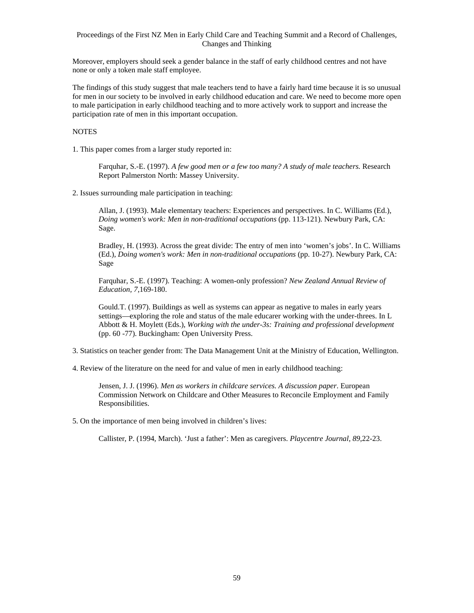Moreover, employers should seek a gender balance in the staff of early childhood centres and not have none or only a token male staff employee.

The findings of this study suggest that male teachers tend to have a fairly hard time because it is so unusual for men in our society to be involved in early childhood education and care. We need to become more open to male participation in early childhood teaching and to more actively work to support and increase the participation rate of men in this important occupation.

#### **NOTES**

1. This paper comes from a larger study reported in:

Farquhar, S.-E. (1997). *A few good men or a few too many? A study of male teachers.* Research Report Palmerston North: Massey University.

2. Issues surrounding male participation in teaching:

Allan, J. (1993). Male elementary teachers: Experiences and perspectives. In C. Williams (Ed.), *Doing women's work: Men in non-traditional occupations* (pp. 113-121). Newbury Park, CA: Sage.

Bradley, H. (1993). Across the great divide: The entry of men into 'women's jobs'. In C. Williams (Ed.), *Doing women's work: Men in non-traditional occupations* (pp. 10-27). Newbury Park, CA: Sage

Farquhar, S.-E. (1997). Teaching: A women-only profession? *New Zealand Annual Review of Education, 7*,169-180.

Gould.T. (1997). Buildings as well as systems can appear as negative to males in early years settings—exploring the role and status of the male educarer working with the under-threes. In L Abbott & H. Moylett (Eds.), *Working with the under-3s: Training and professional development* (pp. 60 -77). Buckingham: Open University Press.

3. Statistics on teacher gender from: The Data Management Unit at the Ministry of Education, Wellington.

4. Review of the literature on the need for and value of men in early childhood teaching:

Jensen, J. J. (1996). *Men as workers in childcare services. A discussion paper*. European Commission Network on Childcare and Other Measures to Reconcile Employment and Family Responsibilities.

5. On the importance of men being involved in children's lives:

Callister, P. (1994, March). 'Just a father': Men as caregivers. *Playcentre Journal, 89*,22-23.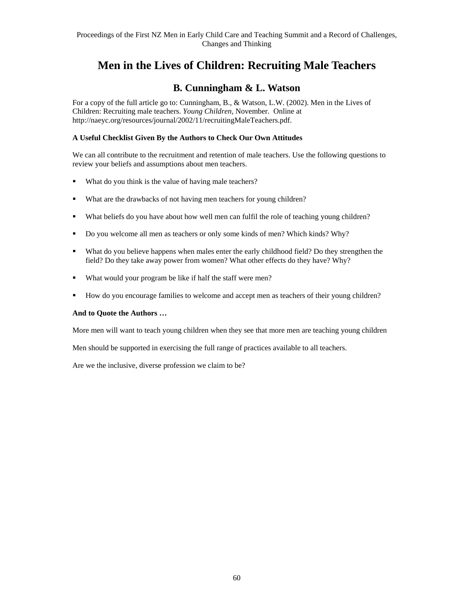# **Men in the Lives of Children: Recruiting Male Teachers**

# **B. Cunningham & L. Watson**

For a copy of the full article go to: Cunningham, B., & Watson, L.W. (2002). Men in the Lives of Children: Recruiting male teachers. *Young Children,* November. Online at http://naeyc.org/resources/journal/2002/11/recruitingMaleTeachers.pdf.

### **A Useful Checklist Given By the Authors to Check Our Own Attitudes**

We can all contribute to the recruitment and retention of male teachers. Use the following questions to review your beliefs and assumptions about men teachers.

- What do you think is the value of having male teachers?
- What are the drawbacks of not having men teachers for young children?
- What beliefs do you have about how well men can fulfil the role of teaching young children?
- Do you welcome all men as teachers or only some kinds of men? Which kinds? Why?
- What do you believe happens when males enter the early childhood field? Do they strengthen the field? Do they take away power from women? What other effects do they have? Why?
- What would your program be like if half the staff were men?
- How do you encourage families to welcome and accept men as teachers of their young children?

### **And to Quote the Authors …**

More men will want to teach young children when they see that more men are teaching young children

Men should be supported in exercising the full range of practices available to all teachers.

Are we the inclusive, diverse profession we claim to be?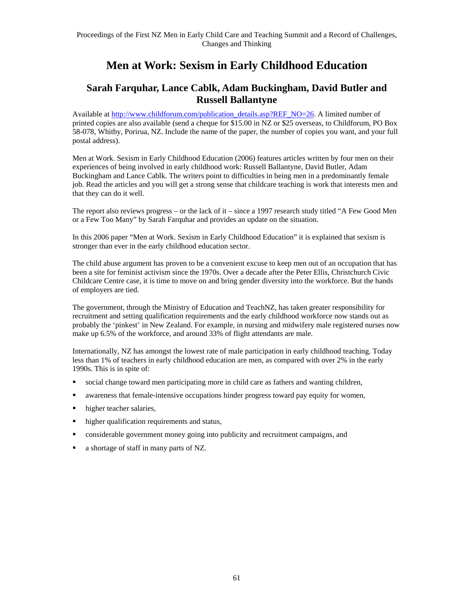# **Men at Work: Sexism in Early Childhood Education**

# **Sarah Farquhar, Lance Cablk, Adam Buckingham, David Butler and Russell Ballantyne**

Available at http://www.childforum.com/publication\_details.asp?REF\_NO=26. A limited number of printed copies are also available (send a cheque for \$15.00 in NZ or \$25 overseas, to Childforum, PO Box 58-078, Whitby, Porirua, NZ. Include the name of the paper, the number of copies you want, and your full postal address).

Men at Work. Sexism in Early Childhood Education (2006) features articles written by four men on their experiences of being involved in early childhood work: Russell Ballantyne, David Butler, Adam Buckingham and Lance Cablk. The writers point to difficulties in being men in a predominantly female job. Read the articles and you will get a strong sense that childcare teaching is work that interests men and that they can do it well.

The report also reviews progress – or the lack of it – since a 1997 research study titled "A Few Good Men or a Few Too Many" by Sarah Farquhar and provides an update on the situation.

In this 2006 paper "Men at Work. Sexism in Early Childhood Education" it is explained that sexism is stronger than ever in the early childhood education sector.

The child abuse argument has proven to be a convenient excuse to keep men out of an occupation that has been a site for feminist activism since the 1970s. Over a decade after the Peter Ellis, Christchurch Civic Childcare Centre case, it is time to move on and bring gender diversity into the workforce. But the hands of employers are tied.

The government, through the Ministry of Education and TeachNZ, has taken greater responsibility for recruitment and setting qualification requirements and the early childhood workforce now stands out as probably the 'pinkest' in New Zealand. For example, in nursing and midwifery male registered nurses now make up 6.5% of the workforce, and around 33% of flight attendants are male.

Internationally, NZ has amongst the lowest rate of male participation in early childhood teaching. Today less than 1% of teachers in early childhood education are men, as compared with over 2% in the early 1990s. This is in spite of:

- social change toward men participating more in child care as fathers and wanting children,
- awareness that female-intensive occupations hinder progress toward pay equity for women,
- higher teacher salaries,
- **higher qualification requirements and status,**
- considerable government money going into publicity and recruitment campaigns, and
- a shortage of staff in many parts of NZ.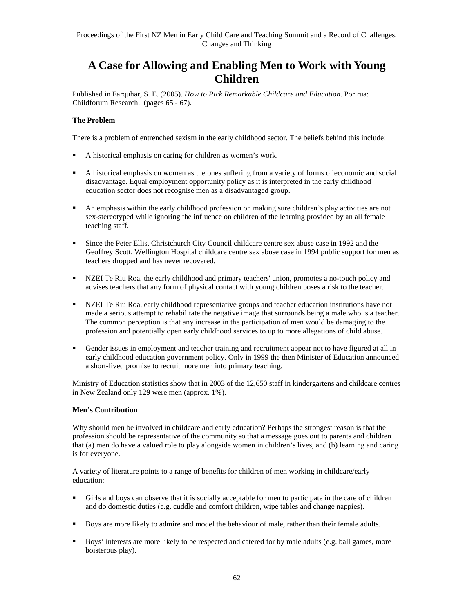# **A Case for Allowing and Enabling Men to Work with Young Children**

Published in Farquhar, S. E. (2005). *How to Pick Remarkable Childcare and Education*. Porirua: Childforum Research. (pages 65 - 67).

### **The Problem**

There is a problem of entrenched sexism in the early childhood sector. The beliefs behind this include:

- A historical emphasis on caring for children as women's work.
- A historical emphasis on women as the ones suffering from a variety of forms of economic and social disadvantage. Equal employment opportunity policy as it is interpreted in the early childhood education sector does not recognise men as a disadvantaged group.
- An emphasis within the early childhood profession on making sure children's play activities are not sex-stereotyped while ignoring the influence on children of the learning provided by an all female teaching staff.
- Since the Peter Ellis, Christchurch City Council childcare centre sex abuse case in 1992 and the Geoffrey Scott, Wellington Hospital childcare centre sex abuse case in 1994 public support for men as teachers dropped and has never recovered.
- NZEI Te Riu Roa, the early childhood and primary teachers' union, promotes a no-touch policy and advises teachers that any form of physical contact with young children poses a risk to the teacher.
- NZEI Te Riu Roa, early childhood representative groups and teacher education institutions have not made a serious attempt to rehabilitate the negative image that surrounds being a male who is a teacher. The common perception is that any increase in the participation of men would be damaging to the profession and potentially open early childhood services to up to more allegations of child abuse.
- Gender issues in employment and teacher training and recruitment appear not to have figured at all in early childhood education government policy. Only in 1999 the then Minister of Education announced a short-lived promise to recruit more men into primary teaching.

Ministry of Education statistics show that in 2003 of the 12,650 staff in kindergartens and childcare centres in New Zealand only 129 were men (approx. 1%).

### **Men's Contribution**

Why should men be involved in childcare and early education? Perhaps the strongest reason is that the profession should be representative of the community so that a message goes out to parents and children that (a) men do have a valued role to play alongside women in children's lives, and (b) learning and caring is for everyone.

A variety of literature points to a range of benefits for children of men working in childcare/early education:

- Girls and boys can observe that it is socially acceptable for men to participate in the care of children and do domestic duties (e.g. cuddle and comfort children, wipe tables and change nappies).
- **Boys are more likely to admire and model the behaviour of male, rather than their female adults.**
- Boys' interests are more likely to be respected and catered for by male adults (e.g. ball games, more boisterous play).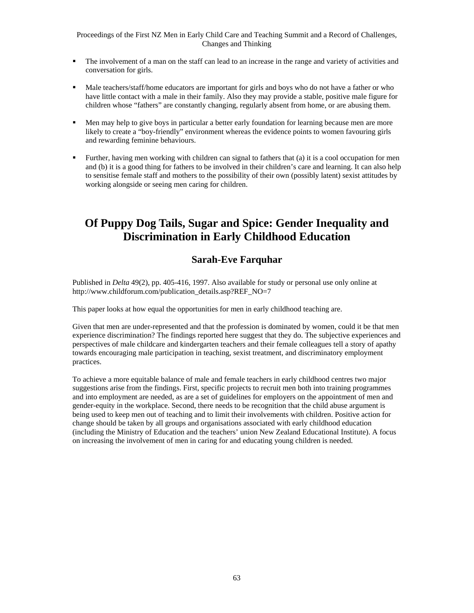- The involvement of a man on the staff can lead to an increase in the range and variety of activities and conversation for girls.
- Male teachers/staff/home educators are important for girls and boys who do not have a father or who have little contact with a male in their family. Also they may provide a stable, positive male figure for children whose "fathers" are constantly changing, regularly absent from home, or are abusing them.
- Men may help to give boys in particular a better early foundation for learning because men are more likely to create a "boy-friendly" environment whereas the evidence points to women favouring girls and rewarding feminine behaviours.
- Further, having men working with children can signal to fathers that (a) it is a cool occupation for men and (b) it is a good thing for fathers to be involved in their children's care and learning. It can also help to sensitise female staff and mothers to the possibility of their own (possibly latent) sexist attitudes by working alongside or seeing men caring for children.

# **Of Puppy Dog Tails, Sugar and Spice: Gender Inequality and Discrimination in Early Childhood Education**

### **Sarah-Eve Farquhar**

Published in *Delta* 49(2), pp. 405-416, 1997. Also available for study or personal use only online at http://www.childforum.com/publication\_details.asp?REF\_NO=7

This paper looks at how equal the opportunities for men in early childhood teaching are.

Given that men are under-represented and that the profession is dominated by women, could it be that men experience discrimination? The findings reported here suggest that they do. The subjective experiences and perspectives of male childcare and kindergarten teachers and their female colleagues tell a story of apathy towards encouraging male participation in teaching, sexist treatment, and discriminatory employment practices.

To achieve a more equitable balance of male and female teachers in early childhood centres two major suggestions arise from the findings. First, specific projects to recruit men both into training programmes and into employment are needed, as are a set of guidelines for employers on the appointment of men and gender-equity in the workplace. Second, there needs to be recognition that the child abuse argument is being used to keep men out of teaching and to limit their involvements with children. Positive action for change should be taken by all groups and organisations associated with early childhood education (including the Ministry of Education and the teachers' union New Zealand Educational Institute). A focus on increasing the involvement of men in caring for and educating young children is needed.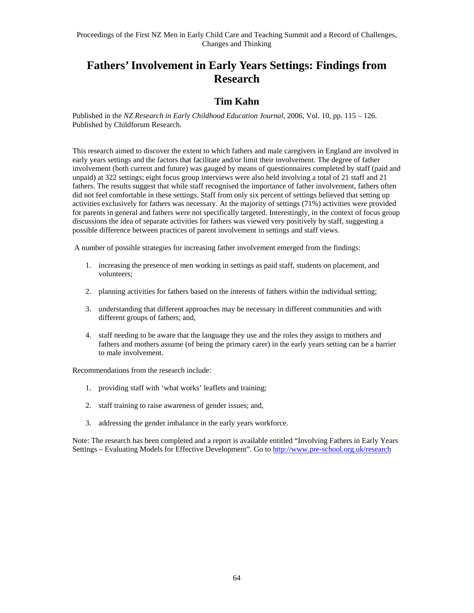# **Fathers' Involvement in Early Years Settings: Findings from Research**

## **Tim Kahn**

Published in the *NZ Research in Early Childhood Education Journal,* 2006, Vol. 10, pp. 115 – 126. Published by Childforum Research.

This research aimed to discover the extent to which fathers and male caregivers in England are involved in early years settings and the factors that facilitate and/or limit their involvement. The degree of father involvement (both current and future) was gauged by means of questionnaires completed by staff (paid and unpaid) at 322 settings; eight focus group interviews were also held involving a total of 21 staff and 21 fathers. The results suggest that while staff recognised the importance of father involvement, fathers often did not feel comfortable in these settings. Staff from only six percent of settings believed that setting up activities exclusively for fathers was necessary. At the majority of settings (71%) activities were provided for parents in general and fathers were not specifically targeted. Interestingly, in the context of focus group discussions the idea of separate activities for fathers was viewed very positively by staff, suggesting a possible difference between practices of parent involvement in settings and staff views.

A number of possible strategies for increasing father involvement emerged from the findings:

- 1. increasing the presence of men working in settings as paid staff, students on placement, and volunteers;
- 2. planning activities for fathers based on the interests of fathers within the individual setting;
- 3. understanding that different approaches may be necessary in different communities and with different groups of fathers; and,
- 4. staff needing to be aware that the language they use and the roles they assign to mothers and fathers and mothers assume (of being the primary carer) in the early years setting can be a barrier to male involvement.

Recommendations from the research include:

- 1. providing staff with 'what works' leaflets and training;
- 2. staff training to raise awareness of gender issues; and,
- 3. addressing the gender imbalance in the early years workforce.

Note: The research has been completed and a report is available entitled "Involving Fathers in Early Years Settings – Evaluating Models for Effective Development". Go to http://www.pre-school.org.uk/research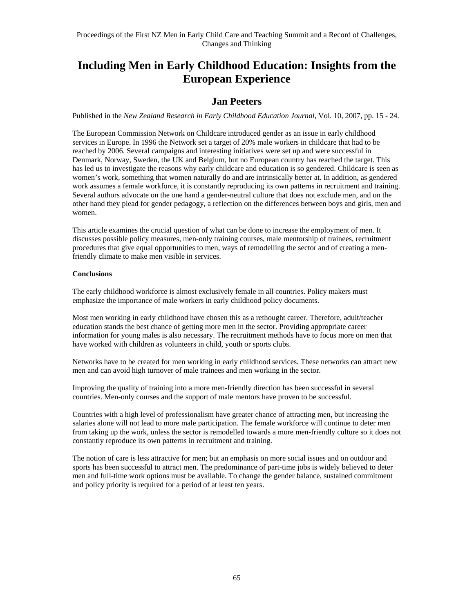# **Including Men in Early Childhood Education: Insights from the European Experience**

### **Jan Peeters**

Published in the *New Zealand Research in Early Childhood Education Journal*, Vol. 10, 2007, pp. 15 - 24.

The European Commission Network on Childcare introduced gender as an issue in early childhood services in Europe. In 1996 the Network set a target of 20% male workers in childcare that had to be reached by 2006. Several campaigns and interesting initiatives were set up and were successful in Denmark, Norway, Sweden, the UK and Belgium, but no European country has reached the target. This has led us to investigate the reasons why early childcare and education is so gendered. Childcare is seen as women's work, something that women naturally do and are intrinsically better at. In addition, as gendered work assumes a female workforce, it is constantly reproducing its own patterns in recruitment and training. Several authors advocate on the one hand a gender-neutral culture that does not exclude men, and on the other hand they plead for gender pedagogy, a reflection on the differences between boys and girls, men and women.

This article examines the crucial question of what can be done to increase the employment of men. It discusses possible policy measures, men-only training courses, male mentorship of trainees, recruitment procedures that give equal opportunities to men, ways of remodelling the sector and of creating a menfriendly climate to make men visible in services.

### **Conclusions**

The early childhood workforce is almost exclusively female in all countries. Policy makers must emphasize the importance of male workers in early childhood policy documents.

Most men working in early childhood have chosen this as a rethought career. Therefore, adult/teacher education stands the best chance of getting more men in the sector. Providing appropriate career information for young males is also necessary. The recruitment methods have to focus more on men that have worked with children as volunteers in child, youth or sports clubs.

Networks have to be created for men working in early childhood services. These networks can attract new men and can avoid high turnover of male trainees and men working in the sector.

Improving the quality of training into a more men-friendly direction has been successful in several countries. Men-only courses and the support of male mentors have proven to be successful.

Countries with a high level of professionalism have greater chance of attracting men, but increasing the salaries alone will not lead to more male participation. The female workforce will continue to deter men from taking up the work, unless the sector is remodelled towards a more men-friendly culture so it does not constantly reproduce its own patterns in recruitment and training.

The notion of care is less attractive for men; but an emphasis on more social issues and on outdoor and sports has been successful to attract men. The predominance of part-time jobs is widely believed to deter men and full-time work options must be available. To change the gender balance, sustained commitment and policy priority is required for a period of at least ten years.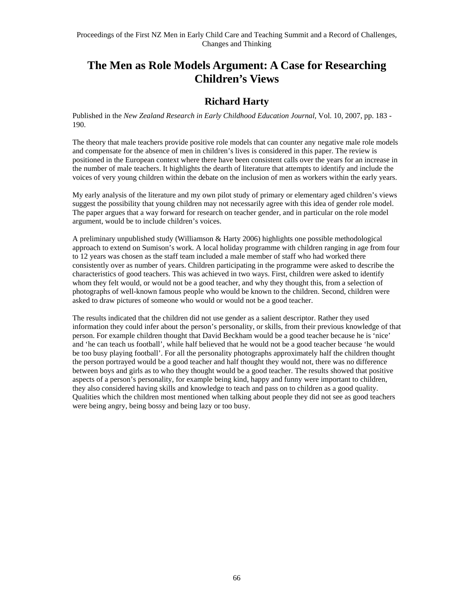# **The Men as Role Models Argument: A Case for Researching Children's Views**

### **Richard Harty**

Published in the *New Zealand Research in Early Childhood Education Journal,* Vol. 10, 2007, pp. 183 - 190.

The theory that male teachers provide positive role models that can counter any negative male role models and compensate for the absence of men in children's lives is considered in this paper. The review is positioned in the European context where there have been consistent calls over the years for an increase in the number of male teachers. It highlights the dearth of literature that attempts to identify and include the voices of very young children within the debate on the inclusion of men as workers within the early years.

My early analysis of the literature and my own pilot study of primary or elementary aged children's views suggest the possibility that young children may not necessarily agree with this idea of gender role model. The paper argues that a way forward for research on teacher gender, and in particular on the role model argument, would be to include children's voices.

A preliminary unpublished study (Williamson & Harty 2006) highlights one possible methodological approach to extend on Sumison's work. A local holiday programme with children ranging in age from four to 12 years was chosen as the staff team included a male member of staff who had worked there consistently over as number of years. Children participating in the programme were asked to describe the characteristics of good teachers. This was achieved in two ways. First, children were asked to identify whom they felt would, or would not be a good teacher, and why they thought this, from a selection of photographs of well-known famous people who would be known to the children. Second, children were asked to draw pictures of someone who would or would not be a good teacher.

The results indicated that the children did not use gender as a salient descriptor. Rather they used information they could infer about the person's personality, or skills, from their previous knowledge of that person. For example children thought that David Beckham would be a good teacher because he is 'nice' and 'he can teach us football', while half believed that he would not be a good teacher because 'he would be too busy playing football'. For all the personality photographs approximately half the children thought the person portrayed would be a good teacher and half thought they would not, there was no difference between boys and girls as to who they thought would be a good teacher. The results showed that positive aspects of a person's personality, for example being kind, happy and funny were important to children, they also considered having skills and knowledge to teach and pass on to children as a good quality. Qualities which the children most mentioned when talking about people they did not see as good teachers were being angry, being bossy and being lazy or too busy.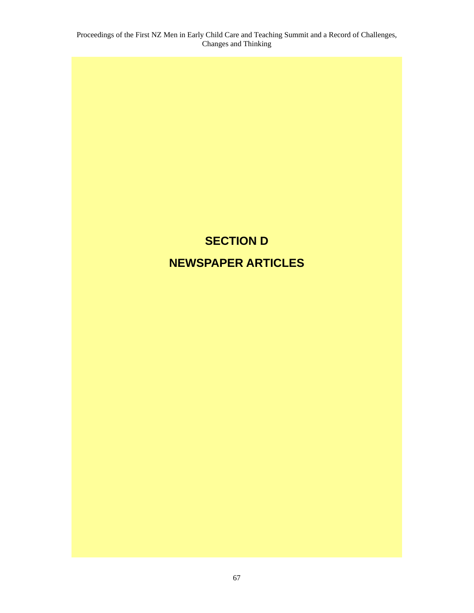# **SECTION D NEWSPAPER ARTICLES**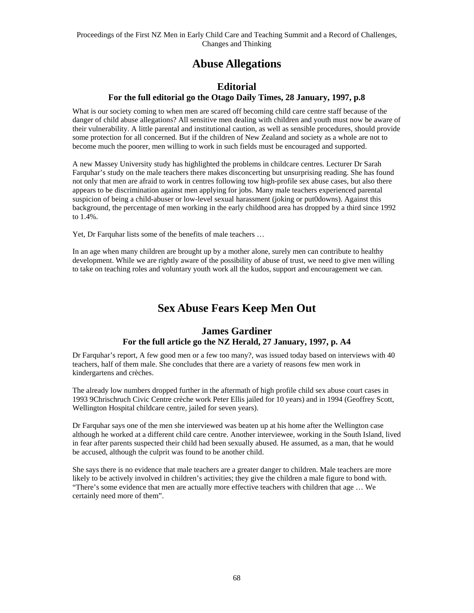### **Abuse Allegations**

### **Editorial For the full editorial go the Otago Daily Times, 28 January, 1997, p.8**

What is our society coming to when men are scared off becoming child care centre staff because of the danger of child abuse allegations? All sensitive men dealing with children and youth must now be aware of their vulnerability. A little parental and institutional caution, as well as sensible procedures, should provide some protection for all concerned. But if the children of New Zealand and society as a whole are not to become much the poorer, men willing to work in such fields must be encouraged and supported.

A new Massey University study has highlighted the problems in childcare centres. Lecturer Dr Sarah Farquhar's study on the male teachers there makes disconcerting but unsurprising reading. She has found not only that men are afraid to work in centres following tow high-profile sex abuse cases, but also there appears to be discrimination against men applying for jobs. Many male teachers experienced parental suspicion of being a child-abuser or low-level sexual harassment (joking or put0downs). Against this background, the percentage of men working in the early childhood area has dropped by a third since 1992 to 1.4%.

Yet, Dr Farquhar lists some of the benefits of male teachers …

In an age when many children are brought up by a mother alone, surely men can contribute to healthy development. While we are rightly aware of the possibility of abuse of trust, we need to give men willing to take on teaching roles and voluntary youth work all the kudos, support and encouragement we can.

### **Sex Abuse Fears Keep Men Out**

#### **James Gardiner For the full article go the NZ Herald, 27 January, 1997, p. A4**

Dr Farquhar's report, A few good men or a few too many?, was issued today based on interviews with 40 teachers, half of them male. She concludes that there are a variety of reasons few men work in kindergartens and crèches.

The already low numbers dropped further in the aftermath of high profile child sex abuse court cases in 1993 9Chrischruch Civic Centre crèche work Peter Ellis jailed for 10 years) and in 1994 (Geoffrey Scott, Wellington Hospital childcare centre, jailed for seven years).

Dr Farquhar says one of the men she interviewed was beaten up at his home after the Wellington case although he worked at a different child care centre. Another interviewee, working in the South Island, lived in fear after parents suspected their child had been sexually abused. He assumed, as a man, that he would be accused, although the culprit was found to be another child.

She says there is no evidence that male teachers are a greater danger to children. Male teachers are more likely to be actively involved in children's activities; they give the children a male figure to bond with. "There's some evidence that men are actually more effective teachers with children that age … We certainly need more of them".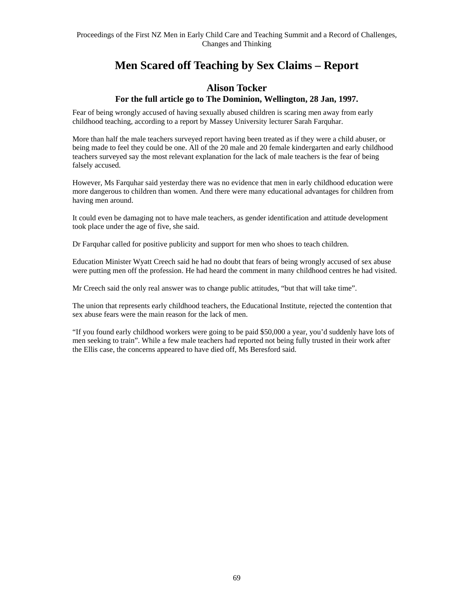### **Men Scared off Teaching by Sex Claims – Report**

#### **Alison Tocker For the full article go to The Dominion, Wellington, 28 Jan, 1997.**

Fear of being wrongly accused of having sexually abused children is scaring men away from early childhood teaching, according to a report by Massey University lecturer Sarah Farquhar.

More than half the male teachers surveyed report having been treated as if they were a child abuser, or being made to feel they could be one. All of the 20 male and 20 female kindergarten and early childhood teachers surveyed say the most relevant explanation for the lack of male teachers is the fear of being falsely accused.

However, Ms Farquhar said yesterday there was no evidence that men in early childhood education were more dangerous to children than women. And there were many educational advantages for children from having men around.

It could even be damaging not to have male teachers, as gender identification and attitude development took place under the age of five, she said.

Dr Farquhar called for positive publicity and support for men who shoes to teach children.

Education Minister Wyatt Creech said he had no doubt that fears of being wrongly accused of sex abuse were putting men off the profession. He had heard the comment in many childhood centres he had visited.

Mr Creech said the only real answer was to change public attitudes, "but that will take time".

The union that represents early childhood teachers, the Educational Institute, rejected the contention that sex abuse fears were the main reason for the lack of men.

"If you found early childhood workers were going to be paid \$50,000 a year, you'd suddenly have lots of men seeking to train". While a few male teachers had reported not being fully trusted in their work after the Ellis case, the concerns appeared to have died off, Ms Beresford said.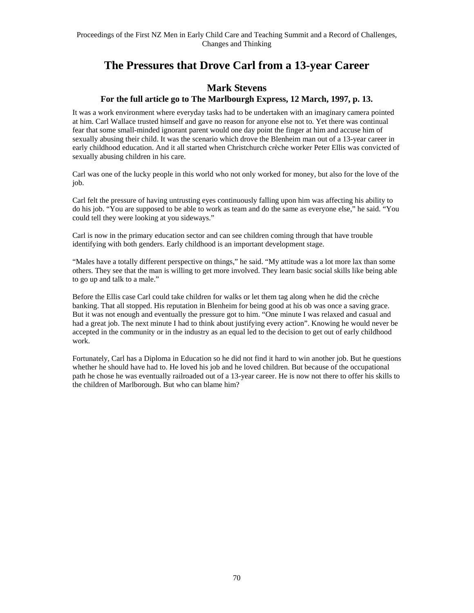### **The Pressures that Drove Carl from a 13-year Career**

#### **Mark Stevens For the full article go to The Marlbourgh Express, 12 March, 1997, p. 13.**

It was a work environment where everyday tasks had to be undertaken with an imaginary camera pointed at him. Carl Wallace trusted himself and gave no reason for anyone else not to. Yet there was continual fear that some small-minded ignorant parent would one day point the finger at him and accuse him of sexually abusing their child. It was the scenario which drove the Blenheim man out of a 13-year career in early childhood education. And it all started when Christchurch crèche worker Peter Ellis was convicted of sexually abusing children in his care.

Carl was one of the lucky people in this world who not only worked for money, but also for the love of the job.

Carl felt the pressure of having untrusting eyes continuously falling upon him was affecting his ability to do his job. "You are supposed to be able to work as team and do the same as everyone else," he said. "You could tell they were looking at you sideways."

Carl is now in the primary education sector and can see children coming through that have trouble identifying with both genders. Early childhood is an important development stage.

"Males have a totally different perspective on things," he said. "My attitude was a lot more lax than some others. They see that the man is willing to get more involved. They learn basic social skills like being able to go up and talk to a male."

Before the Ellis case Carl could take children for walks or let them tag along when he did the crèche banking. That all stopped. His reputation in Blenheim for being good at his ob was once a saving grace. But it was not enough and eventually the pressure got to him. "One minute I was relaxed and casual and had a great job. The next minute I had to think about justifying every action". Knowing he would never be accepted in the community or in the industry as an equal led to the decision to get out of early childhood work.

Fortunately, Carl has a Diploma in Education so he did not find it hard to win another job. But he questions whether he should have had to. He loved his job and he loved children. But because of the occupational path he chose he was eventually railroaded out of a 13-year career. He is now not there to offer his skills to the children of Marlborough. But who can blame him?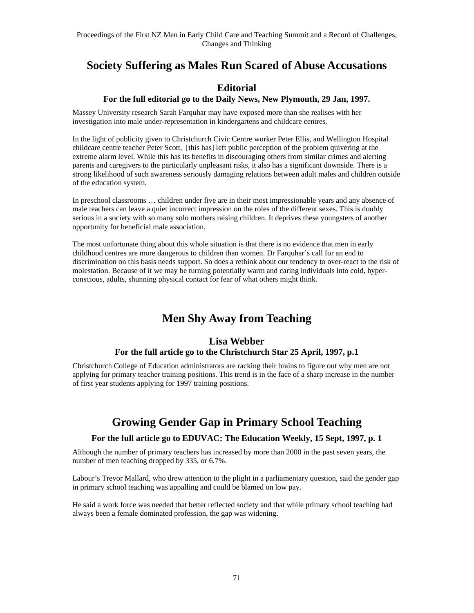### **Society Suffering as Males Run Scared of Abuse Accusations**

### **Editorial**

#### **For the full editorial go to the Daily News, New Plymouth, 29 Jan, 1997.**

Massey University research Sarah Farquhar may have exposed more than she realises with her investigation into male under-representation in kindergartens and childcare centres.

In the light of publicity given to Christchurch Civic Centre worker Peter Ellis, and Wellington Hospital childcare centre teacher Peter Scott, [this has] left public perception of the problem quivering at the extreme alarm level. While this has its benefits in discouraging others from similar crimes and alerting parents and caregivers to the particularly unpleasant risks, it also has a significant downside. There is a strong likelihood of such awareness seriously damaging relations between adult males and children outside of the education system.

In preschool classrooms … children under five are in their most impressionable years and any absence of male teachers can leave a quiet incorrect impression on the roles of the different sexes. This is doubly serious in a society with so many solo mothers raising children. It deprives these youngsters of another opportunity for beneficial male association.

The most unfortunate thing about this whole situation is that there is no evidence that men in early childhood centres are more dangerous to children than women. Dr Farquhar's call for an end to discrimination on this basis needs support. So does a rethink about our tendency to over-react to the risk of molestation. Because of it we may be turning potentially warm and caring individuals into cold, hyperconscious, adults, shunning physical contact for fear of what others might think.

### **Men Shy Away from Teaching**

#### **Lisa Webber For the full article go to the Christchurch Star 25 April, 1997, p.1**

Christchurch College of Education administrators are racking their brains to figure out why men are not applying for primary teacher training positions. This trend is in the face of a sharp increase in the number of first year students applying for 1997 training positions.

### **Growing Gender Gap in Primary School Teaching**

### **For the full article go to EDUVAC: The Education Weekly, 15 Sept, 1997, p. 1**

Although the number of primary teachers has increased by more than 2000 in the past seven years, the number of men teaching dropped by 335, or 6.7%.

Labour's Trevor Mallard, who drew attention to the plight in a parliamentary question, said the gender gap in primary school teaching was appalling and could be blamed on low pay.

He said a work force was needed that better reflected society and that while primary school teaching had always been a female dominated profession, the gap was widening.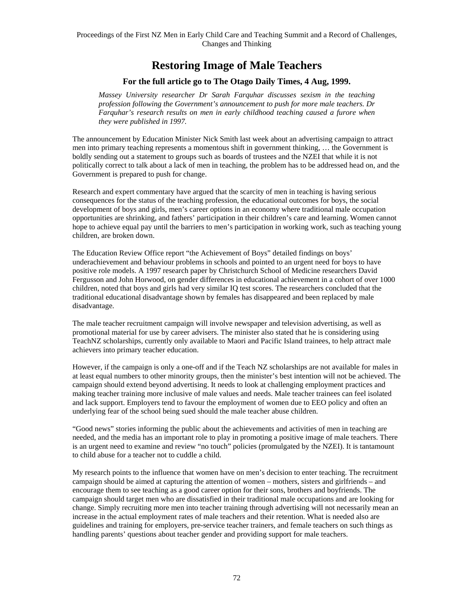### **Restoring Image of Male Teachers**

#### **For the full article go to The Otago Daily Times, 4 Aug, 1999.**

*Massey University researcher Dr Sarah Farquhar discusses sexism in the teaching profession following the Government's announcement to push for more male teachers. Dr Farquhar's research results on men in early childhood teaching caused a furore when they were published in 1997.* 

The announcement by Education Minister Nick Smith last week about an advertising campaign to attract men into primary teaching represents a momentous shift in government thinking, … the Government is boldly sending out a statement to groups such as boards of trustees and the NZEI that while it is not politically correct to talk about a lack of men in teaching, the problem has to be addressed head on, and the Government is prepared to push for change.

Research and expert commentary have argued that the scarcity of men in teaching is having serious consequences for the status of the teaching profession, the educational outcomes for boys, the social development of boys and girls, men's career options in an economy where traditional male occupation opportunities are shrinking, and fathers' participation in their children's care and learning. Women cannot hope to achieve equal pay until the barriers to men's participation in working work, such as teaching young children, are broken down.

The Education Review Office report "the Achievement of Boys" detailed findings on boys' underachievement and behaviour problems in schools and pointed to an urgent need for boys to have positive role models. A 1997 research paper by Christchurch School of Medicine researchers David Fergusson and John Horwood, on gender differences in educational achievement in a cohort of over 1000 children, noted that boys and girls had very similar IQ test scores. The researchers concluded that the traditional educational disadvantage shown by females has disappeared and been replaced by male disadvantage.

The male teacher recruitment campaign will involve newspaper and television advertising, as well as promotional material for use by career advisers. The minister also stated that he is considering using TeachNZ scholarships, currently only available to Maori and Pacific Island trainees, to help attract male achievers into primary teacher education.

However, if the campaign is only a one-off and if the Teach NZ scholarships are not available for males in at least equal numbers to other minority groups, then the minister's best intention will not be achieved. The campaign should extend beyond advertising. It needs to look at challenging employment practices and making teacher training more inclusive of male values and needs. Male teacher trainees can feel isolated and lack support. Employers tend to favour the employment of women due to EEO policy and often an underlying fear of the school being sued should the male teacher abuse children.

"Good news" stories informing the public about the achievements and activities of men in teaching are needed, and the media has an important role to play in promoting a positive image of male teachers. There is an urgent need to examine and review "no touch" policies (promulgated by the NZEI). It is tantamount to child abuse for a teacher not to cuddle a child.

My research points to the influence that women have on men's decision to enter teaching. The recruitment campaign should be aimed at capturing the attention of women – mothers, sisters and girlfriends – and encourage them to see teaching as a good career option for their sons, brothers and boyfriends. The campaign should target men who are dissatisfied in their traditional male occupations and are looking for change. Simply recruiting more men into teacher training through advertising will not necessarily mean an increase in the actual employment rates of male teachers and their retention. What is needed also are guidelines and training for employers, pre-service teacher trainers, and female teachers on such things as handling parents' questions about teacher gender and providing support for male teachers.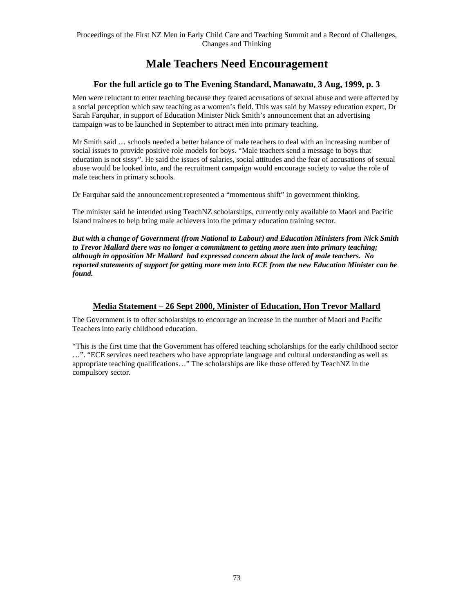### **Male Teachers Need Encouragement**

#### **For the full article go to The Evening Standard, Manawatu, 3 Aug, 1999, p. 3**

Men were reluctant to enter teaching because they feared accusations of sexual abuse and were affected by a social perception which saw teaching as a women's field. This was said by Massey education expert, Dr Sarah Farquhar, in support of Education Minister Nick Smith's announcement that an advertising campaign was to be launched in September to attract men into primary teaching.

Mr Smith said … schools needed a better balance of male teachers to deal with an increasing number of social issues to provide positive role models for boys. "Male teachers send a message to boys that education is not sissy". He said the issues of salaries, social attitudes and the fear of accusations of sexual abuse would be looked into, and the recruitment campaign would encourage society to value the role of male teachers in primary schools.

Dr Farquhar said the announcement represented a "momentous shift" in government thinking.

The minister said he intended using TeachNZ scholarships, currently only available to Maori and Pacific Island trainees to help bring male achievers into the primary education training sector.

*But with a change of Government (from National to Labour) and Education Ministers from Nick Smith to Trevor Mallard there was no longer a commitment to getting more men into primary teaching; although in opposition Mr Mallard had expressed concern about the lack of male teachers. No reported statements of support for getting more men into ECE from the new Education Minister can be found.* 

#### **Media Statement – 26 Sept 2000, Minister of Education, Hon Trevor Mallard**

The Government is to offer scholarships to encourage an increase in the number of Maori and Pacific Teachers into early childhood education.

"This is the first time that the Government has offered teaching scholarships for the early childhood sector …". "ECE services need teachers who have appropriate language and cultural understanding as well as appropriate teaching qualifications…" The scholarships are like those offered by TeachNZ in the compulsory sector.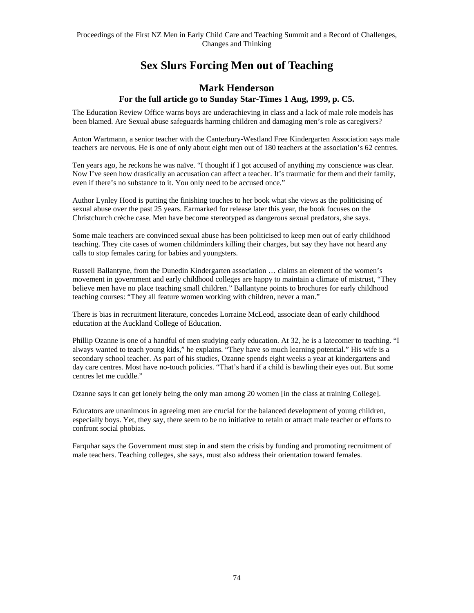### **Sex Slurs Forcing Men out of Teaching**

#### **Mark Henderson For the full article go to Sunday Star-Times 1 Aug, 1999, p. C5.**

The Education Review Office warns boys are underachieving in class and a lack of male role models has been blamed. Are Sexual abuse safeguards harming children and damaging men's role as caregivers?

Anton Wartmann, a senior teacher with the Canterbury-Westland Free Kindergarten Association says male teachers are nervous. He is one of only about eight men out of 180 teachers at the association's 62 centres.

Ten years ago, he reckons he was naïve. "I thought if I got accused of anything my conscience was clear. Now I've seen how drastically an accusation can affect a teacher. It's traumatic for them and their family, even if there's no substance to it. You only need to be accused once."

Author Lynley Hood is putting the finishing touches to her book what she views as the politicising of sexual abuse over the past 25 years. Earmarked for release later this year, the book focuses on the Christchurch crèche case. Men have become stereotyped as dangerous sexual predators, she says.

Some male teachers are convinced sexual abuse has been politicised to keep men out of early childhood teaching. They cite cases of women childminders killing their charges, but say they have not heard any calls to stop females caring for babies and youngsters.

Russell Ballantyne, from the Dunedin Kindergarten association … claims an element of the women's movement in government and early childhood colleges are happy to maintain a climate of mistrust, "They believe men have no place teaching small children." Ballantyne points to brochures for early childhood teaching courses: "They all feature women working with children, never a man."

There is bias in recruitment literature, concedes Lorraine McLeod, associate dean of early childhood education at the Auckland College of Education.

Phillip Ozanne is one of a handful of men studying early education. At 32, he is a latecomer to teaching. "I always wanted to teach young kids," he explains. "They have so much learning potential." His wife is a secondary school teacher. As part of his studies, Ozanne spends eight weeks a year at kindergartens and day care centres. Most have no-touch policies. "That's hard if a child is bawling their eyes out. But some centres let me cuddle."

Ozanne says it can get lonely being the only man among 20 women [in the class at training College].

Educators are unanimous in agreeing men are crucial for the balanced development of young children, especially boys. Yet, they say, there seem to be no initiative to retain or attract male teacher or efforts to confront social phobias.

Farquhar says the Government must step in and stem the crisis by funding and promoting recruitment of male teachers. Teaching colleges, she says, must also address their orientation toward females.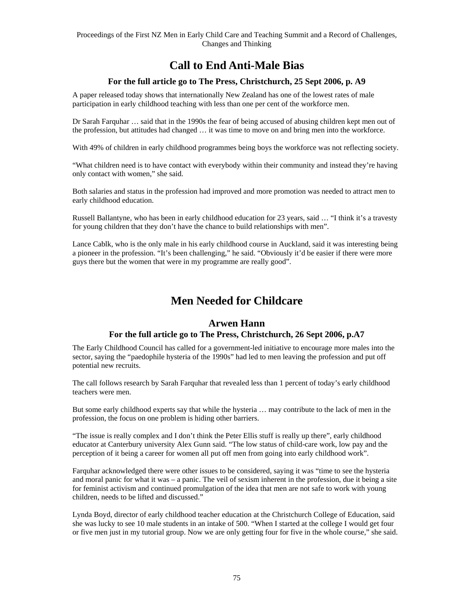### **Call to End Anti-Male Bias**

#### **For the full article go to The Press, Christchurch, 25 Sept 2006, p. A9**

A paper released today shows that internationally New Zealand has one of the lowest rates of male participation in early childhood teaching with less than one per cent of the workforce men.

Dr Sarah Farquhar … said that in the 1990s the fear of being accused of abusing children kept men out of the profession, but attitudes had changed … it was time to move on and bring men into the workforce.

With 49% of children in early childhood programmes being boys the workforce was not reflecting society.

"What children need is to have contact with everybody within their community and instead they're having only contact with women," she said.

Both salaries and status in the profession had improved and more promotion was needed to attract men to early childhood education.

Russell Ballantyne, who has been in early childhood education for 23 years, said … "I think it's a travesty for young children that they don't have the chance to build relationships with men".

Lance Cablk, who is the only male in his early childhood course in Auckland, said it was interesting being a pioneer in the profession. "It's been challenging," he said. "Obviously it'd be easier if there were more guys there but the women that were in my programme are really good".

### **Men Needed for Childcare**

### **Arwen Hann For the full article go to The Press, Christchurch, 26 Sept 2006, p.A7**

The Early Childhood Council has called for a government-led initiative to encourage more males into the sector, saying the "paedophile hysteria of the 1990s" had led to men leaving the profession and put off potential new recruits.

The call follows research by Sarah Farquhar that revealed less than 1 percent of today's early childhood teachers were men.

But some early childhood experts say that while the hysteria … may contribute to the lack of men in the profession, the focus on one problem is hiding other barriers.

"The issue is really complex and I don't think the Peter Ellis stuff is really up there", early childhood educator at Canterbury university Alex Gunn said. "The low status of child-care work, low pay and the perception of it being a career for women all put off men from going into early childhood work".

Farquhar acknowledged there were other issues to be considered, saying it was "time to see the hysteria and moral panic for what it was – a panic. The veil of sexism inherent in the profession, due it being a site for feminist activism and continued promulgation of the idea that men are not safe to work with young children, needs to be lifted and discussed."

Lynda Boyd, director of early childhood teacher education at the Christchurch College of Education, said she was lucky to see 10 male students in an intake of 500. "When I started at the college I would get four or five men just in my tutorial group. Now we are only getting four for five in the whole course," she said.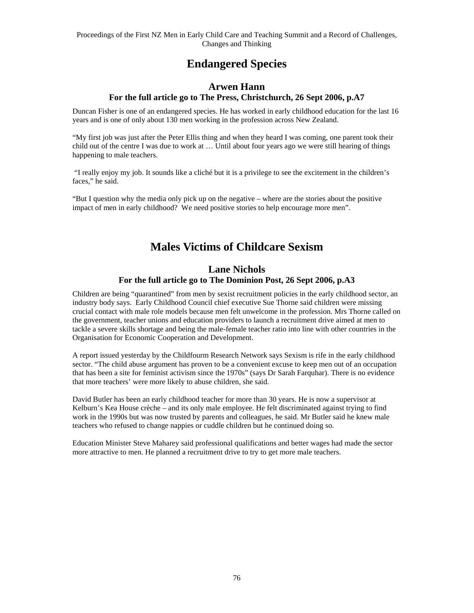### **Endangered Species**

### **Arwen Hann**

#### **For the full article go to The Press, Christchurch, 26 Sept 2006, p.A7**

Duncan Fisher is one of an endangered species. He has worked in early childhood education for the last 16 years and is one of only about 130 men working in the profession across New Zealand.

"My first job was just after the Peter Ellis thing and when they heard I was coming, one parent took their child out of the centre I was due to work at … Until about four years ago we were still hearing of things happening to male teachers.

 "I really enjoy my job. It sounds like a cliché but it is a privilege to see the excitement in the children's faces," he said.

"But I question why the media only pick up on the negative – where are the stories about the positive impact of men in early childhood? We need positive stories to help encourage more men".

### **Males Victims of Childcare Sexism**

### **Lane Nichols For the full article go to The Dominion Post, 26 Sept 2006, p.A3**

Children are being "quarantined" from men by sexist recruitment policies in the early childhood sector, an industry body says. Early Childhood Council chief executive Sue Thorne said children were missing crucial contact with male role models because men felt unwelcome in the profession. Mrs Thorne called on the government, teacher unions and education providers to launch a recruitment drive aimed at men to tackle a severe skills shortage and being the male-female teacher ratio into line with other countries in the Organisation for Economic Cooperation and Development.

A report issued yesterday by the Childfourm Research Network says Sexism is rife in the early childhood sector. "The child abuse argument has proven to be a convenient excuse to keep men out of an occupation that has been a site for feminist activism since the 1970s" (says Dr Sarah Farquhar). There is no evidence that more teachers' were more likely to abuse children, she said.

David Butler has been an early childhood teacher for more than 30 years. He is now a supervisor at Kelburn's Kea House crèche – and its only male employee. He felt discriminated against trying to find work in the 1990s but was now trusted by parents and colleagues, he said. Mr Butler said he knew male teachers who refused to change nappies or cuddle children but he continued doing so.

Education Minister Steve Maharey said professional qualifications and better wages had made the sector more attractive to men. He planned a recruitment drive to try to get more male teachers.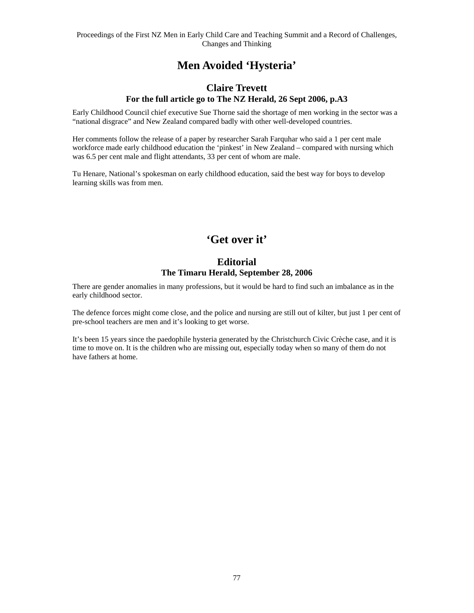### **Men Avoided 'Hysteria'**

#### **Claire Trevett For the full article go to The NZ Herald, 26 Sept 2006, p.A3**

Early Childhood Council chief executive Sue Thorne said the shortage of men working in the sector was a "national disgrace" and New Zealand compared badly with other well-developed countries.

Her comments follow the release of a paper by researcher Sarah Farquhar who said a 1 per cent male workforce made early childhood education the 'pinkest' in New Zealand – compared with nursing which was 6.5 per cent male and flight attendants, 33 per cent of whom are male.

Tu Henare, National's spokesman on early childhood education, said the best way for boys to develop learning skills was from men.

### **'Get over it'**

### **Editorial The Timaru Herald, September 28, 2006**

There are gender anomalies in many professions, but it would be hard to find such an imbalance as in the early childhood sector.

The defence forces might come close, and the police and nursing are still out of kilter, but just 1 per cent of pre-school teachers are men and it's looking to get worse.

It's been 15 years since the paedophile hysteria generated by the Christchurch Civic Crèche case, and it is time to move on. It is the children who are missing out, especially today when so many of them do not have fathers at home.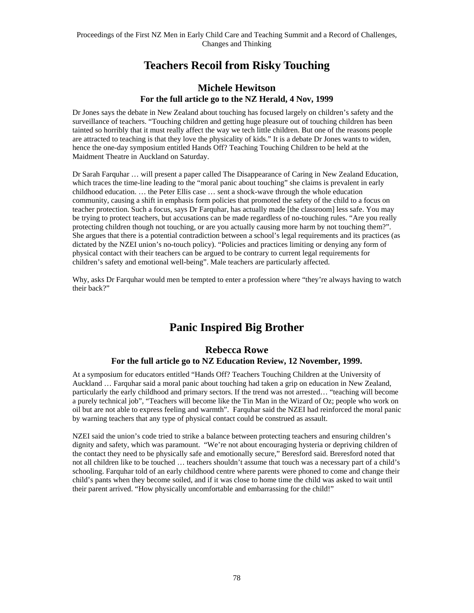### **Teachers Recoil from Risky Touching**

#### **Michele Hewitson For the full article go to the NZ Herald, 4 Nov, 1999**

Dr Jones says the debate in New Zealand about touching has focused largely on children's safety and the surveillance of teachers. "Touching children and getting huge pleasure out of touching children has been tainted so horribly that it must really affect the way we tech little children. But one of the reasons people are attracted to teaching is that they love the physicality of kids." It is a debate Dr Jones wants to widen, hence the one-day symposium entitled Hands Off? Teaching Touching Children to be held at the Maidment Theatre in Auckland on Saturday.

Dr Sarah Farquhar … will present a paper called The Disappearance of Caring in New Zealand Education, which traces the time-line leading to the "moral panic about touching" she claims is prevalent in early childhood education. … the Peter Ellis case … sent a shock-wave through the whole education community, causing a shift in emphasis form policies that promoted the safety of the child to a focus on teacher protection. Such a focus, says Dr Farquhar, has actually made [the classroom] less safe. You may be trying to protect teachers, but accusations can be made regardless of no-touching rules. "Are you really protecting children though not touching, or are you actually causing more harm by not touching them?". She argues that there is a potential contradiction between a school's legal requirements and its practices (as dictated by the NZEI union's no-touch policy). "Policies and practices limiting or denying any form of physical contact with their teachers can be argued to be contrary to current legal requirements for children's safety and emotional well-being". Male teachers are particularly affected.

Why, asks Dr Farquhar would men be tempted to enter a profession where "they're always having to watch their back?"

### **Panic Inspired Big Brother**

#### **Rebecca Rowe For the full article go to NZ Education Review, 12 November, 1999.**

At a symposium for educators entitled "Hands Off? Teachers Touching Children at the University of Auckland … Farquhar said a moral panic about touching had taken a grip on education in New Zealand, particularly the early childhood and primary sectors. If the trend was not arrested… "teaching will become a purely technical job", "Teachers will become like the Tin Man in the Wizard of Oz; people who work on oil but are not able to express feeling and warmth". Farquhar said the NZEI had reinforced the moral panic by warning teachers that any type of physical contact could be construed as assault.

NZEI said the union's code tried to strike a balance between protecting teachers and ensuring children's dignity and safety, which was paramount. "We're not about encouraging hysteria or depriving children of the contact they need to be physically safe and emotionally secure," Beresford said. Breresford noted that not all children like to be touched … teachers shouldn't assume that touch was a necessary part of a child's schooling. Farquhar told of an early childhood centre where parents were phoned to come and change their child's pants when they become soiled, and if it was close to home time the child was asked to wait until their parent arrived. "How physically uncomfortable and embarrassing for the child!"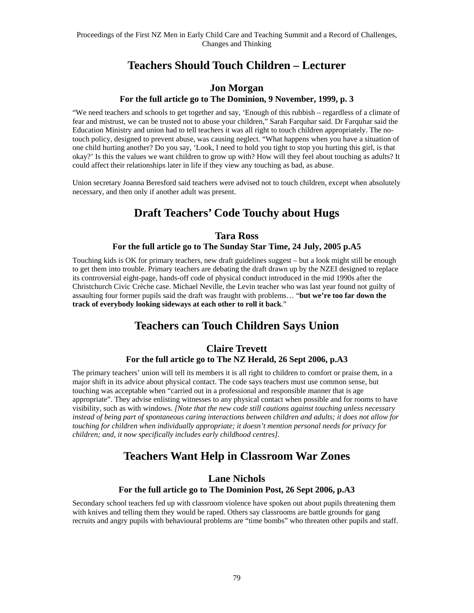### **Teachers Should Touch Children – Lecturer**

#### **Jon Morgan For the full article go to The Dominion, 9 November, 1999, p. 3**

"We need teachers and schools to get together and say, 'Enough of this rubbish – regardless of a climate of fear and mistrust, we can be trusted not to abuse your children," Sarah Farquhar said. Dr Farquhar said the Education Ministry and union had to tell teachers it was all right to touch children appropriately. The notouch policy, designed to prevent abuse, was causing neglect. "What happens when you have a situation of one child hurting another? Do you say, 'Look, I need to hold you tight to stop you hurting this girl, is that okay?' Is this the values we want children to grow up with? How will they feel about touching as adults? It could affect their relationships later in life if they view any touching as bad, as abuse.

Union secretary Joanna Beresford said teachers were advised not to touch children, except when absolutely necessary, and then only if another adult was present.

### **Draft Teachers' Code Touchy about Hugs**

### **Tara Ross**

#### **For the full article go to The Sunday Star Time, 24 July, 2005 p.A5**

Touching kids is OK for primary teachers, new draft guidelines suggest – but a look might still be enough to get them into trouble. Primary teachers are debating the draft drawn up by the NZEI designed to replace its controversial eight-page, hands-off code of physical conduct introduced in the mid 1990s after the Christchurch Civic Crèche case. Michael Neville, the Levin teacher who was last year found not guilty of assaulting four former pupils said the draft was fraught with problems… "**but we're too far down the track of everybody looking sideways at each other to roll it back**."

### **Teachers can Touch Children Says Union**

#### **Claire Trevett For the full article go to The NZ Herald, 26 Sept 2006, p.A3**

The primary teachers' union will tell its members it is all right to children to comfort or praise them, in a major shift in its advice about physical contact. The code says teachers must use common sense, but touching was acceptable when "carried out in a professional and responsible manner that is age appropriate". They advise enlisting witnesses to any physical contact when possible and for rooms to have visibility, such as with windows. *[Note that the new code still cautions against touching unless necessary instead of being part of spontaneous caring interactions between children and adults; it does not allow for touching for children when individually appropriate; it doesn't mention personal needs for privacy for children; and, it now specifically includes early childhood centres].* 

### **Teachers Want Help in Classroom War Zones**

### **Lane Nichols For the full article go to The Dominion Post, 26 Sept 2006, p.A3**

Secondary school teachers fed up with classroom violence have spoken out about pupils threatening them with knives and telling them they would be raped. Others say classrooms are battle grounds for gang recruits and angry pupils with behavioural problems are "time bombs" who threaten other pupils and staff.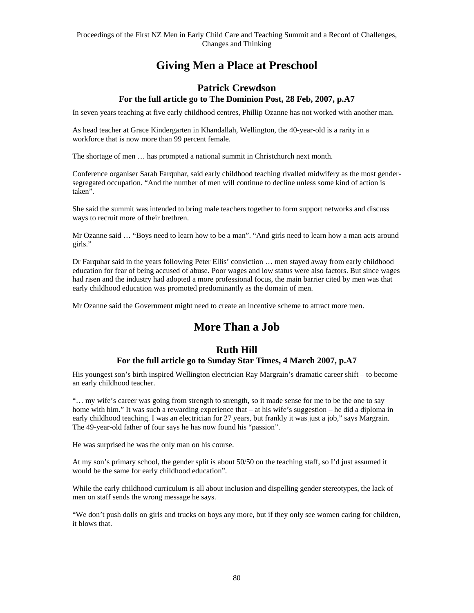### **Giving Men a Place at Preschool**

#### **Patrick Crewdson For the full article go to The Dominion Post, 28 Feb, 2007, p.A7**

In seven years teaching at five early childhood centres, Phillip Ozanne has not worked with another man.

As head teacher at Grace Kindergarten in Khandallah, Wellington, the 40-year-old is a rarity in a workforce that is now more than 99 percent female.

The shortage of men … has prompted a national summit in Christchurch next month.

Conference organiser Sarah Farquhar, said early childhood teaching rivalled midwifery as the most gendersegregated occupation. "And the number of men will continue to decline unless some kind of action is taken".

She said the summit was intended to bring male teachers together to form support networks and discuss ways to recruit more of their brethren.

Mr Ozanne said … "Boys need to learn how to be a man". "And girls need to learn how a man acts around girls."

Dr Farquhar said in the years following Peter Ellis' conviction … men stayed away from early childhood education for fear of being accused of abuse. Poor wages and low status were also factors. But since wages had risen and the industry had adopted a more professional focus, the main barrier cited by men was that early childhood education was promoted predominantly as the domain of men.

Mr Ozanne said the Government might need to create an incentive scheme to attract more men.

### **More Than a Job**

### **Ruth Hill**

### **For the full article go to Sunday Star Times, 4 March 2007, p.A7**

His youngest son's birth inspired Wellington electrician Ray Margrain's dramatic career shift – to become an early childhood teacher.

"… my wife's career was going from strength to strength, so it made sense for me to be the one to say home with him." It was such a rewarding experience that – at his wife's suggestion – he did a diploma in early childhood teaching. I was an electrician for 27 years, but frankly it was just a job," says Margrain. The 49-year-old father of four says he has now found his "passion".

He was surprised he was the only man on his course.

At my son's primary school, the gender split is about 50/50 on the teaching staff, so I'd just assumed it would be the same for early childhood education".

While the early childhood curriculum is all about inclusion and dispelling gender stereotypes, the lack of men on staff sends the wrong message he says.

"We don't push dolls on girls and trucks on boys any more, but if they only see women caring for children, it blows that.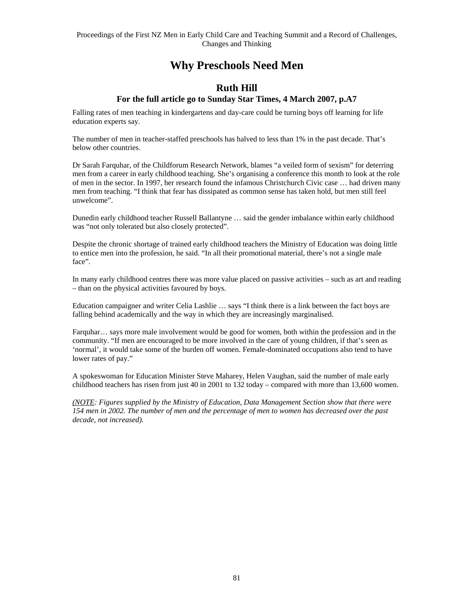### **Why Preschools Need Men**

### **Ruth Hill**

#### **For the full article go to Sunday Star Times, 4 March 2007, p.A7**

Falling rates of men teaching in kindergartens and day-care could be turning boys off learning for life education experts say.

The number of men in teacher-staffed preschools has halved to less than 1% in the past decade. That's below other countries.

Dr Sarah Farquhar, of the Childforum Research Network, blames "a veiled form of sexism" for deterring men from a career in early childhood teaching. She's organising a conference this month to look at the role of men in the sector. In 1997, her research found the infamous Christchurch Civic case … had driven many men from teaching. "I think that fear has dissipated as common sense has taken hold, but men still feel unwelcome".

Dunedin early childhood teacher Russell Ballantyne … said the gender imbalance within early childhood was "not only tolerated but also closely protected".

Despite the chronic shortage of trained early childhood teachers the Ministry of Education was doing little to entice men into the profession, he said. "In all their promotional material, there's not a single male face".

In many early childhood centres there was more value placed on passive activities – such as art and reading – than on the physical activities favoured by boys.

Education campaigner and writer Celia Lashlie … says "I think there is a link between the fact boys are falling behind academically and the way in which they are increasingly marginalised.

Farquhar… says more male involvement would be good for women, both within the profession and in the community. "If men are encouraged to be more involved in the care of young children, if that's seen as 'normal', it would take some of the burden off women. Female-dominated occupations also tend to have lower rates of pay."

A spokeswoman for Education Minister Steve Maharey, Helen Vaughan, said the number of male early childhood teachers has risen from just 40 in 2001 to 132 today – compared with more than 13,600 women.

*(NOTE: Figures supplied by the Ministry of Education, Data Management Section show that there were 154 men in 2002. The number of men and the percentage of men to women has decreased over the past decade, not increased).*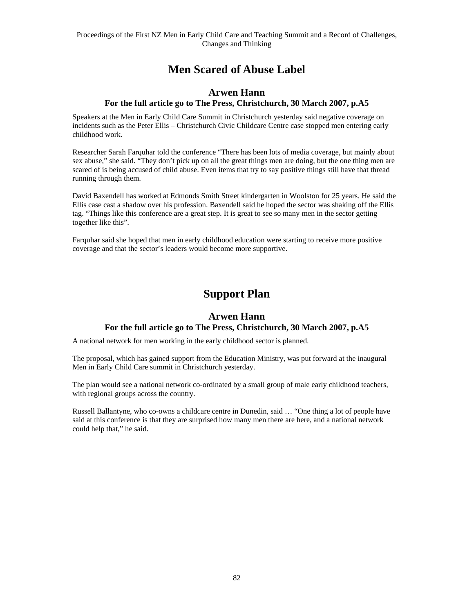### **Men Scared of Abuse Label**

### **Arwen Hann For the full article go to The Press, Christchurch, 30 March 2007, p.A5**

Speakers at the Men in Early Child Care Summit in Christchurch yesterday said negative coverage on incidents such as the Peter Ellis – Christchurch Civic Childcare Centre case stopped men entering early childhood work.

Researcher Sarah Farquhar told the conference "There has been lots of media coverage, but mainly about sex abuse," she said. "They don't pick up on all the great things men are doing, but the one thing men are scared of is being accused of child abuse. Even items that try to say positive things still have that thread running through them.

David Baxendell has worked at Edmonds Smith Street kindergarten in Woolston for 25 years. He said the Ellis case cast a shadow over his profession. Baxendell said he hoped the sector was shaking off the Ellis tag. "Things like this conference are a great step. It is great to see so many men in the sector getting together like this".

Farquhar said she hoped that men in early childhood education were starting to receive more positive coverage and that the sector's leaders would become more supportive.

### **Support Plan**

#### **Arwen Hann For the full article go to The Press, Christchurch, 30 March 2007, p.A5**

A national network for men working in the early childhood sector is planned.

The proposal, which has gained support from the Education Ministry, was put forward at the inaugural Men in Early Child Care summit in Christchurch yesterday.

The plan would see a national network co-ordinated by a small group of male early childhood teachers, with regional groups across the country.

Russell Ballantyne, who co-owns a childcare centre in Dunedin, said … "One thing a lot of people have said at this conference is that they are surprised how many men there are here, and a national network could help that," he said.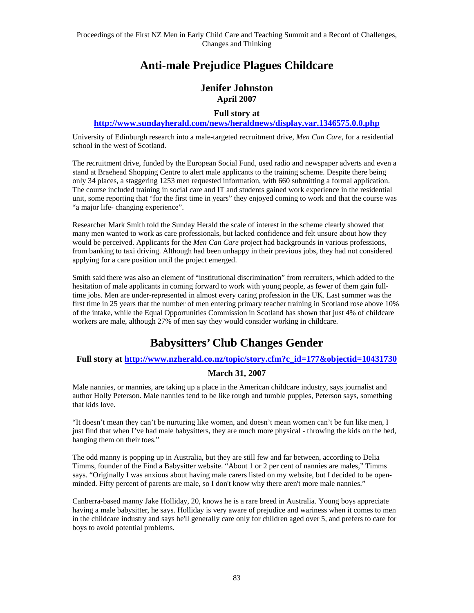### **Anti-male Prejudice Plagues Childcare**

### **Jenifer Johnston April 2007**

#### **Full story at**

#### **http://www.sundayherald.com/news/heraldnews/display.var.1346575.0.0.php**

University of Edinburgh research into a male-targeted recruitment drive, *Men Can Care*, for a residential school in the west of Scotland.

The recruitment drive, funded by the European Social Fund, used radio and newspaper adverts and even a stand at Braehead Shopping Centre to alert male applicants to the training scheme. Despite there being only 34 places, a staggering 1253 men requested information, with 660 submitting a formal application. The course included training in social care and IT and students gained work experience in the residential unit, some reporting that "for the first time in years" they enjoyed coming to work and that the course was "a major life- changing experience".

Researcher Mark Smith told the Sunday Herald the scale of interest in the scheme clearly showed that many men wanted to work as care professionals, but lacked confidence and felt unsure about how they would be perceived. Applicants for the *Men Can Care* project had backgrounds in various professions, from banking to taxi driving. Although had been unhappy in their previous jobs, they had not considered applying for a care position until the project emerged.

Smith said there was also an element of "institutional discrimination" from recruiters, which added to the hesitation of male applicants in coming forward to work with young people, as fewer of them gain fulltime jobs. Men are under-represented in almost every caring profession in the UK. Last summer was the first time in 25 years that the number of men entering primary teacher training in Scotland rose above 10% of the intake, while the Equal Opportunities Commission in Scotland has shown that just 4% of childcare workers are male, although 27% of men say they would consider working in childcare.

### **Babysitters' Club Changes Gender**

#### **Full story at http://www.nzherald.co.nz/topic/story.cfm?c\_id=177&objectid=10431730**

#### **March 31, 2007**

Male nannies, or mannies, are taking up a place in the American childcare industry, says journalist and author Holly Peterson. Male nannies tend to be like rough and tumble puppies, Peterson says, something that kids love.

"It doesn't mean they can't be nurturing like women, and doesn't mean women can't be fun like men, I just find that when I've had male babysitters, they are much more physical - throwing the kids on the bed, hanging them on their toes."

The odd manny is popping up in Australia, but they are still few and far between, according to Delia Timms, founder of the Find a Babysitter website. "About 1 or 2 per cent of nannies are males," Timms says. "Originally I was anxious about having male carers listed on my website, but I decided to be openminded. Fifty percent of parents are male, so I don't know why there aren't more male nannies."

Canberra-based manny Jake Holliday, 20, knows he is a rare breed in Australia. Young boys appreciate having a male babysitter, he says. Holliday is very aware of prejudice and wariness when it comes to men in the childcare industry and says he'll generally care only for children aged over 5, and prefers to care for boys to avoid potential problems.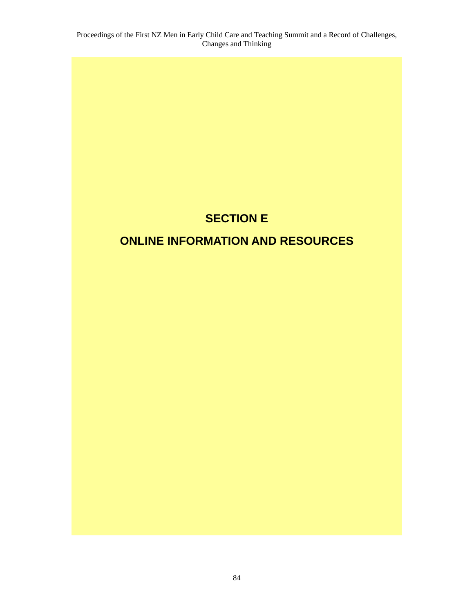## **SECTION E**

# **ONLINE INFORMATION AND RESOURCES**